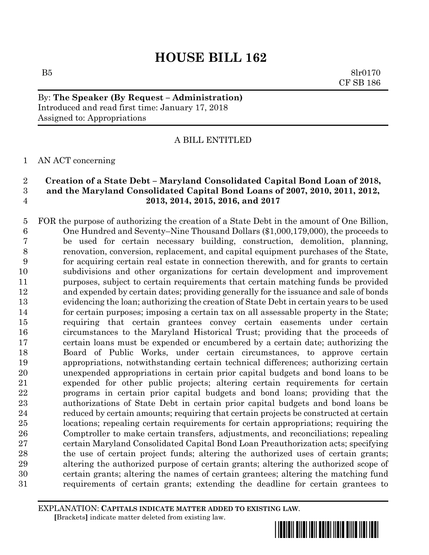$B5$  8lr0170 CF SB 186

By: **The Speaker (By Request – Administration)** Introduced and read first time: January 17, 2018 Assigned to: Appropriations

## A BILL ENTITLED

### AN ACT concerning

## **Creation of a State Debt – Maryland Consolidated Capital Bond Loan of 2018, and the Maryland Consolidated Capital Bond Loans of 2007, 2010, 2011, 2012, 2013, 2014, 2015, 2016, and 2017**

 FOR the purpose of authorizing the creation of a State Debt in the amount of One Billion, One Hundred and Seventy–Nine Thousand Dollars (\$1,000,179,000), the proceeds to be used for certain necessary building, construction, demolition, planning, renovation, conversion, replacement, and capital equipment purchases of the State, for acquiring certain real estate in connection therewith, and for grants to certain subdivisions and other organizations for certain development and improvement purposes, subject to certain requirements that certain matching funds be provided and expended by certain dates; providing generally for the issuance and sale of bonds evidencing the loan; authorizing the creation of State Debt in certain years to be used for certain purposes; imposing a certain tax on all assessable property in the State; requiring that certain grantees convey certain easements under certain circumstances to the Maryland Historical Trust; providing that the proceeds of certain loans must be expended or encumbered by a certain date; authorizing the Board of Public Works, under certain circumstances, to approve certain appropriations, notwithstanding certain technical differences; authorizing certain unexpended appropriations in certain prior capital budgets and bond loans to be expended for other public projects; altering certain requirements for certain programs in certain prior capital budgets and bond loans; providing that the authorizations of State Debt in certain prior capital budgets and bond loans be reduced by certain amounts; requiring that certain projects be constructed at certain locations; repealing certain requirements for certain appropriations; requiring the Comptroller to make certain transfers, adjustments, and reconciliations; repealing certain Maryland Consolidated Capital Bond Loan Preauthorization acts; specifying the use of certain project funds; altering the authorized uses of certain grants; altering the authorized purpose of certain grants; altering the authorized scope of certain grants; altering the names of certain grantees; altering the matching fund requirements of certain grants; extending the deadline for certain grantees to

EXPLANATION: **CAPITALS INDICATE MATTER ADDED TO EXISTING LAW**.  **[**Brackets**]** indicate matter deleted from existing law.

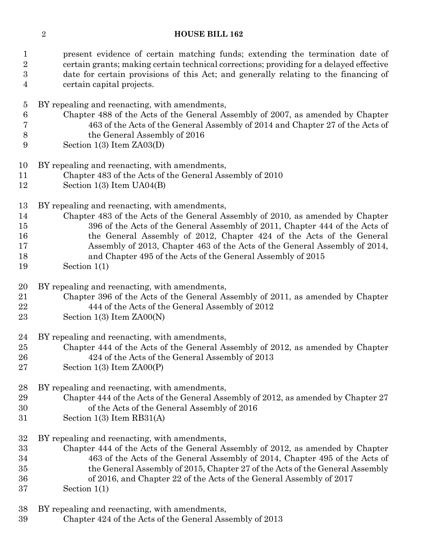| $\mathbf{1}$<br>$\overline{2}$<br>$\boldsymbol{3}$<br>$\overline{4}$ | present evidence of certain matching funds; extending the termination date of<br>certain grants; making certain technical corrections; providing for a delayed effective<br>date for certain provisions of this Act; and generally relating to the financing of<br>certain capital projects. |
|----------------------------------------------------------------------|----------------------------------------------------------------------------------------------------------------------------------------------------------------------------------------------------------------------------------------------------------------------------------------------|
|                                                                      | BY repealing and reenacting, with amendments,                                                                                                                                                                                                                                                |
| $\overline{5}$<br>6                                                  | Chapter 488 of the Acts of the General Assembly of 2007, as amended by Chapter                                                                                                                                                                                                               |
| 7                                                                    | 463 of the Acts of the General Assembly of 2014 and Chapter 27 of the Acts of                                                                                                                                                                                                                |
| 8                                                                    | the General Assembly of 2016                                                                                                                                                                                                                                                                 |
| 9                                                                    | Section $1(3)$ Item $ZAO3(D)$                                                                                                                                                                                                                                                                |
| 10                                                                   | BY repealing and reenacting, with amendments,                                                                                                                                                                                                                                                |
| 11                                                                   | Chapter 483 of the Acts of the General Assembly of 2010                                                                                                                                                                                                                                      |
| 12                                                                   | Section $1(3)$ Item $UA04(B)$                                                                                                                                                                                                                                                                |
| 13                                                                   | BY repealing and reenacting, with amendments,                                                                                                                                                                                                                                                |
| 14                                                                   | Chapter 483 of the Acts of the General Assembly of 2010, as amended by Chapter                                                                                                                                                                                                               |
| 15                                                                   | 396 of the Acts of the General Assembly of 2011, Chapter 444 of the Acts of                                                                                                                                                                                                                  |
| 16                                                                   | the General Assembly of 2012, Chapter 424 of the Acts of the General                                                                                                                                                                                                                         |
| 17                                                                   | Assembly of 2013, Chapter 463 of the Acts of the General Assembly of 2014,                                                                                                                                                                                                                   |
| 18                                                                   | and Chapter 495 of the Acts of the General Assembly of 2015                                                                                                                                                                                                                                  |
| 19                                                                   | Section $1(1)$                                                                                                                                                                                                                                                                               |
| 20                                                                   | BY repealing and reenacting, with amendments,                                                                                                                                                                                                                                                |
| 21                                                                   | Chapter 396 of the Acts of the General Assembly of 2011, as amended by Chapter                                                                                                                                                                                                               |
| 22                                                                   | 444 of the Acts of the General Assembly of 2012                                                                                                                                                                                                                                              |
| 23                                                                   | Section $1(3)$ Item $ZAOO(N)$                                                                                                                                                                                                                                                                |
| 24                                                                   | BY repealing and reenacting, with amendments,                                                                                                                                                                                                                                                |
| 25                                                                   | Chapter 444 of the Acts of the General Assembly of 2012, as amended by Chapter                                                                                                                                                                                                               |
| 26                                                                   | 424 of the Acts of the General Assembly of 2013                                                                                                                                                                                                                                              |
| 27                                                                   | Section $1(3)$ Item $ZAOO(P)$                                                                                                                                                                                                                                                                |
| 28                                                                   | BY repealing and reenacting, with amendments,                                                                                                                                                                                                                                                |
| 29                                                                   | Chapter 444 of the Acts of the General Assembly of 2012, as amended by Chapter 27                                                                                                                                                                                                            |
| 30                                                                   | of the Acts of the General Assembly of 2016                                                                                                                                                                                                                                                  |

- Section 1(3) Item RB31(A)
- BY repealing and reenacting, with amendments,
- Chapter 444 of the Acts of the General Assembly of 2012, as amended by Chapter 463 of the Acts of the General Assembly of 2014, Chapter 495 of the Acts of the General Assembly of 2015, Chapter 27 of the Acts of the General Assembly of 2016, and Chapter 22 of the Acts of the General Assembly of 2017 Section 1(1)
- BY repealing and reenacting, with amendments,
- Chapter 424 of the Acts of the General Assembly of 2013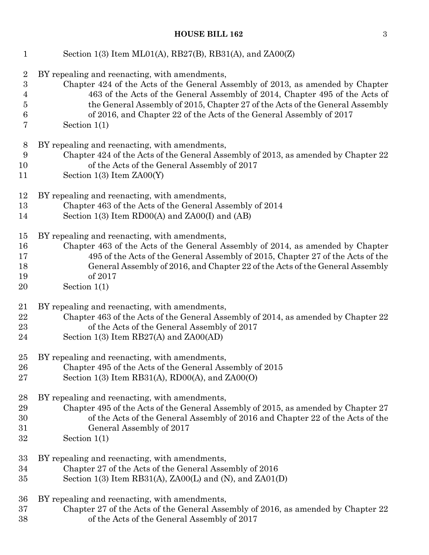| $\mathbf{1}$     | Section 1(3) Item ML01(A), RB27(B), RB31(A), and ZA00(Z)                          |
|------------------|-----------------------------------------------------------------------------------|
| $\overline{2}$   | BY repealing and reenacting, with amendments,                                     |
| $\boldsymbol{3}$ | Chapter 424 of the Acts of the General Assembly of 2013, as amended by Chapter    |
| 4                | 463 of the Acts of the General Assembly of 2014, Chapter 495 of the Acts of       |
| $\overline{5}$   | the General Assembly of 2015, Chapter 27 of the Acts of the General Assembly      |
| 6                | of 2016, and Chapter 22 of the Acts of the General Assembly of 2017               |
| 7                | Section $1(1)$                                                                    |
| 8                | BY repealing and reenacting, with amendments,                                     |
| 9                | Chapter 424 of the Acts of the General Assembly of 2013, as amended by Chapter 22 |
| 10               | of the Acts of the General Assembly of 2017                                       |
| 11               | Section $1(3)$ Item $ZAOO(Y)$                                                     |
| 12               | BY repealing and reenacting, with amendments,                                     |
| 13               | Chapter 463 of the Acts of the General Assembly of 2014                           |
| 14               | Section $1(3)$ Item RD00(A) and ZA00(I) and (AB)                                  |
| 15               | BY repealing and reenacting, with amendments,                                     |
| 16               | Chapter 463 of the Acts of the General Assembly of 2014, as amended by Chapter    |
| 17               | 495 of the Acts of the General Assembly of 2015, Chapter 27 of the Acts of the    |
| 18               | General Assembly of 2016, and Chapter 22 of the Acts of the General Assembly      |
| 19               | of 2017                                                                           |
| 20               | Section $1(1)$                                                                    |
| 21               | BY repealing and reenacting, with amendments,                                     |
| 22               | Chapter 463 of the Acts of the General Assembly of 2014, as amended by Chapter 22 |
| 23               | of the Acts of the General Assembly of 2017                                       |
| 24               | Section $1(3)$ Item RB27(A) and ZA00(AD)                                          |
| 25               | BY repealing and reenacting, with amendments,                                     |
| 26               | Chapter 495 of the Acts of the General Assembly of 2015                           |
| 27               | Section 1(3) Item RB31(A), RD00(A), and $ZA00(0)$                                 |
| 28               | BY repealing and reenacting, with amendments,                                     |
| 29               | Chapter 495 of the Acts of the General Assembly of 2015, as amended by Chapter 27 |
| 30               | of the Acts of the General Assembly of 2016 and Chapter 22 of the Acts of the     |
| 31               | General Assembly of 2017                                                          |
| $32\,$           | Section $1(1)$                                                                    |
| 33               | BY repealing and reenacting, with amendments,                                     |
| 34               | Chapter 27 of the Acts of the General Assembly of 2016                            |
| 35               | Section 1(3) Item RB31(A), ZA00(L) and (N), and ZA01(D)                           |
| 36               | BY repealing and reenacting, with amendments,                                     |
| 37               | Chapter 27 of the Acts of the General Assembly of 2016, as amended by Chapter 22  |
| 38               | of the Acts of the General Assembly of 2017                                       |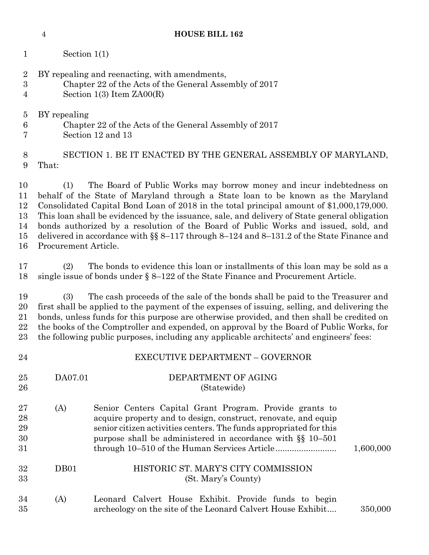| $\boldsymbol{3}$<br>4                  |                                                                                                                                                                              | Chapter 22 of the Acts of the General Assembly of 2017<br>Section $1(3)$ Item $ZAOO(R)$                                                                                                                                                                                                                                                                                                                                                                                                                                                   |           |  |  |
|----------------------------------------|------------------------------------------------------------------------------------------------------------------------------------------------------------------------------|-------------------------------------------------------------------------------------------------------------------------------------------------------------------------------------------------------------------------------------------------------------------------------------------------------------------------------------------------------------------------------------------------------------------------------------------------------------------------------------------------------------------------------------------|-----------|--|--|
| $\overline{5}$<br>$6\phantom{.}6$<br>7 | BY repealing                                                                                                                                                                 | Chapter 22 of the Acts of the General Assembly of 2017<br>Section 12 and 13                                                                                                                                                                                                                                                                                                                                                                                                                                                               |           |  |  |
| $8\,$<br>9                             | That:                                                                                                                                                                        | SECTION 1. BE IT ENACTED BY THE GENERAL ASSEMBLY OF MARYLAND,                                                                                                                                                                                                                                                                                                                                                                                                                                                                             |           |  |  |
| 10<br>11<br>12<br>13<br>14<br>15<br>16 | (1)<br>Procurement Article.                                                                                                                                                  | The Board of Public Works may borrow money and incur indebtedness on<br>behalf of the State of Maryland through a State loan to be known as the Maryland<br>Consolidated Capital Bond Loan of 2018 in the total principal amount of \$1,000,179,000.<br>This loan shall be evidenced by the issuance, sale, and delivery of State general obligation<br>bonds authorized by a resolution of the Board of Public Works and issued, sold, and<br>delivered in accordance with $\S$ 8-117 through 8-124 and 8-131.2 of the State Finance and |           |  |  |
| 17<br>18                               | The bonds to evidence this loan or installments of this loan may be sold as a<br>(2)<br>single issue of bonds under $\S 8-122$ of the State Finance and Procurement Article. |                                                                                                                                                                                                                                                                                                                                                                                                                                                                                                                                           |           |  |  |
| 19<br>20<br>21<br>22<br>23             | (3)                                                                                                                                                                          | The cash proceeds of the sale of the bonds shall be paid to the Treasurer and<br>first shall be applied to the payment of the expenses of issuing, selling, and delivering the<br>bonds, unless funds for this purpose are otherwise provided, and then shall be credited on<br>the books of the Comptroller and expended, on approval by the Board of Public Works, for<br>the following public purposes, including any applicable architects' and engineers' fees:                                                                      |           |  |  |
| 24                                     |                                                                                                                                                                              | <b>EXECUTIVE DEPARTMENT - GOVERNOR</b>                                                                                                                                                                                                                                                                                                                                                                                                                                                                                                    |           |  |  |
| 25<br>26                               | DA07.01                                                                                                                                                                      | DEPARTMENT OF AGING<br>(Statewide)                                                                                                                                                                                                                                                                                                                                                                                                                                                                                                        |           |  |  |
| 27<br>28<br>29<br>30<br>31             | (A)                                                                                                                                                                          | Senior Centers Capital Grant Program. Provide grants to<br>acquire property and to design, construct, renovate, and equip<br>senior citizen activities centers. The funds appropriated for this<br>purpose shall be administered in accordance with §§ 10-501                                                                                                                                                                                                                                                                             | 1,600,000 |  |  |
| 32<br>33                               | DB01                                                                                                                                                                         | HISTORIC ST. MARY'S CITY COMMISSION<br>(St. Mary's County)                                                                                                                                                                                                                                                                                                                                                                                                                                                                                |           |  |  |
| 34<br>35                               | (A)                                                                                                                                                                          | Leonard Calvert House Exhibit. Provide funds to begin<br>archeology on the site of the Leonard Calvert House Exhibit                                                                                                                                                                                                                                                                                                                                                                                                                      | 350,000   |  |  |

Section 1(1)

BY repealing and reenacting, with amendments,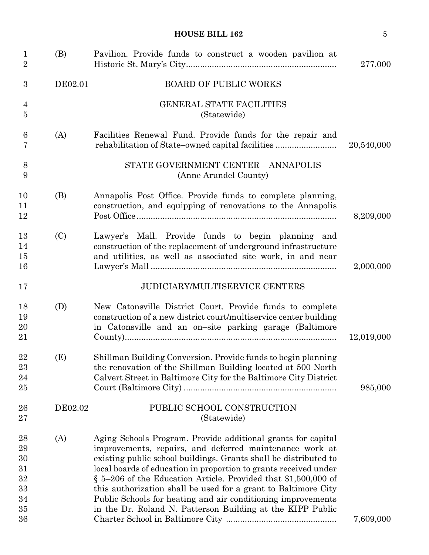| $\mathbf{1}$<br>$\overline{2}$                         | (B)     | Pavilion. Provide funds to construct a wooden pavilion at                                                                                                                                                                                                                                                                                                                                                                                                                                                                         | 277,000    |
|--------------------------------------------------------|---------|-----------------------------------------------------------------------------------------------------------------------------------------------------------------------------------------------------------------------------------------------------------------------------------------------------------------------------------------------------------------------------------------------------------------------------------------------------------------------------------------------------------------------------------|------------|
| 3                                                      | DE02.01 | <b>BOARD OF PUBLIC WORKS</b>                                                                                                                                                                                                                                                                                                                                                                                                                                                                                                      |            |
| 4<br>$\overline{5}$                                    |         | <b>GENERAL STATE FACILITIES</b><br>(Statewide)                                                                                                                                                                                                                                                                                                                                                                                                                                                                                    |            |
| 6<br>7                                                 | (A)     | Facilities Renewal Fund. Provide funds for the repair and<br>rehabilitation of State-owned capital facilities                                                                                                                                                                                                                                                                                                                                                                                                                     | 20,540,000 |
| 8<br>9                                                 |         | STATE GOVERNMENT CENTER - ANNAPOLIS<br>(Anne Arundel County)                                                                                                                                                                                                                                                                                                                                                                                                                                                                      |            |
| 10<br>11<br>12                                         | (B)     | Annapolis Post Office. Provide funds to complete planning,<br>construction, and equipping of renovations to the Annapolis                                                                                                                                                                                                                                                                                                                                                                                                         | 8,209,000  |
| 13<br>14<br>15<br>16                                   | (C)     | Lawyer's Mall. Provide funds to begin planning and<br>construction of the replacement of underground infrastructure<br>and utilities, as well as associated site work, in and near                                                                                                                                                                                                                                                                                                                                                | 2,000,000  |
| 17                                                     |         | <b>JUDICIARY/MULTISERVICE CENTERS</b>                                                                                                                                                                                                                                                                                                                                                                                                                                                                                             |            |
| 18<br>19<br>20<br>21                                   | (D)     | New Catonsville District Court. Provide funds to complete<br>construction of a new district court/multiservice center building<br>in Catonsville and an on-site parking garage (Baltimore                                                                                                                                                                                                                                                                                                                                         | 12,019,000 |
| 22<br>23<br>24<br>25                                   | (E)     | Shillman Building Conversion. Provide funds to begin planning<br>the renovation of the Shillman Building located at 500 North<br>Calvert Street in Baltimore City for the Baltimore City District                                                                                                                                                                                                                                                                                                                                 | 985,000    |
| 26<br>27                                               | DE02.02 | PUBLIC SCHOOL CONSTRUCTION<br>(Statewide)                                                                                                                                                                                                                                                                                                                                                                                                                                                                                         |            |
| 28<br>29<br>30<br>31<br>$32\,$<br>33<br>34<br>35<br>36 | (A)     | Aging Schools Program. Provide additional grants for capital<br>improvements, repairs, and deferred maintenance work at<br>existing public school buildings. Grants shall be distributed to<br>local boards of education in proportion to grants received under<br>§ 5–206 of the Education Article. Provided that \$1,500,000 of<br>this authorization shall be used for a grant to Baltimore City<br>Public Schools for heating and air conditioning improvements<br>in the Dr. Roland N. Patterson Building at the KIPP Public | 7,609,000  |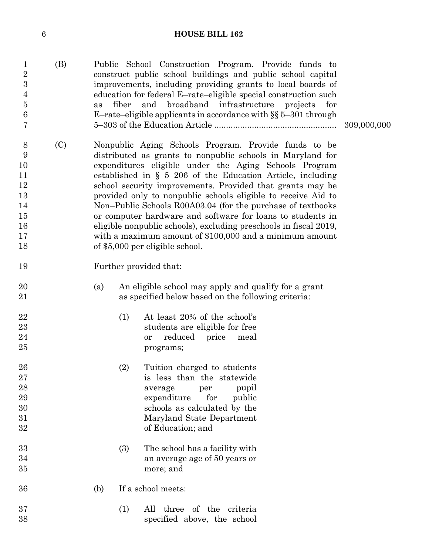| $\mathbf{1}$<br>$\overline{2}$<br>$\overline{3}$<br>$\overline{4}$<br>$\bf 5$<br>$\,6$<br>7 | (B) | as  | fiber | Public School Construction Program. Provide funds to<br>construct public school buildings and public school capital<br>improvements, including providing grants to local boards of<br>education for federal E-rate-eligible special construction such<br>and broadband infrastructure projects<br>for<br>E-rate-eligible applicants in accordance with $\S$ § 5-301 through                                                                                                                                                                                                                                                                                                 | 309,000,000 |
|---------------------------------------------------------------------------------------------|-----|-----|-------|-----------------------------------------------------------------------------------------------------------------------------------------------------------------------------------------------------------------------------------------------------------------------------------------------------------------------------------------------------------------------------------------------------------------------------------------------------------------------------------------------------------------------------------------------------------------------------------------------------------------------------------------------------------------------------|-------------|
| 8<br>9<br>10<br>11<br>12<br>13<br>14<br>15<br>16<br>17<br>18                                | (C) |     |       | Nonpublic Aging Schools Program. Provide funds to be<br>distributed as grants to nonpublic schools in Maryland for<br>expenditures eligible under the Aging Schools Program<br>established in $\S$ 5-206 of the Education Article, including<br>school security improvements. Provided that grants may be<br>provided only to nonpublic schools eligible to receive Aid to<br>Non-Public Schools R00A03.04 (for the purchase of textbooks<br>or computer hardware and software for loans to students in<br>eligible nonpublic schools), excluding preschools in fiscal 2019,<br>with a maximum amount of $$100,000$ and a minimum amount<br>of \$5,000 per eligible school. |             |
| 19                                                                                          |     |     |       | Further provided that:                                                                                                                                                                                                                                                                                                                                                                                                                                                                                                                                                                                                                                                      |             |
| 20<br>21                                                                                    |     | (a) |       | An eligible school may apply and qualify for a grant<br>as specified below based on the following criteria:                                                                                                                                                                                                                                                                                                                                                                                                                                                                                                                                                                 |             |
| 22<br>23<br>24<br>25                                                                        |     |     | (1)   | At least 20% of the school's<br>students are eligible for free<br>reduced<br>price<br>meal<br><b>or</b><br>programs;                                                                                                                                                                                                                                                                                                                                                                                                                                                                                                                                                        |             |
| ${\bf 26}$<br>27<br>28<br>29<br>30<br>31<br>32                                              |     |     | (2)   | Tuition charged to students<br>is less than the statewide<br>pupil<br>average<br>per<br>expenditure<br>for<br>public<br>schools as calculated by the<br>Maryland State Department<br>of Education; and                                                                                                                                                                                                                                                                                                                                                                                                                                                                      |             |
| 33<br>34<br>35                                                                              |     |     | (3)   | The school has a facility with<br>an average age of 50 years or<br>more; and                                                                                                                                                                                                                                                                                                                                                                                                                                                                                                                                                                                                |             |
| 36                                                                                          |     | (b) |       | If a school meets:                                                                                                                                                                                                                                                                                                                                                                                                                                                                                                                                                                                                                                                          |             |
| 37<br>38                                                                                    |     |     | (1)   | All three of the criteria<br>specified above, the school                                                                                                                                                                                                                                                                                                                                                                                                                                                                                                                                                                                                                    |             |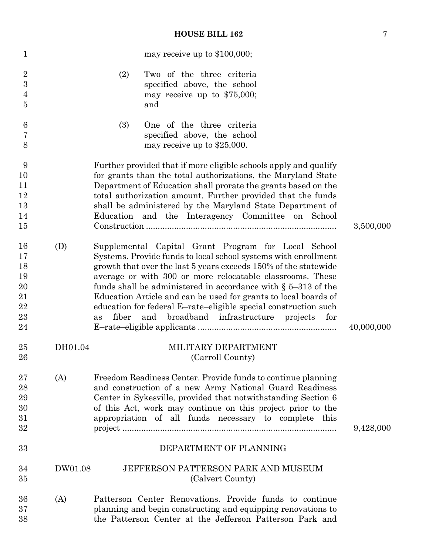| $\mathbf{1}$                                       |         | may receive up to \$100,000;                                                                                                                                                                                                                                                                                                                                                                                                                                                                                                             |            |
|----------------------------------------------------|---------|------------------------------------------------------------------------------------------------------------------------------------------------------------------------------------------------------------------------------------------------------------------------------------------------------------------------------------------------------------------------------------------------------------------------------------------------------------------------------------------------------------------------------------------|------------|
| $\boldsymbol{2}$<br>3<br>$\overline{4}$<br>$\bf 5$ |         | Two of the three criteria<br>(2)<br>specified above, the school<br>may receive up to $$75,000$ ;<br>and                                                                                                                                                                                                                                                                                                                                                                                                                                  |            |
| 6<br>7<br>8                                        |         | (3)<br>One of the three criteria<br>specified above, the school<br>may receive up to \$25,000.                                                                                                                                                                                                                                                                                                                                                                                                                                           |            |
| 9<br>10<br>11<br>12<br>13<br>14<br>15              |         | Further provided that if more eligible schools apply and qualify<br>for grants than the total authorizations, the Maryland State<br>Department of Education shall prorate the grants based on the<br>total authorization amount. Further provided that the funds<br>shall be administered by the Maryland State Department of<br>Education and the Interagency Committee on School                                                                                                                                                       | 3,500,000  |
| 16<br>17<br>18<br>19<br>20<br>21<br>22<br>23<br>24 | (D)     | Supplemental Capital Grant Program for Local School<br>Systems. Provide funds to local school systems with enrollment<br>growth that over the last 5 years exceeds 150% of the statewide<br>average or with 300 or more relocatable classrooms. These<br>funds shall be administered in accordance with $\S$ 5–313 of the<br>Education Article and can be used for grants to local boards of<br>education for federal E-rate-eligible special construction such<br>fiber<br>broadband infrastructure projects<br>and<br>for<br><b>as</b> | 40,000,000 |
| 25<br>26                                           | DH01.04 | MILITARY DEPARTMENT<br>(Carroll County)                                                                                                                                                                                                                                                                                                                                                                                                                                                                                                  |            |
| 27<br>28<br>29<br>30<br>31<br>32<br>33             | (A)     | Freedom Readiness Center. Provide funds to continue planning<br>and construction of a new Army National Guard Readiness<br>Center in Sykesville, provided that notwithstanding Section 6<br>of this Act, work may continue on this project prior to the<br>appropriation of all funds necessary to complete this<br>DEPARTMENT OF PLANNING                                                                                                                                                                                               | 9,428,000  |
| 34<br>35                                           | DW01.08 | <b>JEFFERSON PATTERSON PARK AND MUSEUM</b><br>(Calvert County)                                                                                                                                                                                                                                                                                                                                                                                                                                                                           |            |
| 36<br>37<br>38                                     | (A)     | Patterson Center Renovations. Provide funds to continue<br>planning and begin constructing and equipping renovations to<br>the Patterson Center at the Jefferson Patterson Park and                                                                                                                                                                                                                                                                                                                                                      |            |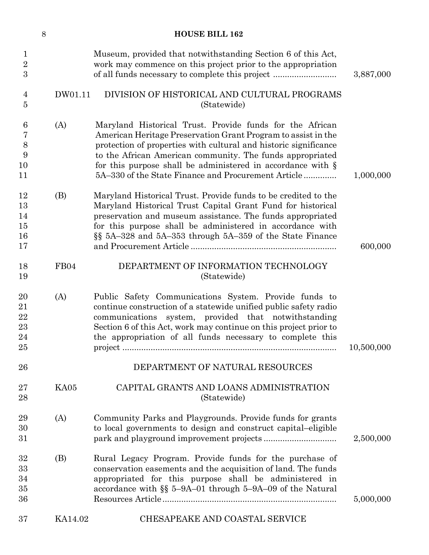|                                                 | $8\,$ |         | <b>HOUSE BILL 162</b>                                                                                                                                                                                                                                                                                                                                                               |            |
|-------------------------------------------------|-------|---------|-------------------------------------------------------------------------------------------------------------------------------------------------------------------------------------------------------------------------------------------------------------------------------------------------------------------------------------------------------------------------------------|------------|
| $\mathbf{1}$<br>$\sqrt{2}$<br>3                 |       |         | Museum, provided that notwithstanding Section 6 of this Act,<br>work may commence on this project prior to the appropriation<br>of all funds necessary to complete this project                                                                                                                                                                                                     | 3,887,000  |
| $\overline{4}$<br>$\overline{5}$                |       | DW01.11 | DIVISION OF HISTORICAL AND CULTURAL PROGRAMS<br>(Statewide)                                                                                                                                                                                                                                                                                                                         |            |
| $\boldsymbol{6}$<br>7<br>$8\,$<br>9<br>10<br>11 |       | (A)     | Maryland Historical Trust. Provide funds for the African<br>American Heritage Preservation Grant Program to assist in the<br>protection of properties with cultural and historic significance<br>to the African American community. The funds appropriated<br>for this purpose shall be administered in accordance with $\S$<br>5A–330 of the State Finance and Procurement Article | 1,000,000  |
| 12<br>13<br>14<br>15<br>16<br>17                |       | (B)     | Maryland Historical Trust. Provide funds to be credited to the<br>Maryland Historical Trust Capital Grant Fund for historical<br>preservation and museum assistance. The funds appropriated<br>for this purpose shall be administered in accordance with<br>§§ 5A–328 and 5A–353 through 5A–359 of the State Finance                                                                | 600,000    |
| 18<br>19                                        |       | FB04    | DEPARTMENT OF INFORMATION TECHNOLOGY<br>(Statewide)                                                                                                                                                                                                                                                                                                                                 |            |
| 20<br>21<br>$\bf 22$<br>23<br>24<br>25          |       | (A)     | Public Safety Communications System. Provide funds to<br>continue construction of a statewide unified public safety radio<br>communications system, provided that notwithstanding<br>Section 6 of this Act, work may continue on this project prior to<br>the appropriation of all funds necessary to complete this                                                                 | 10,500,000 |
| 26                                              |       |         | DEPARTMENT OF NATURAL RESOURCES                                                                                                                                                                                                                                                                                                                                                     |            |
| 27<br>28                                        |       | KA05    | CAPITAL GRANTS AND LOANS ADMINISTRATION<br>(Statewide)                                                                                                                                                                                                                                                                                                                              |            |
| 29<br>30<br>31                                  |       | (A)     | Community Parks and Playgrounds. Provide funds for grants<br>to local governments to design and construct capital-eligible                                                                                                                                                                                                                                                          | 2,500,000  |
| 32<br>33<br>34<br>35<br>36                      |       | (B)     | Rural Legacy Program. Provide funds for the purchase of<br>conservation easements and the acquisition of land. The funds<br>appropriated for this purpose shall be administered in<br>accordance with $\S$ 5-9A-01 through 5-9A-09 of the Natural                                                                                                                                   | 5,000,000  |
| 37                                              |       | KA14.02 | CHESAPEAKE AND COASTAL SERVICE                                                                                                                                                                                                                                                                                                                                                      |            |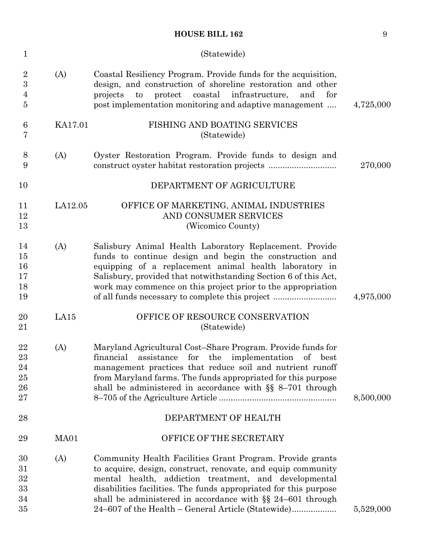| $\mathbf 1$                                         |         | (Statewide)                                                                                                                                                                                                                                                                                                                                                        |           |
|-----------------------------------------------------|---------|--------------------------------------------------------------------------------------------------------------------------------------------------------------------------------------------------------------------------------------------------------------------------------------------------------------------------------------------------------------------|-----------|
| $\overline{2}$<br>$\sqrt{3}$<br>$\overline{4}$<br>5 | (A)     | Coastal Resiliency Program. Provide funds for the acquisition,<br>design, and construction of shoreline restoration and other<br>protect<br>coastal<br>infrastructure,<br>and<br>projects<br>to<br>for<br>post implementation monitoring and adaptive management                                                                                                   | 4,725,000 |
| 6<br>7                                              | KA17.01 | FISHING AND BOATING SERVICES<br>(Statewide)                                                                                                                                                                                                                                                                                                                        |           |
| 8<br>9                                              | (A)     | Oyster Restoration Program. Provide funds to design and<br>construct oyster habitat restoration projects                                                                                                                                                                                                                                                           | 270,000   |
| 10                                                  |         | DEPARTMENT OF AGRICULTURE                                                                                                                                                                                                                                                                                                                                          |           |
| 11<br>12<br>13                                      | LA12.05 | OFFICE OF MARKETING, ANIMAL INDUSTRIES<br>AND CONSUMER SERVICES<br>(Wicomico County)                                                                                                                                                                                                                                                                               |           |
| 14<br>15<br>16<br>17<br>18<br>19                    | (A)     | Salisbury Animal Health Laboratory Replacement. Provide<br>funds to continue design and begin the construction and<br>equipping of a replacement animal health laboratory in<br>Salisbury, provided that notwithstanding Section 6 of this Act,<br>work may commence on this project prior to the appropriation<br>of all funds necessary to complete this project | 4,975,000 |
| 20<br>21                                            | LA15    | OFFICE OF RESOURCE CONSERVATION<br>(Statewide)                                                                                                                                                                                                                                                                                                                     |           |
| 22<br>23<br>24<br>25<br>26<br>27                    | (A)     | Maryland Agricultural Cost-Share Program. Provide funds for<br>financial assistance for the implementation of best<br>management practices that reduce soil and nutrient runoff<br>from Maryland farms. The funds appropriated for this purpose<br>shall be administered in accordance with $\S$ 8-701 through                                                     | 8,500,000 |
| 28                                                  |         | DEPARTMENT OF HEALTH                                                                                                                                                                                                                                                                                                                                               |           |
| 29                                                  | MA01    | OFFICE OF THE SECRETARY                                                                                                                                                                                                                                                                                                                                            |           |
| 30<br>31<br>32<br>33<br>34                          | (A)     | Community Health Facilities Grant Program. Provide grants<br>to acquire, design, construct, renovate, and equip community<br>mental health, addiction treatment, and developmental<br>disabilities facilities. The funds appropriated for this purpose<br>shall be administered in accordance with $\S$ 24–601 through                                             |           |
| 35                                                  |         | 24–607 of the Health – General Article (Statewide)                                                                                                                                                                                                                                                                                                                 | 5,529,000 |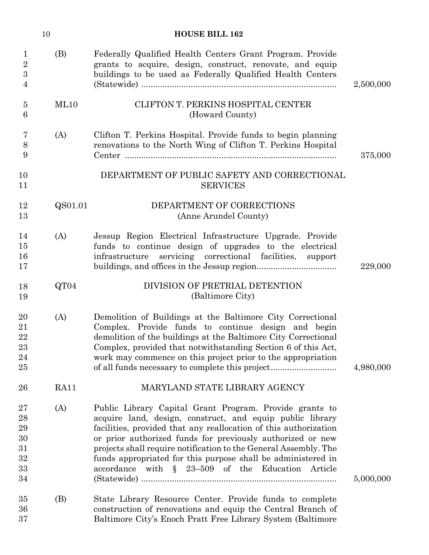|                                                 | 10          | <b>HOUSE BILL 162</b>                                                                                                                                                                                                                                                                                                                                                                                                                              |           |
|-------------------------------------------------|-------------|----------------------------------------------------------------------------------------------------------------------------------------------------------------------------------------------------------------------------------------------------------------------------------------------------------------------------------------------------------------------------------------------------------------------------------------------------|-----------|
| $\mathbf{1}$<br>$\sqrt{2}$<br>$\mathbf{3}$<br>4 | (B)         | Federally Qualified Health Centers Grant Program. Provide<br>grants to acquire, design, construct, renovate, and equip<br>buildings to be used as Federally Qualified Health Centers                                                                                                                                                                                                                                                               | 2,500,000 |
| $\overline{5}$<br>6                             | ML10        | CLIFTON T. PERKINS HOSPITAL CENTER<br>(Howard County)                                                                                                                                                                                                                                                                                                                                                                                              |           |
| 7<br>8<br>9                                     | (A)         | Clifton T. Perkins Hospital. Provide funds to begin planning<br>renovations to the North Wing of Clifton T. Perkins Hospital                                                                                                                                                                                                                                                                                                                       | 375,000   |
| 10<br>11                                        |             | DEPARTMENT OF PUBLIC SAFETY AND CORRECTIONAL<br><b>SERVICES</b>                                                                                                                                                                                                                                                                                                                                                                                    |           |
| 12<br>13                                        | QS01.01     | DEPARTMENT OF CORRECTIONS<br>(Anne Arundel County)                                                                                                                                                                                                                                                                                                                                                                                                 |           |
| 14<br>15<br>16<br>17                            | (A)         | Jessup Region Electrical Infrastructure Upgrade. Provide<br>funds to continue design of upgrades to the electrical<br>infrastructure<br>servicing correctional facilities, support                                                                                                                                                                                                                                                                 | 229,000   |
| 18<br>19                                        | QT04        | DIVISION OF PRETRIAL DETENTION<br>(Baltimore City)                                                                                                                                                                                                                                                                                                                                                                                                 |           |
| 20<br>21<br>22<br>23<br>24<br>25                | (A)         | Demolition of Buildings at the Baltimore City Correctional<br>Complex. Provide funds to continue design and begin<br>demolition of the buildings at the Baltimore City Correctional<br>Complex, provided that notwithstanding Section 6 of this Act,<br>work may commence on this project prior to the appropriation<br>of all funds necessary to complete this project                                                                            | 4,980,000 |
| 26                                              | <b>RA11</b> | MARYLAND STATE LIBRARY AGENCY                                                                                                                                                                                                                                                                                                                                                                                                                      |           |
| 27<br>28<br>29<br>30<br>31<br>32<br>33<br>34    | (A)         | Public Library Capital Grant Program. Provide grants to<br>acquire land, design, construct, and equip public library<br>facilities, provided that any reallocation of this authorization<br>or prior authorized funds for previously authorized or new<br>projects shall require notification to the General Assembly. The<br>funds appropriated for this purpose shall be administered in<br>accordance with $\S$ 23-509 of the Education Article | 5,000,000 |
| 35<br>36<br>37                                  | (B)         | State Library Resource Center. Provide funds to complete<br>construction of renovations and equip the Central Branch of<br>Baltimore City's Enoch Pratt Free Library System (Baltimore                                                                                                                                                                                                                                                             |           |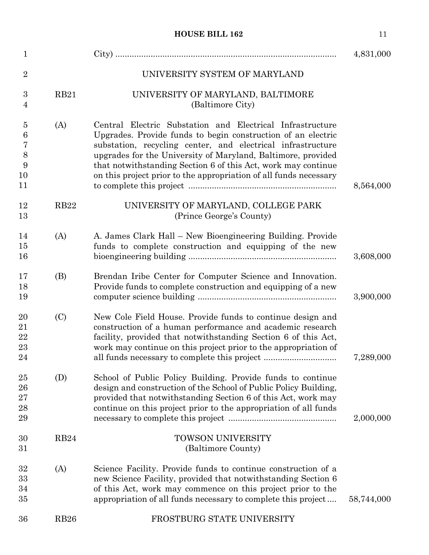| $\mathbf{1}$                                       |                  |                                                                                                                                                                                                                                                                                                                                                                                                | 4,831,000  |
|----------------------------------------------------|------------------|------------------------------------------------------------------------------------------------------------------------------------------------------------------------------------------------------------------------------------------------------------------------------------------------------------------------------------------------------------------------------------------------|------------|
| $\overline{2}$                                     |                  | UNIVERSITY SYSTEM OF MARYLAND                                                                                                                                                                                                                                                                                                                                                                  |            |
| 3<br>4                                             | <b>RB21</b>      | UNIVERSITY OF MARYLAND, BALTIMORE<br>(Baltimore City)                                                                                                                                                                                                                                                                                                                                          |            |
| $\overline{5}$<br>$\,6$<br>7<br>8<br>9<br>10<br>11 | (A)              | Central Electric Substation and Electrical Infrastructure<br>Upgrades. Provide funds to begin construction of an electric<br>substation, recycling center, and electrical infrastructure<br>upgrades for the University of Maryland, Baltimore, provided<br>that notwithstanding Section 6 of this Act, work may continue<br>on this project prior to the appropriation of all funds necessary | 8,564,000  |
| 12<br>13                                           | <b>RB22</b>      | UNIVERSITY OF MARYLAND, COLLEGE PARK<br>(Prince George's County)                                                                                                                                                                                                                                                                                                                               |            |
| 14<br>15<br>16                                     | (A)              | A. James Clark Hall – New Bioengineering Building. Provide<br>funds to complete construction and equipping of the new                                                                                                                                                                                                                                                                          | 3,608,000  |
| 17<br>18<br>19                                     | (B)              | Brendan Iribe Center for Computer Science and Innovation.<br>Provide funds to complete construction and equipping of a new                                                                                                                                                                                                                                                                     | 3,900,000  |
| 20<br>21<br>22<br>23<br>24                         | (C)              | New Cole Field House. Provide funds to continue design and<br>construction of a human performance and academic research<br>facility, provided that notwithstanding Section 6 of this Act,<br>work may continue on this project prior to the appropriation of<br>all funds necessary to complete this project                                                                                   | 7,289,000  |
| 25<br>26<br>27<br>28<br>29                         | (D)              | School of Public Policy Building. Provide funds to continue<br>design and construction of the School of Public Policy Building,<br>provided that notwithstanding Section 6 of this Act, work may<br>continue on this project prior to the appropriation of all funds                                                                                                                           | 2,000,000  |
| 30<br>31                                           | RB <sub>24</sub> | <b>TOWSON UNIVERSITY</b><br>(Baltimore County)                                                                                                                                                                                                                                                                                                                                                 |            |
| 32<br>33<br>34<br>35                               | (A)              | Science Facility. Provide funds to continue construction of a<br>new Science Facility, provided that notwithstanding Section 6<br>of this Act, work may commence on this project prior to the<br>appropriation of all funds necessary to complete this project                                                                                                                                 | 58,744,000 |
| 36                                                 | <b>RB26</b>      | FROSTBURG STATE UNIVERSITY                                                                                                                                                                                                                                                                                                                                                                     |            |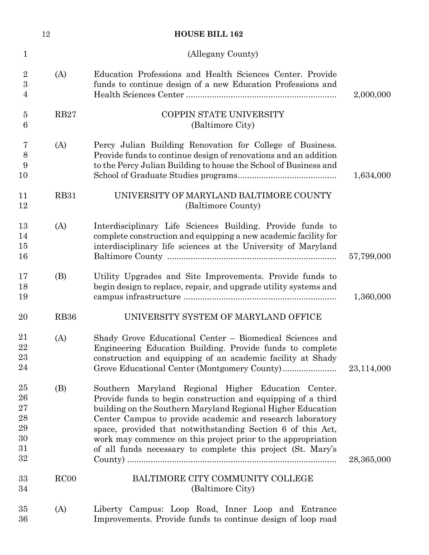|                                                      | 12          | <b>HOUSE BILL 162</b>                                                                                                                                                                                                                                                                                                                                                                                                                         |            |
|------------------------------------------------------|-------------|-----------------------------------------------------------------------------------------------------------------------------------------------------------------------------------------------------------------------------------------------------------------------------------------------------------------------------------------------------------------------------------------------------------------------------------------------|------------|
| $\mathbf 1$                                          |             | (Allegany County)                                                                                                                                                                                                                                                                                                                                                                                                                             |            |
| $\sqrt{2}$<br>3<br>4                                 | (A)         | Education Professions and Health Sciences Center. Provide<br>funds to continue design of a new Education Professions and                                                                                                                                                                                                                                                                                                                      | 2,000,000  |
| $\overline{5}$<br>6                                  | <b>RB27</b> | COPPIN STATE UNIVERSITY<br>(Baltimore City)                                                                                                                                                                                                                                                                                                                                                                                                   |            |
| 7<br>$8\,$<br>9<br>10                                | (A)         | Percy Julian Building Renovation for College of Business.<br>Provide funds to continue design of renovations and an addition<br>to the Percy Julian Building to house the School of Business and                                                                                                                                                                                                                                              | 1,634,000  |
| 11<br>12                                             | <b>RB31</b> | UNIVERSITY OF MARYLAND BALTIMORE COUNTY<br>(Baltimore County)                                                                                                                                                                                                                                                                                                                                                                                 |            |
| 13<br>14<br>15<br>16                                 | (A)         | Interdisciplinary Life Sciences Building. Provide funds to<br>complete construction and equipping a new academic facility for<br>interdisciplinary life sciences at the University of Maryland                                                                                                                                                                                                                                                | 57,799,000 |
| 17<br>18<br>19                                       | (B)         | Utility Upgrades and Site Improvements. Provide funds to<br>begin design to replace, repair, and upgrade utility systems and                                                                                                                                                                                                                                                                                                                  | 1,360,000  |
| 20                                                   | <b>RB36</b> | UNIVERSITY SYSTEM OF MARYLAND OFFICE                                                                                                                                                                                                                                                                                                                                                                                                          |            |
| 21<br>22<br>23<br>24                                 | (A)         | Shady Grove Educational Center – Biomedical Sciences and<br>Engineering Education Building. Provide funds to complete<br>construction and equipping of an academic facility at Shady                                                                                                                                                                                                                                                          | 23,114,000 |
| 25<br>26<br>27<br>${\bf 28}$<br>29<br>30<br>31<br>32 | (B)         | Southern Maryland Regional Higher Education Center.<br>Provide funds to begin construction and equipping of a third<br>building on the Southern Maryland Regional Higher Education<br>Center Campus to provide academic and research laboratory<br>space, provided that notwithstanding Section 6 of this Act,<br>work may commence on this project prior to the appropriation<br>of all funds necessary to complete this project (St. Mary's | 28,365,000 |
| 33<br>34                                             | RC00        | BALTIMORE CITY COMMUNITY COLLEGE<br>(Baltimore City)                                                                                                                                                                                                                                                                                                                                                                                          |            |
| 35<br>36                                             | (A)         | Liberty Campus: Loop Road, Inner Loop and Entrance<br>Improvements. Provide funds to continue design of loop road                                                                                                                                                                                                                                                                                                                             |            |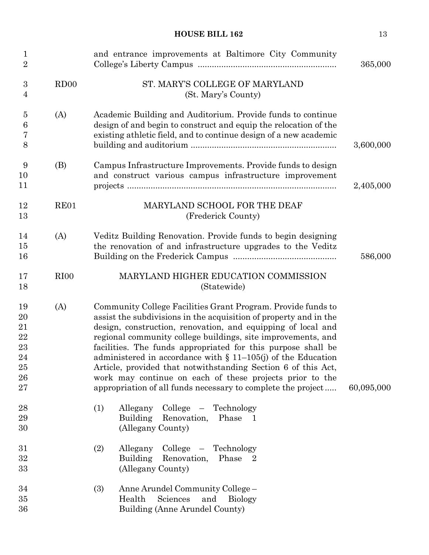| $\mathbf 1$<br>$\overline{2}$                      |                  | and entrance improvements at Baltimore City Community                                                                                                                                                                                                                                                                                                                                                                                                                                                                                                                                             | 365,000    |
|----------------------------------------------------|------------------|---------------------------------------------------------------------------------------------------------------------------------------------------------------------------------------------------------------------------------------------------------------------------------------------------------------------------------------------------------------------------------------------------------------------------------------------------------------------------------------------------------------------------------------------------------------------------------------------------|------------|
| 3<br>4                                             | RD00             | ST. MARY'S COLLEGE OF MARYLAND<br>(St. Mary's County)                                                                                                                                                                                                                                                                                                                                                                                                                                                                                                                                             |            |
| $\overline{5}$<br>$\boldsymbol{6}$<br>7<br>8       | (A)              | Academic Building and Auditorium. Provide funds to continue<br>design of and begin to construct and equip the relocation of the<br>existing athletic field, and to continue design of a new academic                                                                                                                                                                                                                                                                                                                                                                                              | 3,600,000  |
| 9<br>10<br>11                                      | (B)              | Campus Infrastructure Improvements. Provide funds to design<br>and construct various campus infrastructure improvement                                                                                                                                                                                                                                                                                                                                                                                                                                                                            | 2,405,000  |
| 12<br>13                                           | RE01             | MARYLAND SCHOOL FOR THE DEAF<br>(Frederick County)                                                                                                                                                                                                                                                                                                                                                                                                                                                                                                                                                |            |
| 14<br>15<br>16                                     | (A)              | Veditz Building Renovation. Provide funds to begin designing<br>the renovation of and infrastructure upgrades to the Veditz                                                                                                                                                                                                                                                                                                                                                                                                                                                                       | 586,000    |
| 17<br>18                                           | RI <sub>00</sub> | MARYLAND HIGHER EDUCATION COMMISSION<br>(Statewide)                                                                                                                                                                                                                                                                                                                                                                                                                                                                                                                                               |            |
| 19<br>20<br>21<br>22<br>23<br>24<br>25<br>26<br>27 | (A)              | Community College Facilities Grant Program. Provide funds to<br>assist the subdivisions in the acquisition of property and in the<br>design, construction, renovation, and equipping of local and<br>regional community college buildings, site improvements, and<br>facilities. The funds appropriated for this purpose shall be<br>administered in accordance with $\S$ 11-105(j) of the Education<br>Article, provided that notwithstanding Section 6 of this Act,<br>work may continue on each of these projects prior to the<br>appropriation of all funds necessary to complete the project | 60,095,000 |
| 28<br>29<br>30                                     |                  | (1)<br>Allegany<br>College – Technology<br>Building Renovation,<br>Phase<br>$\mathbf{1}$<br>(Allegany County)                                                                                                                                                                                                                                                                                                                                                                                                                                                                                     |            |
| 31<br>32<br>33                                     |                  | (2)<br>College – Technology<br>Allegany<br><b>Building</b><br>Renovation,<br>Phase<br>(Allegany County)                                                                                                                                                                                                                                                                                                                                                                                                                                                                                           |            |
| 34<br>35<br>36                                     |                  | (3)<br>Anne Arundel Community College -<br>Health<br>Sciences<br>and<br><b>Biology</b><br>Building (Anne Arundel County)                                                                                                                                                                                                                                                                                                                                                                                                                                                                          |            |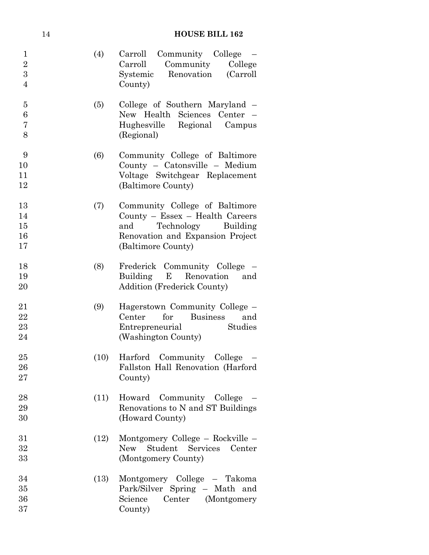|                                                         | 14 | <b>HOUSE BILL 162</b> |                                                                                                                                                              |  |
|---------------------------------------------------------|----|-----------------------|--------------------------------------------------------------------------------------------------------------------------------------------------------------|--|
| $\mathbf{1}$<br>$\boldsymbol{2}$<br>3<br>$\overline{4}$ |    | (4)                   | Community College<br>Carroll<br>Community<br>College<br>Carroll<br>Renovation<br>(Carroll)<br>Systemic<br>County)                                            |  |
| $\overline{5}$<br>6<br>$\overline{7}$<br>8              |    | (5)                   | College of Southern Maryland –<br>Sciences Center -<br>New Health<br>Regional<br>Hughesville<br>Campus<br>(Regional)                                         |  |
| 9<br>10<br>11<br>12                                     |    | (6)                   | Community College of Baltimore<br>County - Catonsville - Medium<br>Voltage Switchgear Replacement<br>(Baltimore County)                                      |  |
| 13<br>14<br>15<br>16<br>17                              |    | (7)                   | Community College of Baltimore<br>County - Essex - Health Careers<br>Technology<br>Building<br>and<br>Renovation and Expansion Project<br>(Baltimore County) |  |
| 18<br>19<br>20                                          |    | (8)                   | Frederick Community College<br>Building E<br>Renovation<br>and<br><b>Addition (Frederick County)</b>                                                         |  |
| 21<br>22<br>$^{23}$<br>24                               |    | (9)                   | Hagerstown Community College –<br><b>Business</b><br>Center<br>for<br>and<br>Studies<br>Entrepreneurial<br>(Washington County)                               |  |
| $25\,$<br>$26\,$<br>$27\,$                              |    | (10)                  | Harford Community College<br>Fallston Hall Renovation (Harford<br>County)                                                                                    |  |
| 28<br>29<br>30                                          |    | (11)                  | Howard Community College<br>Renovations to N and ST Buildings<br>(Howard County)                                                                             |  |
| 31<br>32<br>33                                          |    | (12)                  | Montgomery College – Rockville –<br>Student Services<br><b>New</b><br>Center<br>(Montgomery County)                                                          |  |
| 34<br>35<br>36<br>37                                    |    | (13)                  | Montgomery College - Takoma<br>Park/Silver Spring - Math and<br>Center (Montgomery<br>Science<br>County)                                                     |  |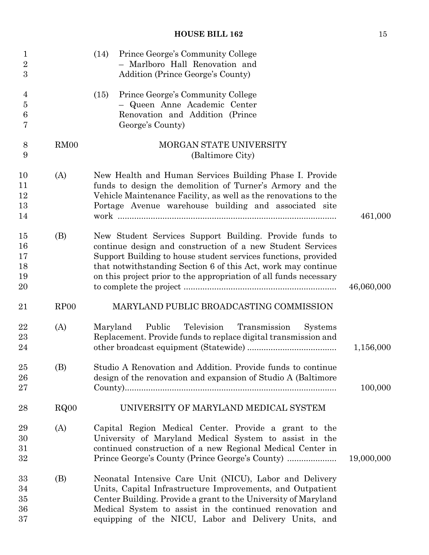| $\mathbf 1$<br>$\overline{2}$<br>3 |                  | Prince George's Community College<br>(14)<br>- Marlboro Hall Renovation and<br>Addition (Prince George's County)                                                                                                                                                                                                              |            |
|------------------------------------|------------------|-------------------------------------------------------------------------------------------------------------------------------------------------------------------------------------------------------------------------------------------------------------------------------------------------------------------------------|------------|
| 4<br>$\overline{5}$<br>6<br>7      |                  | Prince George's Community College<br>(15)<br>- Queen Anne Academic Center<br>Renovation and Addition (Prince<br>George's County)                                                                                                                                                                                              |            |
| 8<br>9                             | RM00             | MORGAN STATE UNIVERSITY<br>(Baltimore City)                                                                                                                                                                                                                                                                                   |            |
| 10<br>11<br>12<br>13<br>14         | (A)              | New Health and Human Services Building Phase I. Provide<br>funds to design the demolition of Turner's Armory and the<br>Vehicle Maintenance Facility, as well as the renovations to the<br>Portage Avenue warehouse building and associated site                                                                              | 461,000    |
| 15<br>16<br>17<br>18<br>19<br>20   | (B)              | New Student Services Support Building. Provide funds to<br>continue design and construction of a new Student Services<br>Support Building to house student services functions, provided<br>that notwithstanding Section 6 of this Act, work may continue<br>on this project prior to the appropriation of all funds necessary | 46,060,000 |
| 21                                 | RP <sub>00</sub> | MARYLAND PUBLIC BROADCASTING COMMISSION                                                                                                                                                                                                                                                                                       |            |
| 22<br>23<br>24                     | (A)              | Public<br>Television<br>Maryland<br>Transmission<br><b>Systems</b><br>Replacement. Provide funds to replace digital transmission and                                                                                                                                                                                          | 1,156,000  |
| 25<br>26<br>27                     | (B)              | Studio A Renovation and Addition. Provide funds to continue<br>design of the renovation and expansion of Studio A (Baltimore                                                                                                                                                                                                  | 100,000    |
| 28                                 | RQ00             | UNIVERSITY OF MARYLAND MEDICAL SYSTEM                                                                                                                                                                                                                                                                                         |            |
| 29<br>30<br>31<br>32               | (A)              | Capital Region Medical Center. Provide a grant to the<br>University of Maryland Medical System to assist in the<br>continued construction of a new Regional Medical Center in                                                                                                                                                 | 19,000,000 |
| 33<br>34<br>35<br>36<br>37         | (B)              | Neonatal Intensive Care Unit (NICU), Labor and Delivery<br>Units, Capital Infrastructure Improvements, and Outpatient<br>Center Building. Provide a grant to the University of Maryland<br>Medical System to assist in the continued renovation and<br>equipping of the NICU, Labor and Delivery Units, and                   |            |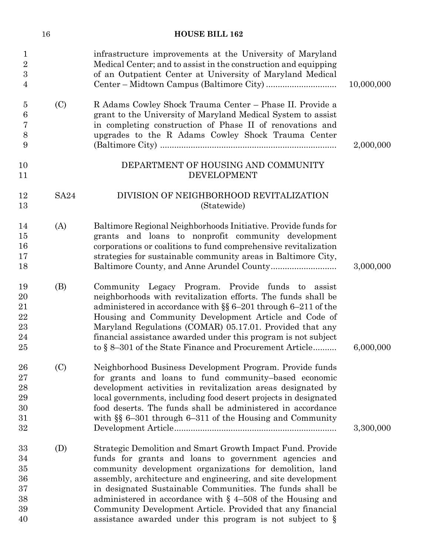|                                                | 16          | <b>HOUSE BILL 162</b>                                                                                                                                                                                                                                                                                                                                                                                                                                                                                       |            |
|------------------------------------------------|-------------|-------------------------------------------------------------------------------------------------------------------------------------------------------------------------------------------------------------------------------------------------------------------------------------------------------------------------------------------------------------------------------------------------------------------------------------------------------------------------------------------------------------|------------|
| 1<br>$\boldsymbol{2}$<br>$\boldsymbol{3}$<br>4 |             | infrastructure improvements at the University of Maryland<br>Medical Center; and to assist in the construction and equipping<br>of an Outpatient Center at University of Maryland Medical                                                                                                                                                                                                                                                                                                                   | 10,000,000 |
| $\overline{5}$<br>6<br>7<br>$8\,$<br>9         | (C)         | R Adams Cowley Shock Trauma Center - Phase II. Provide a<br>grant to the University of Maryland Medical System to assist<br>in completing construction of Phase II of renovations and<br>upgrades to the R Adams Cowley Shock Trauma Center                                                                                                                                                                                                                                                                 | 2,000,000  |
| 10<br>11                                       |             | DEPARTMENT OF HOUSING AND COMMUNITY<br><b>DEVELOPMENT</b>                                                                                                                                                                                                                                                                                                                                                                                                                                                   |            |
| 12<br>13                                       | <b>SA24</b> | DIVISION OF NEIGHBORHOOD REVITALIZATION<br>(Statewide)                                                                                                                                                                                                                                                                                                                                                                                                                                                      |            |
| 14<br>15<br>16<br>17<br>18                     | (A)         | Baltimore Regional Neighborhoods Initiative. Provide funds for<br>grants and loans to nonprofit community development<br>corporations or coalitions to fund comprehensive revitalization<br>strategies for sustainable community areas in Baltimore City,                                                                                                                                                                                                                                                   | 3,000,000  |
| 19<br>20<br>21<br>22<br>23<br>24<br>25         | (B)         | Community Legacy Program. Provide funds to assist<br>neighborhoods with revitalization efforts. The funds shall be<br>administered in accordance with $\S$ 6-201 through 6-211 of the<br>Housing and Community Development Article and Code of<br>Maryland Regulations (COMAR) 05.17.01. Provided that any<br>financial assistance awarded under this program is not subject<br>to § 8–301 of the State Finance and Procurement Article                                                                     | 6,000,000  |
| 26<br>27<br>28<br>29<br>30<br>31<br>32         | (C)         | Neighborhood Business Development Program. Provide funds<br>for grants and loans to fund community-based economic<br>development activities in revitalization areas designated by<br>local governments, including food desert projects in designated<br>food deserts. The funds shall be administered in accordance<br>with $\S$ 6-301 through 6-311 of the Housing and Community                                                                                                                           | 3,300,000  |
| 33<br>34<br>35<br>36<br>37<br>38<br>39<br>40   | (D)         | Strategic Demolition and Smart Growth Impact Fund. Provide<br>funds for grants and loans to government agencies and<br>community development organizations for demolition, land<br>assembly, architecture and engineering, and site development<br>in designated Sustainable Communities. The funds shall be<br>administered in accordance with $\S$ 4–508 of the Housing and<br>Community Development Article. Provided that any financial<br>assistance awarded under this program is not subject to $\S$ |            |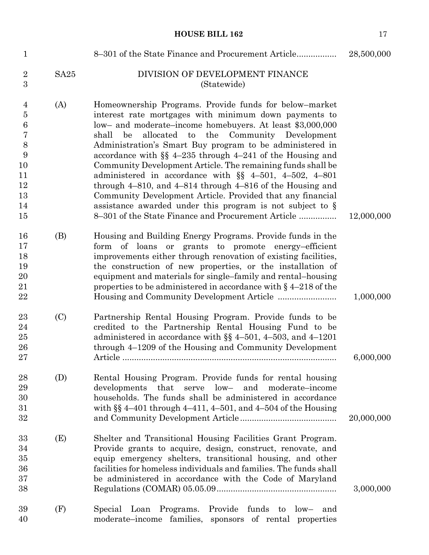| $\mathbf{1}$                                                                             |                  | 8–301 of the State Finance and Procurement Article                                                                                                                                                                                                                                                                                                                                                                                                                                                                                                                                                                                                                                                                                               | 28,500,000 |
|------------------------------------------------------------------------------------------|------------------|--------------------------------------------------------------------------------------------------------------------------------------------------------------------------------------------------------------------------------------------------------------------------------------------------------------------------------------------------------------------------------------------------------------------------------------------------------------------------------------------------------------------------------------------------------------------------------------------------------------------------------------------------------------------------------------------------------------------------------------------------|------------|
| $\overline{2}$<br>$\overline{3}$                                                         | SA <sub>25</sub> | DIVISION OF DEVELOPMENT FINANCE<br>(Statewide)                                                                                                                                                                                                                                                                                                                                                                                                                                                                                                                                                                                                                                                                                                   |            |
| $\overline{4}$<br>$\overline{5}$<br>6<br>7<br>8<br>9<br>10<br>11<br>12<br>13<br>14<br>15 | (A)              | Homeownership Programs. Provide funds for below-market<br>interest rate mortgages with minimum down payments to<br>low- and moderate-income homebuyers. At least \$3,000,000<br>allocated to the Community Development<br>shall be<br>Administration's Smart Buy program to be administered in<br>accordance with $\S$ 4-235 through 4-241 of the Housing and<br>Community Development Article. The remaining funds shall be<br>administered in accordance with $\S$ 4-501, 4-502, 4-801<br>through $4-810$ , and $4-814$ through $4-816$ of the Housing and<br>Community Development Article. Provided that any financial<br>assistance awarded under this program is not subject to $\S$<br>8-301 of the State Finance and Procurement Article | 12,000,000 |
| 16<br>17<br>18<br>19<br>20<br>21<br>22                                                   | (B)              | Housing and Building Energy Programs. Provide funds in the<br>form of loans or grants to promote energy-efficient<br>improvements either through renovation of existing facilities,<br>the construction of new properties, or the installation of<br>equipment and materials for single–family and rental–housing<br>properties to be administered in accordance with $\S$ 4–218 of the                                                                                                                                                                                                                                                                                                                                                          | 1,000,000  |
| 23<br>24<br>25<br>26<br>27                                                               | (C)              | Partnership Rental Housing Program. Provide funds to be<br>credited to the Partnership Rental Housing Fund to be<br>administered in accordance with $\S$ 4-501, 4-503, and 4-1201<br>through 4–1209 of the Housing and Community Development                                                                                                                                                                                                                                                                                                                                                                                                                                                                                                     | 6,000,000  |
| 28<br>29<br>30<br>31<br>32                                                               | (D)              | Rental Housing Program. Provide funds for rental housing<br>that<br>$low-$<br>and<br>developments<br>serve<br>moderate-income<br>households. The funds shall be administered in accordance<br>with $\S$ 4-401 through 4-411, 4-501, and 4-504 of the Housing                                                                                                                                                                                                                                                                                                                                                                                                                                                                                     | 20,000,000 |
| 33<br>34<br>35<br>36<br>37<br>38                                                         | (E)              | Shelter and Transitional Housing Facilities Grant Program.<br>Provide grants to acquire, design, construct, renovate, and<br>equip emergency shelters, transitional housing, and other<br>facilities for homeless individuals and families. The funds shall<br>be administered in accordance with the Code of Maryland                                                                                                                                                                                                                                                                                                                                                                                                                           | 3,000,000  |
| 39<br>40                                                                                 | (F)              | Provide funds to low- and<br>Special Loan Programs.<br>moderate-income families, sponsors of rental properties                                                                                                                                                                                                                                                                                                                                                                                                                                                                                                                                                                                                                                   |            |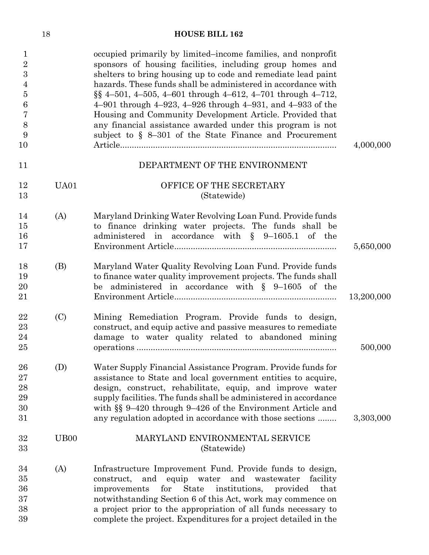| $\mathbf 1$<br>$\overline{2}$<br>$\overline{3}$<br>4<br>$\overline{5}$<br>6<br>7<br>8<br>9<br>10 |                  | occupied primarily by limited-income families, and nonprofit<br>sponsors of housing facilities, including group homes and<br>shelters to bring housing up to code and remediate lead paint<br>hazards. These funds shall be administered in accordance with<br>$\S$ § 4-501, 4-505, 4-601 through 4-612, 4-701 through 4-712,<br>4–901 through $4-923$ , $4-926$ through $4-931$ , and $4-933$ of the<br>Housing and Community Development Article. Provided that<br>any financial assistance awarded under this program is not<br>subject to $\S$ 8-301 of the State Finance and Procurement | 4,000,000  |
|--------------------------------------------------------------------------------------------------|------------------|-----------------------------------------------------------------------------------------------------------------------------------------------------------------------------------------------------------------------------------------------------------------------------------------------------------------------------------------------------------------------------------------------------------------------------------------------------------------------------------------------------------------------------------------------------------------------------------------------|------------|
| 11                                                                                               |                  | DEPARTMENT OF THE ENVIRONMENT                                                                                                                                                                                                                                                                                                                                                                                                                                                                                                                                                                 |            |
| 12<br>13                                                                                         | UA01             | OFFICE OF THE SECRETARY<br>(Statewide)                                                                                                                                                                                                                                                                                                                                                                                                                                                                                                                                                        |            |
| 14<br>15<br>16<br>17                                                                             | (A)              | Maryland Drinking Water Revolving Loan Fund. Provide funds<br>to finance drinking water projects. The funds shall be<br>administered in accordance with $\S$ 9-1605.1 of the                                                                                                                                                                                                                                                                                                                                                                                                                  | 5,650,000  |
| 18<br>19<br>20<br>21                                                                             | (B)              | Maryland Water Quality Revolving Loan Fund. Provide funds<br>to finance water quality improvement projects. The funds shall<br>be administered in accordance with $\S$ 9-1605 of the                                                                                                                                                                                                                                                                                                                                                                                                          | 13,200,000 |
| 22<br>23<br>24<br>25                                                                             | (C)              | Mining Remediation Program. Provide funds to design,<br>construct, and equip active and passive measures to remediate<br>damage to water quality related to abandoned mining                                                                                                                                                                                                                                                                                                                                                                                                                  | 500,000    |
| 26<br>27<br>28<br>29<br>30<br>31                                                                 | (D)              | Water Supply Financial Assistance Program. Provide funds for<br>assistance to State and local government entities to acquire,<br>design, construct, rehabilitate, equip, and improve water<br>supply facilities. The funds shall be administered in accordance<br>with §§ 9-420 through 9-426 of the Environment Article and<br>any regulation adopted in accordance with those sections                                                                                                                                                                                                      | 3,303,000  |
| 32<br>33                                                                                         | UB <sub>00</sub> | MARYLAND ENVIRONMENTAL SERVICE<br>(Statewide)                                                                                                                                                                                                                                                                                                                                                                                                                                                                                                                                                 |            |
| 34<br>35<br>36<br>37<br>38<br>39                                                                 | (A)              | Infrastructure Improvement Fund. Provide funds to design,<br>equip water and<br>wastewater<br>construct,<br>and<br>facility<br>for<br><b>State</b><br>institutions,<br>that<br>improvements<br>provided<br>notwithstanding Section 6 of this Act, work may commence on<br>a project prior to the appropriation of all funds necessary to<br>complete the project. Expenditures for a project detailed in the                                                                                                                                                                                  |            |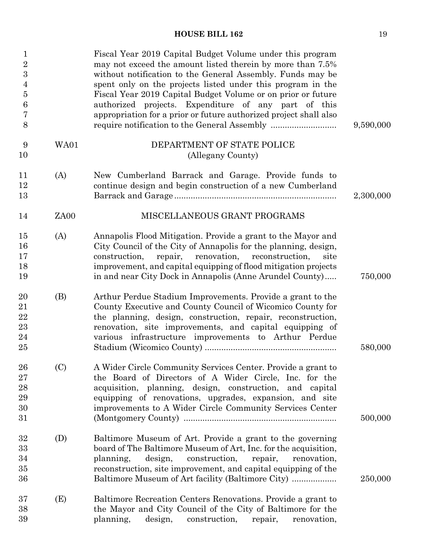| $\mathbf 1$<br>$\overline{2}$<br>$\overline{3}$<br>$\overline{4}$<br>$\overline{5}$<br>$6\phantom{.}6$<br>7<br>8 |      | Fiscal Year 2019 Capital Budget Volume under this program<br>may not exceed the amount listed therein by more than 7.5%<br>without notification to the General Assembly. Funds may be<br>spent only on the projects listed under this program in the<br>Fiscal Year 2019 Capital Budget Volume or on prior or future<br>authorized projects. Expenditure of any part of this<br>appropriation for a prior or future authorized project shall also | 9,590,000 |
|------------------------------------------------------------------------------------------------------------------|------|---------------------------------------------------------------------------------------------------------------------------------------------------------------------------------------------------------------------------------------------------------------------------------------------------------------------------------------------------------------------------------------------------------------------------------------------------|-----------|
| 9                                                                                                                | WA01 | DEPARTMENT OF STATE POLICE                                                                                                                                                                                                                                                                                                                                                                                                                        |           |
| 10                                                                                                               |      | (Allegany County)                                                                                                                                                                                                                                                                                                                                                                                                                                 |           |
| 11<br>12<br>13                                                                                                   | (A)  | New Cumberland Barrack and Garage. Provide funds to<br>continue design and begin construction of a new Cumberland                                                                                                                                                                                                                                                                                                                                 | 2,300,000 |
| 14                                                                                                               | ZA00 | MISCELLANEOUS GRANT PROGRAMS                                                                                                                                                                                                                                                                                                                                                                                                                      |           |
| 15<br>16<br>17<br>18<br>19                                                                                       | (A)  | Annapolis Flood Mitigation. Provide a grant to the Mayor and<br>City Council of the City of Annapolis for the planning, design,<br>construction,<br>repair, renovation, reconstruction,<br>site<br>improvement, and capital equipping of flood mitigation projects<br>in and near City Dock in Annapolis (Anne Arundel County)                                                                                                                    | 750,000   |
| 20<br>21<br>22<br>23<br>24<br>25                                                                                 | (B)  | Arthur Perdue Stadium Improvements. Provide a grant to the<br>County Executive and County Council of Wicomico County for<br>the planning, design, construction, repair, reconstruction,<br>renovation, site improvements, and capital equipping of<br>various infrastructure improvements to Arthur Perdue                                                                                                                                        | 580,000   |
| 26<br>27<br>28<br>29<br>30<br>31                                                                                 | (C)  | A Wider Circle Community Services Center. Provide a grant to<br>the Board of Directors of A Wider Circle, Inc. for the<br>acquisition, planning, design, construction, and capital<br>equipping of renovations, upgrades, expansion, and site<br>improvements to A Wider Circle Community Services Center                                                                                                                                         | 500,000   |
| 32<br>33<br>34<br>35<br>36                                                                                       | (D)  | Baltimore Museum of Art. Provide a grant to the governing<br>board of The Baltimore Museum of Art, Inc. for the acquisition,<br>planning,<br>design,<br>construction,<br>repair,<br>renovation,<br>reconstruction, site improvement, and capital equipping of the<br>Baltimore Museum of Art facility (Baltimore City)                                                                                                                            | 250,000   |
| 37<br>38<br>39                                                                                                   | (E)  | Baltimore Recreation Centers Renovations. Provide a grant to<br>the Mayor and City Council of the City of Baltimore for the<br>design,<br>planning,<br>construction,<br>repair,<br>renovation,                                                                                                                                                                                                                                                    |           |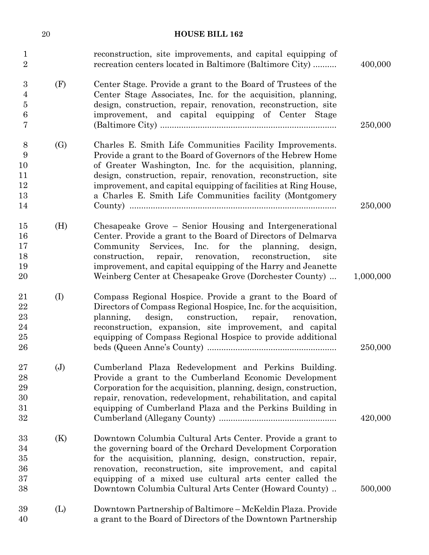|                                      | $20\,$            | <b>HOUSE BILL 162</b>                                                                                                                                                                                                                                                                                                                                                                   |           |
|--------------------------------------|-------------------|-----------------------------------------------------------------------------------------------------------------------------------------------------------------------------------------------------------------------------------------------------------------------------------------------------------------------------------------------------------------------------------------|-----------|
| $\mathbf{1}$<br>$\overline{2}$       |                   | reconstruction, site improvements, and capital equipping of<br>recreation centers located in Baltimore (Baltimore City)                                                                                                                                                                                                                                                                 | 400,000   |
| 3<br>4<br>$\overline{5}$<br>6<br>7   | (F)               | Center Stage. Provide a grant to the Board of Trustees of the<br>Center Stage Associates, Inc. for the acquisition, planning,<br>design, construction, repair, renovation, reconstruction, site<br>improvement, and capital equipping of Center Stage                                                                                                                                   | 250,000   |
| 8<br>9<br>10<br>11<br>12<br>13<br>14 | $\left( G\right)$ | Charles E. Smith Life Communities Facility Improvements.<br>Provide a grant to the Board of Governors of the Hebrew Home<br>of Greater Washington, Inc. for the acquisition, planning,<br>design, construction, repair, renovation, reconstruction, site<br>improvement, and capital equipping of facilities at Ring House,<br>a Charles E. Smith Life Communities facility (Montgomery | 250,000   |
| 15<br>16<br>17<br>18<br>19<br>20     | (H)               | Chesapeake Grove – Senior Housing and Intergenerational<br>Center. Provide a grant to the Board of Directors of Delmarva<br>Community Services, Inc. for the planning,<br>design,<br>construction,<br>repair, renovation, reconstruction,<br>site<br>improvement, and capital equipping of the Harry and Jeanette<br>Weinberg Center at Chesapeake Grove (Dorchester County)            | 1,000,000 |
| 21<br>22<br>23<br>24<br>25<br>26     | (I)               | Compass Regional Hospice. Provide a grant to the Board of<br>Directors of Compass Regional Hospice, Inc. for the acquisition,<br>construction, repair,<br>design,<br>planning,<br>renovation,<br>reconstruction, expansion, site improvement, and capital<br>equipping of Compass Regional Hospice to provide additional                                                                | 250,000   |
| 27<br>28<br>29<br>30<br>31<br>32     | (J)               | Cumberland Plaza Redevelopment and Perkins Building.<br>Provide a grant to the Cumberland Economic Development<br>Corporation for the acquisition, planning, design, construction,<br>repair, renovation, redevelopment, rehabilitation, and capital<br>equipping of Cumberland Plaza and the Perkins Building in                                                                       | 420,000   |
| 33<br>34<br>35<br>36<br>37<br>38     | (K)               | Downtown Columbia Cultural Arts Center. Provide a grant to<br>the governing board of the Orchard Development Corporation<br>for the acquisition, planning, design, construction, repair,<br>renovation, reconstruction, site improvement, and capital<br>equipping of a mixed use cultural arts center called the<br>Downtown Columbia Cultural Arts Center (Howard County)             | 500,000   |
| 39<br>40                             | (L)               | Downtown Partnership of Baltimore - McKeldin Plaza. Provide<br>a grant to the Board of Directors of the Downtown Partnership                                                                                                                                                                                                                                                            |           |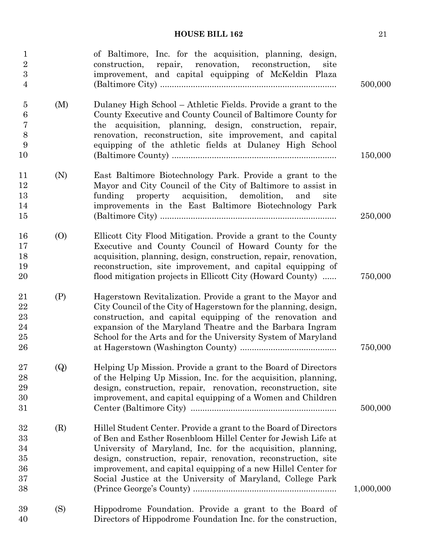| $\mathbf{1}$<br>$\overline{2}$<br>3<br>$\overline{4}$ |     | of Baltimore, Inc. for the acquisition, planning, design,<br>repair, renovation, reconstruction,<br>construction,<br>site<br>improvement, and capital equipping of McKeldin Plaza                                                                                                                                                                                                                 | 500,000   |
|-------------------------------------------------------|-----|---------------------------------------------------------------------------------------------------------------------------------------------------------------------------------------------------------------------------------------------------------------------------------------------------------------------------------------------------------------------------------------------------|-----------|
| $\bf 5$<br>6<br>7<br>8<br>9<br>10                     | (M) | Dulaney High School – Athletic Fields. Provide a grant to the<br>County Executive and County Council of Baltimore County for<br>the acquisition, planning, design, construction, repair,<br>renovation, reconstruction, site improvement, and capital<br>equipping of the athletic fields at Dulaney High School                                                                                  | 150,000   |
| 11<br>12<br>13<br>14<br>15                            | (N) | East Baltimore Biotechnology Park. Provide a grant to the<br>Mayor and City Council of the City of Baltimore to assist in<br>property acquisition, demolition,<br>funding<br>and<br>site<br>improvements in the East Baltimore Biotechnology Park                                                                                                                                                 | 250,000   |
| 16<br>17<br>18<br>19<br>20                            | (0) | Ellicott City Flood Mitigation. Provide a grant to the County<br>Executive and County Council of Howard County for the<br>acquisition, planning, design, construction, repair, renovation,<br>reconstruction, site improvement, and capital equipping of<br>flood mitigation projects in Ellicott City (Howard County)                                                                            | 750,000   |
| 21<br>22<br>23<br>24<br>25<br>26                      | (P) | Hagerstown Revitalization. Provide a grant to the Mayor and<br>City Council of the City of Hagerstown for the planning, design,<br>construction, and capital equipping of the renovation and<br>expansion of the Maryland Theatre and the Barbara Ingram<br>School for the Arts and for the University System of Maryland                                                                         | 750,000   |
| 27<br>28<br>29<br>30<br>31                            | (Q) | Helping Up Mission. Provide a grant to the Board of Directors<br>of the Helping Up Mission, Inc. for the acquisition, planning,<br>design, construction, repair, renovation, reconstruction, site<br>improvement, and capital equipping of a Women and Children                                                                                                                                   | 500,000   |
| 32<br>33<br>34<br>35<br>36<br>37<br>38                | (R) | Hillel Student Center. Provide a grant to the Board of Directors<br>of Ben and Esther Rosenbloom Hillel Center for Jewish Life at<br>University of Maryland, Inc. for the acquisition, planning,<br>design, construction, repair, renovation, reconstruction, site<br>improvement, and capital equipping of a new Hillel Center for<br>Social Justice at the University of Maryland, College Park | 1,000,000 |
| 39<br>40                                              | (S) | Hippodrome Foundation. Provide a grant to the Board of<br>Directors of Hippodrome Foundation Inc. for the construction,                                                                                                                                                                                                                                                                           |           |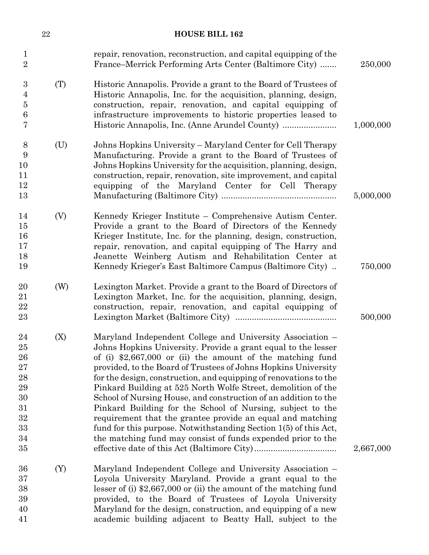|                                                                      | $22\,$ | <b>HOUSE BILL 162</b>                                                                                                                                                                                                                                                                                                                                                                                                                                                                                                                                                                                                                                                                                                                |           |
|----------------------------------------------------------------------|--------|--------------------------------------------------------------------------------------------------------------------------------------------------------------------------------------------------------------------------------------------------------------------------------------------------------------------------------------------------------------------------------------------------------------------------------------------------------------------------------------------------------------------------------------------------------------------------------------------------------------------------------------------------------------------------------------------------------------------------------------|-----------|
| $\mathbf 1$<br>$\overline{2}$                                        |        | repair, renovation, reconstruction, and capital equipping of the<br>France–Merrick Performing Arts Center (Baltimore City)                                                                                                                                                                                                                                                                                                                                                                                                                                                                                                                                                                                                           | 250,000   |
| 3<br>4<br>$\bf 5$<br>$\,6$<br>7                                      | (T)    | Historic Annapolis. Provide a grant to the Board of Trustees of<br>Historic Annapolis, Inc. for the acquisition, planning, design,<br>construction, repair, renovation, and capital equipping of<br>infrastructure improvements to historic properties leased to                                                                                                                                                                                                                                                                                                                                                                                                                                                                     | 1,000,000 |
| $8\,$<br>9<br>10<br>11<br>12<br>13                                   | (U)    | Johns Hopkins University – Maryland Center for Cell Therapy<br>Manufacturing. Provide a grant to the Board of Trustees of<br>Johns Hopkins University for the acquisition, planning, design,<br>construction, repair, renovation, site improvement, and capital<br>equipping of the Maryland Center for Cell Therapy                                                                                                                                                                                                                                                                                                                                                                                                                 | 5,000,000 |
| 14<br>15<br>16<br>17<br>18<br>19                                     | (V)    | Kennedy Krieger Institute – Comprehensive Autism Center.<br>Provide a grant to the Board of Directors of the Kennedy<br>Krieger Institute, Inc. for the planning, design, construction,<br>repair, renovation, and capital equipping of The Harry and<br>Jeanette Weinberg Autism and Rehabilitation Center at<br>Kennedy Krieger's East Baltimore Campus (Baltimore City)                                                                                                                                                                                                                                                                                                                                                           | 750,000   |
| 20<br>21<br>22<br>23                                                 | (W)    | Lexington Market. Provide a grant to the Board of Directors of<br>Lexington Market, Inc. for the acquisition, planning, design,<br>construction, repair, renovation, and capital equipping of                                                                                                                                                                                                                                                                                                                                                                                                                                                                                                                                        | 500,000   |
| 24<br>25<br>26<br>27<br>28<br>29<br>30<br>31<br>32<br>33<br>34<br>35 | (X)    | Maryland Independent College and University Association -<br>Johns Hopkins University. Provide a grant equal to the lesser<br>of (i) $$2,667,000$ or (ii) the amount of the matching fund<br>provided, to the Board of Trustees of Johns Hopkins University<br>for the design, construction, and equipping of renovations to the<br>Pinkard Building at 525 North Wolfe Street, demolition of the<br>School of Nursing House, and construction of an addition to the<br>Pinkard Building for the School of Nursing, subject to the<br>requirement that the grantee provide an equal and matching<br>fund for this purpose. Notwithstanding Section 1(5) of this Act,<br>the matching fund may consist of funds expended prior to the | 2,667,000 |
| 36<br>37<br>38<br>39<br>40<br>41                                     | (Y)    | Maryland Independent College and University Association –<br>Loyola University Maryland. Provide a grant equal to the<br>lesser of (i) $$2,667,000$ or (ii) the amount of the matching fund<br>provided, to the Board of Trustees of Loyola University<br>Maryland for the design, construction, and equipping of a new<br>academic building adjacent to Beatty Hall, subject to the                                                                                                                                                                                                                                                                                                                                                 |           |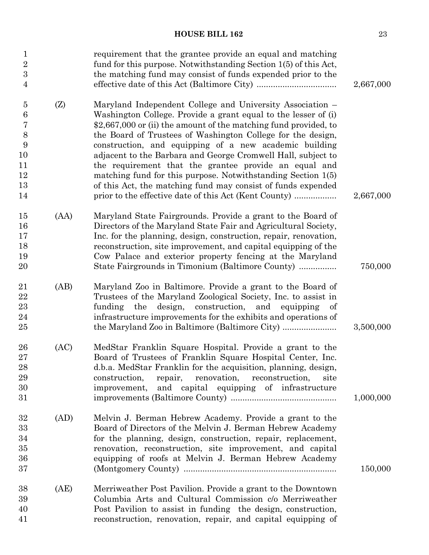| 2,667,000 | requirement that the grantee provide an equal and matching<br>fund for this purpose. Notwithstanding Section 1(5) of this Act,<br>the matching fund may consist of funds expended prior to the                                                                                                                                                                                                                                                                                                                                                                                                                                               | 1<br>$\overline{2}$<br>3<br>$\overline{4}$                                                          |
|-----------|----------------------------------------------------------------------------------------------------------------------------------------------------------------------------------------------------------------------------------------------------------------------------------------------------------------------------------------------------------------------------------------------------------------------------------------------------------------------------------------------------------------------------------------------------------------------------------------------------------------------------------------------|-----------------------------------------------------------------------------------------------------|
| 2,667,000 | Maryland Independent College and University Association –<br>Washington College. Provide a grant equal to the lesser of (i)<br>\$2,667,000 or (ii) the amount of the matching fund provided, to<br>the Board of Trustees of Washington College for the design,<br>construction, and equipping of a new academic building<br>adjacent to the Barbara and George Cromwell Hall, subject to<br>the requirement that the grantee provide an equal and<br>matching fund for this purpose. Notwithstanding Section $1(5)$<br>of this Act, the matching fund may consist of funds expended<br>prior to the effective date of this Act (Kent County) | $\overline{5}$<br>(Z)<br>$\boldsymbol{6}$<br>$\overline{7}$<br>8<br>9<br>10<br>11<br>12<br>13<br>14 |
| 750,000   | Maryland State Fairgrounds. Provide a grant to the Board of<br>Directors of the Maryland State Fair and Agricultural Society,<br>Inc. for the planning, design, construction, repair, renovation,<br>reconstruction, site improvement, and capital equipping of the<br>Cow Palace and exterior property fencing at the Maryland<br>State Fairgrounds in Timonium (Baltimore County)                                                                                                                                                                                                                                                          | (AA)<br>15<br>16<br>17<br>18<br>19<br>20                                                            |
| 3,500,000 | Maryland Zoo in Baltimore. Provide a grant to the Board of<br>Trustees of the Maryland Zoological Society, Inc. to assist in<br>design, construction,<br>and equipping<br>funding<br>the<br>of<br>infrastructure improvements for the exhibits and operations of<br>the Maryland Zoo in Baltimore (Baltimore City)                                                                                                                                                                                                                                                                                                                           | 21<br>(AB)<br>22<br>23<br>24<br>25                                                                  |
| 1,000,000 | MedStar Franklin Square Hospital. Provide a grant to the<br>Board of Trustees of Franklin Square Hospital Center, Inc.<br>d.b.a. MedStar Franklin for the acquisition, planning, design,<br>repair,<br>renovation,<br>construction,<br>reconstruction,<br>site<br>and capital equipping of infrastructure<br>improvement,                                                                                                                                                                                                                                                                                                                    | 26<br>(AC)<br>$27\,$<br>28<br>29<br>30<br>31                                                        |
| 150,000   | Melvin J. Berman Hebrew Academy. Provide a grant to the<br>Board of Directors of the Melvin J. Berman Hebrew Academy<br>for the planning, design, construction, repair, replacement,<br>renovation, reconstruction, site improvement, and capital<br>equipping of roofs at Melvin J. Berman Hebrew Academy                                                                                                                                                                                                                                                                                                                                   | 32<br>(AD)<br>33<br>34<br>35<br>36<br>37                                                            |
|           | Merriweather Post Pavilion. Provide a grant to the Downtown<br>Columbia Arts and Cultural Commission c/o Merriweather<br>Post Pavilion to assist in funding the design, construction,<br>reconstruction, renovation, repair, and capital equipping of                                                                                                                                                                                                                                                                                                                                                                                        | (AE)<br>38<br>39<br>40<br>41                                                                        |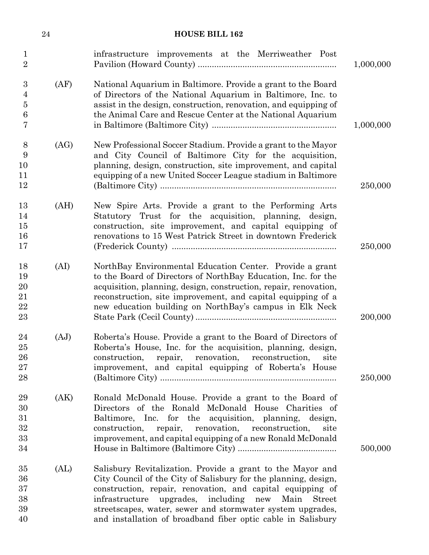|                                                 | $\sqrt{24}$ | <b>HOUSE BILL 162</b>                                                                                                                                                                                                                                                                                                                                                                     |           |
|-------------------------------------------------|-------------|-------------------------------------------------------------------------------------------------------------------------------------------------------------------------------------------------------------------------------------------------------------------------------------------------------------------------------------------------------------------------------------------|-----------|
| $\mathbf{1}$<br>$\overline{2}$                  |             | infrastructure improvements at the Merriweather Post                                                                                                                                                                                                                                                                                                                                      | 1,000,000 |
| 3<br>$\overline{4}$<br>$\overline{5}$<br>6<br>7 | (AF)        | National Aquarium in Baltimore. Provide a grant to the Board<br>of Directors of the National Aquarium in Baltimore, Inc. to<br>assist in the design, construction, renovation, and equipping of<br>the Animal Care and Rescue Center at the National Aquarium                                                                                                                             | 1,000,000 |
| 8<br>9<br>10<br>11<br>12                        | (AG)        | New Professional Soccer Stadium. Provide a grant to the Mayor<br>and City Council of Baltimore City for the acquisition,<br>planning, design, construction, site improvement, and capital<br>equipping of a new United Soccer League stadium in Baltimore                                                                                                                                 | 250,000   |
| 13<br>14<br>15<br>16<br>17                      | (AH)        | New Spire Arts. Provide a grant to the Performing Arts<br>Statutory Trust for the acquisition, planning, design,<br>construction, site improvement, and capital equipping of<br>renovations to 15 West Patrick Street in downtown Frederick                                                                                                                                               | 250,000   |
| 18<br>19<br>20<br>21<br>22<br>23                | (AI)        | NorthBay Environmental Education Center. Provide a grant<br>to the Board of Directors of NorthBay Education, Inc. for the<br>acquisition, planning, design, construction, repair, renovation,<br>reconstruction, site improvement, and capital equipping of a<br>new education building on NorthBay's campus in Elk Neck                                                                  | 200,000   |
| 24<br>25<br>26<br>27<br>28                      | (AJ)        | Roberta's House. Provide a grant to the Board of Directors of<br>Roberta's House, Inc. for the acquisition, planning, design,<br>repair, renovation, reconstruction,<br>construction,<br>site<br>improvement, and capital equipping of Roberta's House                                                                                                                                    | 250,000   |
| 29<br>30<br>31<br>32<br>33<br>34                | (AK)        | Ronald McDonald House. Provide a grant to the Board of<br>Directors of the Ronald McDonald House Charities of<br>Baltimore, Inc. for the acquisition, planning, design,<br>construction,<br>repair,<br>renovation,<br>reconstruction,<br>site<br>improvement, and capital equipping of a new Ronald McDonald                                                                              | 500,000   |
| 35<br>36<br>37<br>38<br>39<br>40                | (AL)        | Salisbury Revitalization. Provide a grant to the Mayor and<br>City Council of the City of Salisbury for the planning, design,<br>construction, repair, renovation, and capital equipping of<br>infrastructure upgrades, including new Main<br><b>Street</b><br>streetscapes, water, sewer and stormwater system upgrades,<br>and installation of broadband fiber optic cable in Salisbury |           |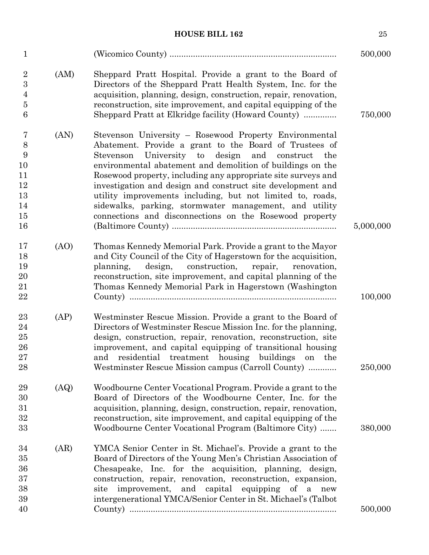| $\mathbf{1}$                                              |      |                                                                                                                                                                                                                                                                                                                                                                                                                                                                                                                                                                | 500,000   |
|-----------------------------------------------------------|------|----------------------------------------------------------------------------------------------------------------------------------------------------------------------------------------------------------------------------------------------------------------------------------------------------------------------------------------------------------------------------------------------------------------------------------------------------------------------------------------------------------------------------------------------------------------|-----------|
| $\overline{2}$<br>3<br>4<br>$\bf 5$<br>6                  | (AM) | Sheppard Pratt Hospital. Provide a grant to the Board of<br>Directors of the Sheppard Pratt Health System, Inc. for the<br>acquisition, planning, design, construction, repair, renovation,<br>reconstruction, site improvement, and capital equipping of the<br>Sheppard Pratt at Elkridge facility (Howard County)                                                                                                                                                                                                                                           | 750,000   |
| 7<br>$8\,$<br>9<br>10<br>11<br>12<br>13<br>14<br>15<br>16 | (AN) | Stevenson University - Rosewood Property Environmental<br>Abatement. Provide a grant to the Board of Trustees of<br>University to design and<br>Stevenson<br>construct<br>the<br>environmental abatement and demolition of buildings on the<br>Rosewood property, including any appropriate site surveys and<br>investigation and design and construct site development and<br>utility improvements including, but not limited to, roads,<br>sidewalks, parking, stormwater management, and utility<br>connections and disconnections on the Rosewood property | 5,000,000 |
| 17<br>18<br>19<br>20<br>21<br>$\bf{22}$                   | (AO) | Thomas Kennedy Memorial Park. Provide a grant to the Mayor<br>and City Council of the City of Hagerstown for the acquisition,<br>construction,<br>planning,<br>design,<br>repair,<br>renovation,<br>reconstruction, site improvement, and capital planning of the<br>Thomas Kennedy Memorial Park in Hagerstown (Washington                                                                                                                                                                                                                                    | 100,000   |
| 23<br>24<br>25<br>26<br>27<br>28                          | (AP) | Westminster Rescue Mission. Provide a grant to the Board of<br>Directors of Westminster Rescue Mission Inc. for the planning,<br>design, construction, repair, renovation, reconstruction, site<br>improvement, and capital equipping of transitional housing<br>and residential treatment housing buildings<br>the<br>on<br>Westminster Rescue Mission campus (Carroll County)                                                                                                                                                                                | 250,000   |
| 29<br>30<br>31<br>32<br>33                                | (AQ) | Woodbourne Center Vocational Program. Provide a grant to the<br>Board of Directors of the Woodbourne Center, Inc. for the<br>acquisition, planning, design, construction, repair, renovation,<br>reconstruction, site improvement, and capital equipping of the<br>Woodbourne Center Vocational Program (Baltimore City)                                                                                                                                                                                                                                       | 380,000   |
| 34<br>35<br>36<br>$37\,$<br>38<br>39                      | (AR) | YMCA Senior Center in St. Michael's. Provide a grant to the<br>Board of Directors of the Young Men's Christian Association of<br>Chesapeake, Inc. for the acquisition, planning, design,<br>construction, repair, renovation, reconstruction, expansion,<br>improvement, and capital equipping of a<br>site<br>new<br>intergenerational YMCA/Senior Center in St. Michael's (Talbot                                                                                                                                                                            |           |
| 40                                                        |      |                                                                                                                                                                                                                                                                                                                                                                                                                                                                                                                                                                | 500,000   |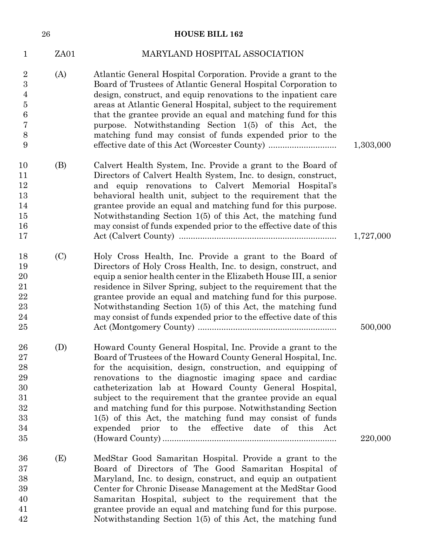|                                                                                       | 26   | <b>HOUSE BILL 162</b>                                                                                                                                                                                                                                                                                                                                                                                                                                                                                                                                             |           |
|---------------------------------------------------------------------------------------|------|-------------------------------------------------------------------------------------------------------------------------------------------------------------------------------------------------------------------------------------------------------------------------------------------------------------------------------------------------------------------------------------------------------------------------------------------------------------------------------------------------------------------------------------------------------------------|-----------|
| 1                                                                                     | ZA01 | MARYLAND HOSPITAL ASSOCIATION                                                                                                                                                                                                                                                                                                                                                                                                                                                                                                                                     |           |
| $\overline{2}$<br>$\boldsymbol{3}$<br>4<br>$\overline{5}$<br>$\,6$<br>7<br>$8\,$<br>9 | (A)  | Atlantic General Hospital Corporation. Provide a grant to the<br>Board of Trustees of Atlantic General Hospital Corporation to<br>design, construct, and equip renovations to the inpatient care<br>areas at Atlantic General Hospital, subject to the requirement<br>that the grantee provide an equal and matching fund for this<br>purpose. Notwithstanding Section 1(5) of this Act, the<br>matching fund may consist of funds expended prior to the                                                                                                          | 1,303,000 |
| 10<br>11<br>12<br>13<br>14<br>15<br>16<br>17                                          | (B)  | Calvert Health System, Inc. Provide a grant to the Board of<br>Directors of Calvert Health System, Inc. to design, construct,<br>and equip renovations to Calvert Memorial Hospital's<br>behavioral health unit, subject to the requirement that the<br>grantee provide an equal and matching fund for this purpose.<br>Notwithstanding Section 1(5) of this Act, the matching fund<br>may consist of funds expended prior to the effective date of this                                                                                                          | 1,727,000 |
| 18<br>19<br>20<br>21<br>$\bf{22}$<br>23<br>24<br>25                                   | (C)  | Holy Cross Health, Inc. Provide a grant to the Board of<br>Directors of Holy Cross Health, Inc. to design, construct, and<br>equip a senior health center in the Elizabeth House III, a senior<br>residence in Silver Spring, subject to the requirement that the<br>grantee provide an equal and matching fund for this purpose.<br>Notwithstanding Section 1(5) of this Act, the matching fund<br>may consist of funds expended prior to the effective date of this                                                                                             | 500,000   |
| ${\bf 26}$<br>27<br>28<br>29<br>30<br>31<br>32<br>33<br>34<br>35                      | (D)  | Howard County General Hospital, Inc. Provide a grant to the<br>Board of Trustees of the Howard County General Hospital, Inc.<br>for the acquisition, design, construction, and equipping of<br>renovations to the diagnostic imaging space and cardiac<br>catheterization lab at Howard County General Hospital,<br>subject to the requirement that the grantee provide an equal<br>and matching fund for this purpose. Notwithstanding Section<br>$1(5)$ of this Act, the matching fund may consist of funds<br>expended prior to the effective date of this Act | 220,000   |
| 36<br>37<br>38<br>39<br>40<br>41<br>42                                                | (E)  | MedStar Good Samaritan Hospital. Provide a grant to the<br>Board of Directors of The Good Samaritan Hospital of<br>Maryland, Inc. to design, construct, and equip an outpatient<br>Center for Chronic Disease Management at the MedStar Good<br>Samaritan Hospital, subject to the requirement that the<br>grantee provide an equal and matching fund for this purpose.<br>Notwithstanding Section 1(5) of this Act, the matching fund                                                                                                                            |           |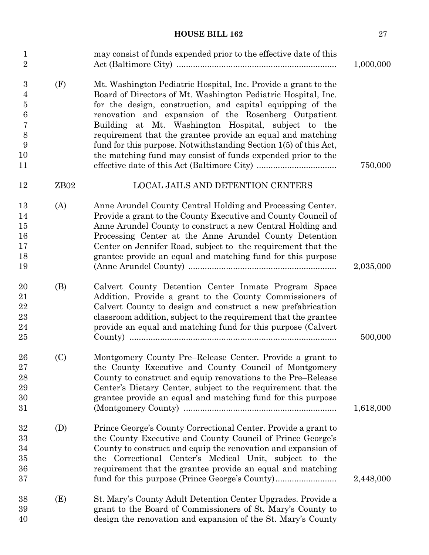| $\mathbf{1}$<br>$\overline{2}$                                                         |                  | may consist of funds expended prior to the effective date of this                                                                                                                                                                                                                                                                                                                                                                                                                                              | 1,000,000 |
|----------------------------------------------------------------------------------------|------------------|----------------------------------------------------------------------------------------------------------------------------------------------------------------------------------------------------------------------------------------------------------------------------------------------------------------------------------------------------------------------------------------------------------------------------------------------------------------------------------------------------------------|-----------|
| $\boldsymbol{3}$<br>$\overline{4}$<br>5<br>$\boldsymbol{6}$<br>7<br>8<br>9<br>10<br>11 | (F)              | Mt. Washington Pediatric Hospital, Inc. Provide a grant to the<br>Board of Directors of Mt. Washington Pediatric Hospital, Inc.<br>for the design, construction, and capital equipping of the<br>renovation and expansion of the Rosenberg Outpatient<br>Building at Mt. Washington Hospital, subject to the<br>requirement that the grantee provide an equal and matching<br>fund for this purpose. Notwithstanding Section 1(5) of this Act,<br>the matching fund may consist of funds expended prior to the | 750,000   |
| 12                                                                                     | ZB <sub>02</sub> | <b>LOCAL JAILS AND DETENTION CENTERS</b>                                                                                                                                                                                                                                                                                                                                                                                                                                                                       |           |
| 13<br>14<br>15<br>16<br>17<br>18<br>19                                                 | (A)              | Anne Arundel County Central Holding and Processing Center.<br>Provide a grant to the County Executive and County Council of<br>Anne Arundel County to construct a new Central Holding and<br>Processing Center at the Anne Arundel County Detention<br>Center on Jennifer Road, subject to the requirement that the<br>grantee provide an equal and matching fund for this purpose                                                                                                                             | 2,035,000 |
| 20<br>21<br>22<br>$\bf 23$<br>24<br>25                                                 | (B)              | Calvert County Detention Center Inmate Program Space<br>Addition. Provide a grant to the County Commissioners of<br>Calvert County to design and construct a new prefabrication<br>classroom addition, subject to the requirement that the grantee<br>provide an equal and matching fund for this purpose (Calvert                                                                                                                                                                                             | 500,000   |
| 26<br>27<br>28<br>29<br>30<br>31                                                       | (C)              | Montgomery County Pre-Release Center. Provide a grant to<br>the County Executive and County Council of Montgomery<br>County to construct and equip renovations to the Pre-Release<br>Center's Dietary Center, subject to the requirement that the<br>grantee provide an equal and matching fund for this purpose                                                                                                                                                                                               | 1,618,000 |
| 32<br>33<br>34<br>35<br>36<br>37                                                       | (D)              | Prince George's County Correctional Center. Provide a grant to<br>the County Executive and County Council of Prince George's<br>County to construct and equip the renovation and expansion of<br>the Correctional Center's Medical Unit, subject to the<br>requirement that the grantee provide an equal and matching<br>fund for this purpose (Prince George's County)                                                                                                                                        | 2,448,000 |
| 38<br>39<br>40                                                                         | (E)              | St. Mary's County Adult Detention Center Upgrades. Provide a<br>grant to the Board of Commissioners of St. Mary's County to<br>design the renovation and expansion of the St. Mary's County                                                                                                                                                                                                                                                                                                                    |           |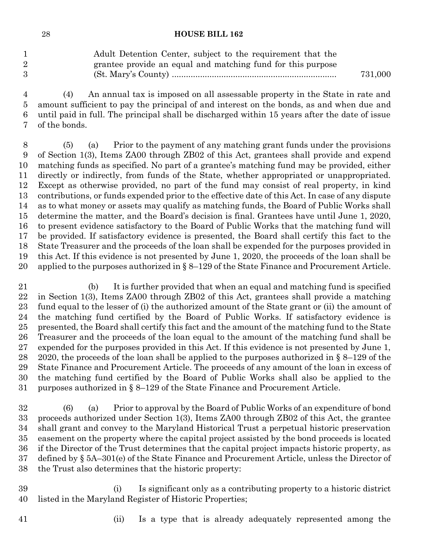|                | Adult Detention Center, subject to the requirement that the |         |
|----------------|-------------------------------------------------------------|---------|
| $\overline{2}$ | grantee provide an equal and matching fund for this purpose |         |
| 3              |                                                             | 731,000 |

 (4) An annual tax is imposed on all assessable property in the State in rate and amount sufficient to pay the principal of and interest on the bonds, as and when due and until paid in full. The principal shall be discharged within 15 years after the date of issue of the bonds.

 (5) (a) Prior to the payment of any matching grant funds under the provisions of Section 1(3), Items ZA00 through ZB02 of this Act, grantees shall provide and expend matching funds as specified. No part of a grantee's matching fund may be provided, either directly or indirectly, from funds of the State, whether appropriated or unappropriated. Except as otherwise provided, no part of the fund may consist of real property, in kind contributions, or funds expended prior to the effective date of this Act. In case of any dispute as to what money or assets may qualify as matching funds, the Board of Public Works shall determine the matter, and the Board's decision is final. Grantees have until June 1, 2020, to present evidence satisfactory to the Board of Public Works that the matching fund will be provided. If satisfactory evidence is presented, the Board shall certify this fact to the State Treasurer and the proceeds of the loan shall be expended for the purposes provided in this Act. If this evidence is not presented by June 1, 2020, the proceeds of the loan shall be applied to the purposes authorized in § 8–129 of the State Finance and Procurement Article.

 (b) It is further provided that when an equal and matching fund is specified in Section 1(3), Items ZA00 through ZB02 of this Act, grantees shall provide a matching fund equal to the lesser of (i) the authorized amount of the State grant or (ii) the amount of the matching fund certified by the Board of Public Works. If satisfactory evidence is presented, the Board shall certify this fact and the amount of the matching fund to the State Treasurer and the proceeds of the loan equal to the amount of the matching fund shall be expended for the purposes provided in this Act. If this evidence is not presented by June 1, 28 2020, the proceeds of the loan shall be applied to the purposes authorized in  $\S 8-129$  of the State Finance and Procurement Article. The proceeds of any amount of the loan in excess of the matching fund certified by the Board of Public Works shall also be applied to the purposes authorized in § 8–129 of the State Finance and Procurement Article.

 (6) (a) Prior to approval by the Board of Public Works of an expenditure of bond proceeds authorized under Section 1(3), Items ZA00 through ZB02 of this Act, the grantee shall grant and convey to the Maryland Historical Trust a perpetual historic preservation easement on the property where the capital project assisted by the bond proceeds is located if the Director of the Trust determines that the capital project impacts historic property, as defined by § 5A–301(e) of the State Finance and Procurement Article, unless the Director of the Trust also determines that the historic property:

 (i) Is significant only as a contributing property to a historic district listed in the Maryland Register of Historic Properties;

- 
- (ii) Is a type that is already adequately represented among the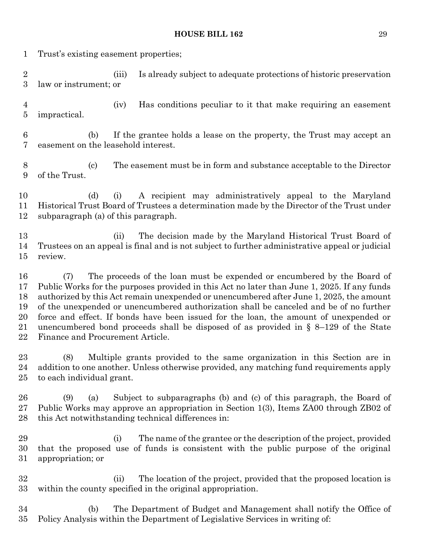| 1                                      | Trust's existing easement properties;                                                                                                                                                                                                                                                                                                                                                                                                                                                                                                                                                     |  |  |  |  |
|----------------------------------------|-------------------------------------------------------------------------------------------------------------------------------------------------------------------------------------------------------------------------------------------------------------------------------------------------------------------------------------------------------------------------------------------------------------------------------------------------------------------------------------------------------------------------------------------------------------------------------------------|--|--|--|--|
| $\overline{2}$<br>$\boldsymbol{3}$     | Is already subject to adequate protections of historic preservation<br>(iii)<br>law or instrument; or                                                                                                                                                                                                                                                                                                                                                                                                                                                                                     |  |  |  |  |
| $\overline{4}$<br>5                    | Has conditions peculiar to it that make requiring an easement<br>(iv)<br><i>impractical.</i>                                                                                                                                                                                                                                                                                                                                                                                                                                                                                              |  |  |  |  |
| $6\phantom{.}6$<br>7                   | If the grantee holds a lease on the property, the Trust may accept an<br>(b)<br>easement on the leasehold interest.                                                                                                                                                                                                                                                                                                                                                                                                                                                                       |  |  |  |  |
| 8<br>9                                 | The easement must be in form and substance acceptable to the Director<br>$\left( \mathrm{c}\right)$<br>of the Trust.                                                                                                                                                                                                                                                                                                                                                                                                                                                                      |  |  |  |  |
| 10<br>11<br>12                         | A recipient may administratively appeal to the Maryland<br>(d)<br>(i)<br>Historical Trust Board of Trustees a determination made by the Director of the Trust under<br>subparagraph (a) of this paragraph.                                                                                                                                                                                                                                                                                                                                                                                |  |  |  |  |
| 13<br>14<br>$15\,$                     | The decision made by the Maryland Historical Trust Board of<br>(ii)<br>Trustees on an appeal is final and is not subject to further administrative appeal or judicial<br>review.                                                                                                                                                                                                                                                                                                                                                                                                          |  |  |  |  |
| 16<br>17<br>18<br>19<br>20<br>21<br>22 | The proceeds of the loan must be expended or encumbered by the Board of<br>(7)<br>Public Works for the purposes provided in this Act no later than June 1, 2025. If any funds<br>authorized by this Act remain unexpended or unencumbered after June 1, 2025, the amount<br>of the unexpended or unencumbered authorization shall be canceled and be of no further<br>force and effect. If bonds have been issued for the loan, the amount of unexpended or<br>unencumbered bond proceeds shall be disposed of as provided in $\S$ 8–129 of the State<br>Finance and Procurement Article. |  |  |  |  |
| $23\,$<br>24<br>25                     | Multiple grants provided to the same organization in this Section are in<br>(8)<br>addition to one another. Unless otherwise provided, any matching fund requirements apply<br>to each individual grant.                                                                                                                                                                                                                                                                                                                                                                                  |  |  |  |  |
| 26<br>$27\,$<br>28                     | Subject to subparagraphs (b) and (c) of this paragraph, the Board of<br>(9)<br>(a)<br>Public Works may approve an appropriation in Section 1(3), Items ZA00 through ZB02 of<br>this Act notwithstanding technical differences in:                                                                                                                                                                                                                                                                                                                                                         |  |  |  |  |
| 29<br>30<br>$31\,$                     | The name of the grantee or the description of the project, provided<br>(i)<br>that the proposed use of funds is consistent with the public purpose of the original<br>appropriation; or                                                                                                                                                                                                                                                                                                                                                                                                   |  |  |  |  |
| 32<br>$33\,$                           | The location of the project, provided that the proposed location is<br>(ii)<br>within the county specified in the original appropriation.                                                                                                                                                                                                                                                                                                                                                                                                                                                 |  |  |  |  |
| 34<br>$35\,$                           | The Department of Budget and Management shall notify the Office of<br>(b)<br>Policy Analysis within the Department of Legislative Services in writing of:                                                                                                                                                                                                                                                                                                                                                                                                                                 |  |  |  |  |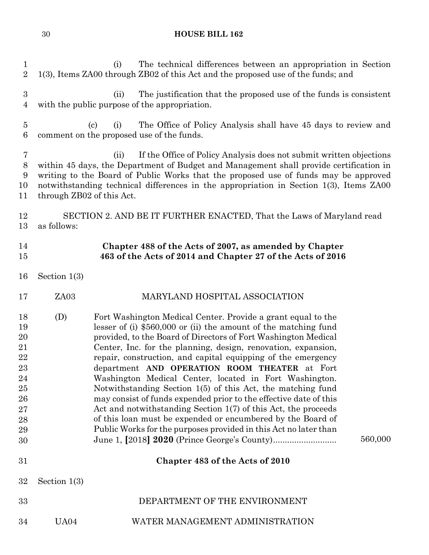(i) The technical differences between an appropriation in Section 1(3), Items ZA00 through ZB02 of this Act and the proposed use of the funds; and (ii) The justification that the proposed use of the funds is consistent with the public purpose of the appropriation. (c) (i) The Office of Policy Analysis shall have 45 days to review and comment on the proposed use of the funds. (ii) If the Office of Policy Analysis does not submit written objections within 45 days, the Department of Budget and Management shall provide certification in writing to the Board of Public Works that the proposed use of funds may be approved notwithstanding technical differences in the appropriation in Section 1(3), Items ZA00 through ZB02 of this Act. 12 SECTION 2. AND BE IT FURTHER ENACTED, That the Laws of Maryland read as follows: Section 1(3) Section 1(3) **Chapter 488 of the Acts of 2007, as amended by Chapter 463 of the Acts of 2014 and Chapter 27 of the Acts of 2016** ZA03 MARYLAND HOSPITAL ASSOCIATION (D) Fort Washington Medical Center. Provide a grant equal to the lesser of (i) \$560,000 or (ii) the amount of the matching fund provided, to the Board of Directors of Fort Washington Medical Center, Inc. for the planning, design, renovation, expansion, repair, construction, and capital equipping of the emergency department **AND OPERATION ROOM THEATER** at Fort Washington Medical Center, located in Fort Washington. Notwithstanding Section 1(5) of this Act, the matching fund may consist of funds expended prior to the effective date of this Act and notwithstanding Section 1(7) of this Act, the proceeds of this loan must be expended or encumbered by the Board of Public Works for the purposes provided in this Act no later than June 1, **[**2018**] 2020** (Prince George's County)........................... 560,000 **Chapter 483 of the Acts of 2010** DEPARTMENT OF THE ENVIRONMENT UA04 WATER MANAGEMENT ADMINISTRATION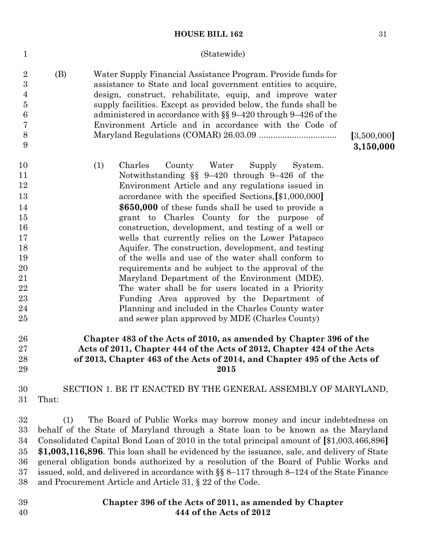### (Statewide)

| $\overline{2}$<br>3<br>$\overline{4}$<br>$\overline{5}$<br>$\boldsymbol{6}$<br>7<br>8<br>9 | (B) | Water Supply Financial Assistance Program. Provide funds for<br>assistance to State and local government entities to acquire,<br>design, construct, rehabilitate, equip, and improve water<br>supply facilities. Except as provided below, the funds shall be<br>administered in accordance with $\S$ 9-420 through 9-426 of the<br>Environment Article and in accordance with the Code of<br>[3,500,000]<br>3,150,000 |
|--------------------------------------------------------------------------------------------|-----|------------------------------------------------------------------------------------------------------------------------------------------------------------------------------------------------------------------------------------------------------------------------------------------------------------------------------------------------------------------------------------------------------------------------|
| 10                                                                                         |     | Charles<br>(1)<br>County<br>Water<br>Supply<br>System.                                                                                                                                                                                                                                                                                                                                                                 |
| 11                                                                                         |     | Notwithstanding $\S$ 9-420 through 9-426 of the                                                                                                                                                                                                                                                                                                                                                                        |
| 12                                                                                         |     | Environment Article and any regulations issued in                                                                                                                                                                                                                                                                                                                                                                      |
| 13                                                                                         |     | accordance with the specified Sections, [\$1,000,000]                                                                                                                                                                                                                                                                                                                                                                  |
| 14                                                                                         |     | \$650,000 of these funds shall be used to provide a                                                                                                                                                                                                                                                                                                                                                                    |
| 15                                                                                         |     | grant to Charles County for the purpose of                                                                                                                                                                                                                                                                                                                                                                             |
| 16                                                                                         |     | construction, development, and testing of a well or                                                                                                                                                                                                                                                                                                                                                                    |
| 17                                                                                         |     | wells that currently relies on the Lower Patapsco                                                                                                                                                                                                                                                                                                                                                                      |
| 18                                                                                         |     | Aquifer. The construction, development, and testing                                                                                                                                                                                                                                                                                                                                                                    |
| 19                                                                                         |     | of the wells and use of the water shall conform to                                                                                                                                                                                                                                                                                                                                                                     |
| 20                                                                                         |     | requirements and be subject to the approval of the                                                                                                                                                                                                                                                                                                                                                                     |
| 21                                                                                         |     | Maryland Department of the Environment (MDE).                                                                                                                                                                                                                                                                                                                                                                          |
| $\bf{22}$                                                                                  |     | The water shall be for users located in a Priority                                                                                                                                                                                                                                                                                                                                                                     |
| 23                                                                                         |     | Funding Area approved by the Department of                                                                                                                                                                                                                                                                                                                                                                             |
| 24                                                                                         |     | Planning and included in the Charles County water                                                                                                                                                                                                                                                                                                                                                                      |
| 25                                                                                         |     | and sewer plan approved by MDE (Charles County)                                                                                                                                                                                                                                                                                                                                                                        |
| 26                                                                                         |     | Chapter 483 of the Acts of 2010, as amended by Chapter 396 of the                                                                                                                                                                                                                                                                                                                                                      |
| 27                                                                                         |     | Acts of 2011, Chapter 444 of the Acts of 2012, Chapter 424 of the Acts                                                                                                                                                                                                                                                                                                                                                 |

# **of 2013, Chapter 463 of the Acts of 2014, and Chapter 495 of the Acts of 2015**

## 30 SECTION 1. BE IT ENACTED BY THE GENERAL ASSEMBLY OF MARYLAND, 31 That:

 (1) The Board of Public Works may borrow money and incur indebtedness on behalf of the State of Maryland through a State loan to be known as the Maryland Consolidated Capital Bond Loan of 2010 in the total principal amount of **[**\$1,003,466,896**] \$1,003,116,896**. This loan shall be evidenced by the issuance, sale, and delivery of State general obligation bonds authorized by a resolution of the Board of Public Works and issued, sold, and delivered in accordance with §§ 8–117 through 8–124 of the State Finance and Procurement Article and Article 31, § 22 of the Code.

39 40

28 29

1

**Chapter 396 of the Acts of 2011, as amended by Chapter 444 of the Acts of 2012**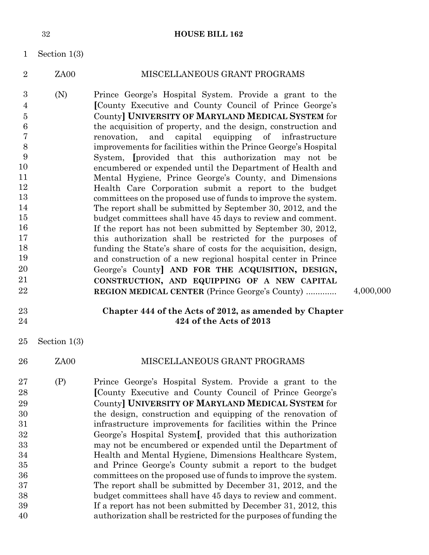- 1 Section 1(3)
- 2 ZA00 MISCELLANEOUS GRANT PROGRAMS
- 3 4 5 6 7 8 9 10 11 12 13 14 15 16 17 18 19 20 21 22 (N) Prince George's Hospital System. Provide a grant to the **[**County Executive and County Council of Prince George's County**] UNIVERSITY OF MARYLAND MEDICAL SYSTEM** for the acquisition of property, and the design, construction and renovation, and capital equipping of infrastructure improvements for facilities within the Prince George's Hospital System, **[**provided that this authorization may not be encumbered or expended until the Department of Health and Mental Hygiene, Prince George's County, and Dimensions Health Care Corporation submit a report to the budget committees on the proposed use of funds to improve the system. The report shall be submitted by September 30, 2012, and the budget committees shall have 45 days to review and comment. If the report has not been submitted by September 30, 2012, this authorization shall be restricted for the purposes of funding the State's share of costs for the acquisition, design, and construction of a new regional hospital center in Prince George's County**] AND FOR THE ACQUISITION, DESIGN, CONSTRUCTION, AND EQUIPPING OF A NEW CAPITAL REGION MEDICAL CENTER** (Prince George's County) ............. 4,000,000
- 23 24

### **Chapter 444 of the Acts of 2012, as amended by Chapter 424 of the Acts of 2013**

- 25 Section 1(3)
- 26 ZA00 MISCELLANEOUS GRANT PROGRAMS
- 27 28 29 30 31 32 33 34 35 36 37 38 39 40 (P) Prince George's Hospital System. Provide a grant to the **[**County Executive and County Council of Prince George's County**] UNIVERSITY OF MARYLAND MEDICAL SYSTEM** for the design, construction and equipping of the renovation of infrastructure improvements for facilities within the Prince George's Hospital System**[**, provided that this authorization may not be encumbered or expended until the Department of Health and Mental Hygiene, Dimensions Healthcare System, and Prince George's County submit a report to the budget committees on the proposed use of funds to improve the system. The report shall be submitted by December 31, 2012, and the budget committees shall have 45 days to review and comment. If a report has not been submitted by December 31, 2012, this authorization shall be restricted for the purposes of funding the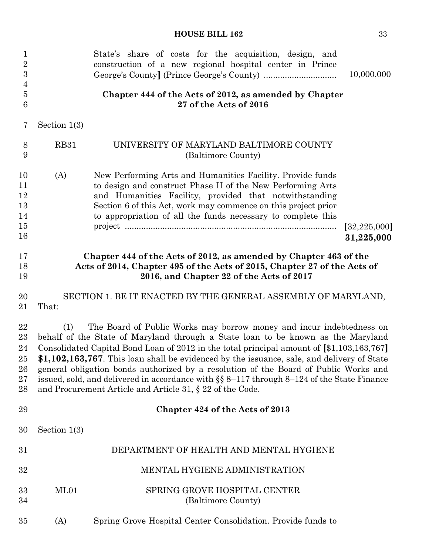| $\mathbf{1}$<br>$\sqrt{2}$<br>$\boldsymbol{3}$<br>$\overline{4}$<br>$\bf 5$ |                | State's share of costs for the acquisition, design, and<br>construction of a new regional hospital center in Prince<br>Chapter 444 of the Acts of 2012, as amended by Chapter                                                                                                                                                                                                                                                                                                                                                                                                                          | 10,000,000                   |
|-----------------------------------------------------------------------------|----------------|--------------------------------------------------------------------------------------------------------------------------------------------------------------------------------------------------------------------------------------------------------------------------------------------------------------------------------------------------------------------------------------------------------------------------------------------------------------------------------------------------------------------------------------------------------------------------------------------------------|------------------------------|
| 6                                                                           |                | 27 of the Acts of 2016                                                                                                                                                                                                                                                                                                                                                                                                                                                                                                                                                                                 |                              |
| 7                                                                           | Section $1(3)$ |                                                                                                                                                                                                                                                                                                                                                                                                                                                                                                                                                                                                        |                              |
| 8<br>9                                                                      | <b>RB31</b>    | UNIVERSITY OF MARYLAND BALTIMORE COUNTY<br>(Baltimore County)                                                                                                                                                                                                                                                                                                                                                                                                                                                                                                                                          |                              |
| 10<br>11<br>12<br>13<br>14<br>15<br>16                                      | (A)            | New Performing Arts and Humanities Facility. Provide funds<br>to design and construct Phase II of the New Performing Arts<br>and Humanities Facility, provided that notwithstanding<br>Section 6 of this Act, work may commence on this project prior<br>to appropriation of all the funds necessary to complete this                                                                                                                                                                                                                                                                                  | [32, 225, 000]<br>31,225,000 |
| 17<br>18<br>19                                                              |                | Chapter 444 of the Acts of 2012, as amended by Chapter 463 of the<br>Acts of 2014, Chapter 495 of the Acts of 2015, Chapter 27 of the Acts of<br>2016, and Chapter 22 of the Acts of 2017                                                                                                                                                                                                                                                                                                                                                                                                              |                              |
| 20<br>21                                                                    | That:          | SECTION 1. BE IT ENACTED BY THE GENERAL ASSEMBLY OF MARYLAND,                                                                                                                                                                                                                                                                                                                                                                                                                                                                                                                                          |                              |
| 22<br>$23\,$<br>24<br>$25\,$<br>26<br>$27\,$<br>28                          | (1)            | The Board of Public Works may borrow money and incur indebtedness on<br>behalf of the State of Maryland through a State loan to be known as the Maryland<br>Consolidated Capital Bond Loan of 2012 in the total principal amount of [\$1,103,163,767]<br>\$1,102,163,767. This loan shall be evidenced by the issuance, sale, and delivery of State<br>general obligation bonds authorized by a resolution of the Board of Public Works and<br>issued, sold, and delivered in accordance with §§ 8-117 through 8-124 of the State Finance<br>and Procurement Article and Article 31, § 22 of the Code. |                              |
| 29                                                                          |                | Chapter 424 of the Acts of 2013                                                                                                                                                                                                                                                                                                                                                                                                                                                                                                                                                                        |                              |
| 30                                                                          | Section $1(3)$ |                                                                                                                                                                                                                                                                                                                                                                                                                                                                                                                                                                                                        |                              |
| 31                                                                          |                | DEPARTMENT OF HEALTH AND MENTAL HYGIENE                                                                                                                                                                                                                                                                                                                                                                                                                                                                                                                                                                |                              |
| 32                                                                          |                | MENTAL HYGIENE ADMINISTRATION                                                                                                                                                                                                                                                                                                                                                                                                                                                                                                                                                                          |                              |
| 33<br>34                                                                    | ML01           | SPRING GROVE HOSPITAL CENTER<br>(Baltimore County)                                                                                                                                                                                                                                                                                                                                                                                                                                                                                                                                                     |                              |
| $35\,$                                                                      | (A)            | Spring Grove Hospital Center Consolidation. Provide funds to                                                                                                                                                                                                                                                                                                                                                                                                                                                                                                                                           |                              |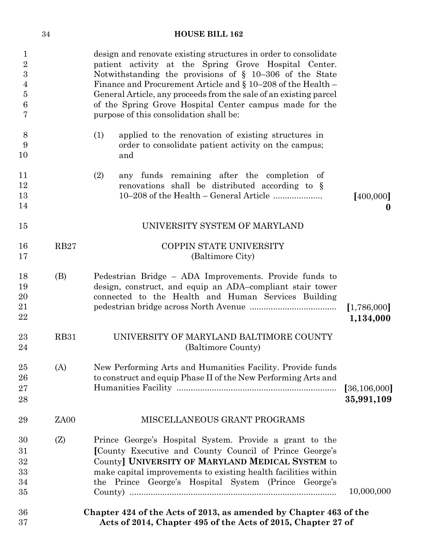|                                                                              | 34          | <b>HOUSE BILL 162</b>                                                                                                                                                                                                                                                                                                                                                                                                                |                              |
|------------------------------------------------------------------------------|-------------|--------------------------------------------------------------------------------------------------------------------------------------------------------------------------------------------------------------------------------------------------------------------------------------------------------------------------------------------------------------------------------------------------------------------------------------|------------------------------|
| $\mathbf{1}$<br>$\sqrt{2}$<br>$\boldsymbol{3}$<br>4<br>$\bf 5$<br>$\,6$<br>7 |             | design and renovate existing structures in order to consolidate<br>patient activity at the Spring Grove Hospital Center.<br>Notwithstanding the provisions of $\S$ 10-306 of the State<br>Finance and Procurement Article and $\S 10-208$ of the Health -<br>General Article, any proceeds from the sale of an existing parcel<br>of the Spring Grove Hospital Center campus made for the<br>purpose of this consolidation shall be: |                              |
| 8<br>9<br>10                                                                 |             | applied to the renovation of existing structures in<br>(1)<br>order to consolidate patient activity on the campus;<br>and                                                                                                                                                                                                                                                                                                            |                              |
| 11<br>12<br>13<br>14                                                         |             | any funds remaining after the completion of<br>(2)<br>renovations shall be distributed according to §                                                                                                                                                                                                                                                                                                                                | [400,000]<br>$\bf{0}$        |
| 15                                                                           |             | UNIVERSITY SYSTEM OF MARYLAND                                                                                                                                                                                                                                                                                                                                                                                                        |                              |
| 16<br>17                                                                     | RB27        | COPPIN STATE UNIVERSITY<br>(Baltimore City)                                                                                                                                                                                                                                                                                                                                                                                          |                              |
| 18<br>19<br>20<br>21<br>22                                                   | (B)         | Pedestrian Bridge – ADA Improvements. Provide funds to<br>design, construct, and equip an ADA-compliant stair tower<br>connected to the Health and Human Services Building                                                                                                                                                                                                                                                           | [1,786,000]<br>1,134,000     |
| 23<br>24                                                                     | <b>RB31</b> | UNIVERSITY OF MARYLAND BALTIMORE COUNTY<br>(Baltimore County)                                                                                                                                                                                                                                                                                                                                                                        |                              |
| 25<br>26<br>27<br>28                                                         | (A)         | New Performing Arts and Humanities Facility. Provide funds<br>to construct and equip Phase II of the New Performing Arts and                                                                                                                                                                                                                                                                                                         | [36, 106, 000]<br>35,991,109 |
| 29                                                                           | ZA00        | MISCELLANEOUS GRANT PROGRAMS                                                                                                                                                                                                                                                                                                                                                                                                         |                              |
| 30<br>31<br>32<br>33<br>34<br>35                                             | (Z)         | Prince George's Hospital System. Provide a grant to the<br>[County Executive and County Council of Prince George's<br>County] UNIVERSITY OF MARYLAND MEDICAL SYSTEM to<br>make capital improvements to existing health facilities within<br>the Prince George's Hospital System (Prince George's                                                                                                                                     | 10,000,000                   |
| 36<br>37                                                                     |             | Chapter 424 of the Acts of 2013, as amended by Chapter 463 of the<br>Acts of 2014, Chapter 495 of the Acts of 2015, Chapter 27 of                                                                                                                                                                                                                                                                                                    |                              |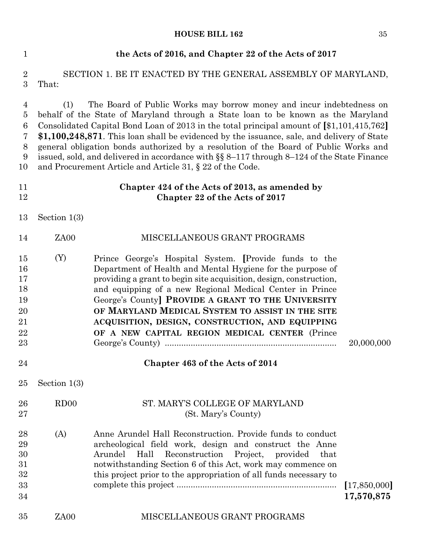| $\mathbf{1}$                                                                        |                | the Acts of 2016, and Chapter 22 of the Acts of 2017                                                                                                                                                                                                                                                                                                                                                                                                                                                                                                                                                      |                            |
|-------------------------------------------------------------------------------------|----------------|-----------------------------------------------------------------------------------------------------------------------------------------------------------------------------------------------------------------------------------------------------------------------------------------------------------------------------------------------------------------------------------------------------------------------------------------------------------------------------------------------------------------------------------------------------------------------------------------------------------|----------------------------|
| $\sqrt{2}$<br>3                                                                     | That:          | SECTION 1. BE IT ENACTED BY THE GENERAL ASSEMBLY OF MARYLAND,                                                                                                                                                                                                                                                                                                                                                                                                                                                                                                                                             |                            |
| $\overline{4}$<br>$\bf 5$<br>$\,6$<br>$\overline{7}$<br>8<br>$\boldsymbol{9}$<br>10 | (1)            | The Board of Public Works may borrow money and incur indebtedness on<br>behalf of the State of Maryland through a State loan to be known as the Maryland<br>Consolidated Capital Bond Loan of 2013 in the total principal amount of [\$1,101,415,762]<br>\$1,100,248,871. This loan shall be evidenced by the issuance, sale, and delivery of State<br>general obligation bonds authorized by a resolution of the Board of Public Works and<br>issued, sold, and delivered in accordance with §§ 8-117 through 8-124 of the State Finance<br>and Procurement Article and Article 31, $\S$ 22 of the Code. |                            |
| 11<br>12                                                                            |                | Chapter 424 of the Acts of 2013, as amended by<br>Chapter 22 of the Acts of 2017                                                                                                                                                                                                                                                                                                                                                                                                                                                                                                                          |                            |
| 13                                                                                  | Section $1(3)$ |                                                                                                                                                                                                                                                                                                                                                                                                                                                                                                                                                                                                           |                            |
| 14                                                                                  | ZA00           | MISCELLANEOUS GRANT PROGRAMS                                                                                                                                                                                                                                                                                                                                                                                                                                                                                                                                                                              |                            |
| 15<br>16<br>17<br>18<br>19<br>20<br>21<br>22<br>23                                  | (Y)            | Prince George's Hospital System. [Provide funds to the<br>Department of Health and Mental Hygiene for the purpose of<br>providing a grant to begin site acquisition, design, construction,<br>and equipping of a new Regional Medical Center in Prince<br>George's County] PROVIDE A GRANT TO THE UNIVERSITY<br>OF MARYLAND MEDICAL SYSTEM TO ASSIST IN THE SITE<br>ACQUISITION, DESIGN, CONSTRUCTION, AND EQUIPPING<br>OF A NEW CAPITAL REGION MEDICAL CENTER (Prince                                                                                                                                    | 20,000,000                 |
| 24                                                                                  |                | Chapter 463 of the Acts of 2014                                                                                                                                                                                                                                                                                                                                                                                                                                                                                                                                                                           |                            |
| 25                                                                                  | Section $1(3)$ |                                                                                                                                                                                                                                                                                                                                                                                                                                                                                                                                                                                                           |                            |
| 26<br>27                                                                            | RDOO           | ST. MARY'S COLLEGE OF MARYLAND<br>(St. Mary's County)                                                                                                                                                                                                                                                                                                                                                                                                                                                                                                                                                     |                            |
| 28<br>29<br>30<br>31<br>32<br>33<br>34                                              | (A)            | Anne Arundel Hall Reconstruction. Provide funds to conduct<br>archeological field work, design and construct the Anne<br>Reconstruction<br>Arundel<br>Hall<br>Project,<br>provided<br>that<br>notwithstanding Section 6 of this Act, work may commence on<br>this project prior to the appropriation of all funds necessary to                                                                                                                                                                                                                                                                            | [17,850,000]<br>17,570,875 |
| 35                                                                                  | ZA00           | MISCELLANEOUS GRANT PROGRAMS                                                                                                                                                                                                                                                                                                                                                                                                                                                                                                                                                                              |                            |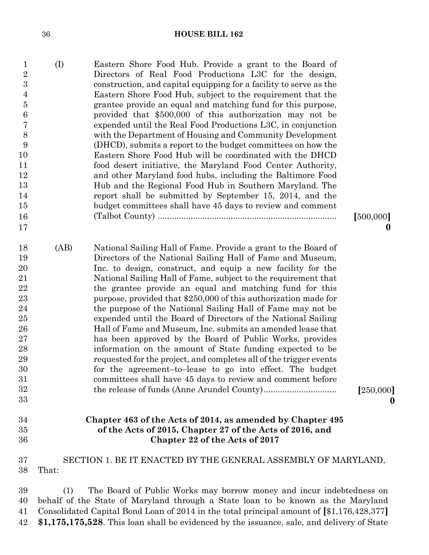| v<br>u       |          |
|--------------|----------|
| ٠<br>۰.<br>× | ۰.<br>۰, |

| $\mathbf{1}$<br>$\sqrt{2}$<br>$\boldsymbol{3}$<br>$\overline{4}$<br>$\overline{5}$<br>$\,6$<br>7<br>8<br>9<br>10<br>11<br>12<br>13<br>14<br>15<br>16<br>17 | (I)   | Eastern Shore Food Hub. Provide a grant to the Board of<br>Directors of Real Food Productions L3C for the design,<br>construction, and capital equipping for a facility to serve as the<br>Eastern Shore Food Hub, subject to the requirement that the<br>grantee provide an equal and matching fund for this purpose,<br>provided that \$500,000 of this authorization may not be<br>expended until the Real Food Productions L3C, in conjunction<br>with the Department of Housing and Community Development<br>(DHCD), submits a report to the budget committees on how the<br>Eastern Shore Food Hub will be coordinated with the DHCD<br>food desert initiative, the Maryland Food Center Authority,<br>and other Maryland food hubs, including the Baltimore Food<br>Hub and the Regional Food Hub in Southern Maryland. The<br>report shall be submitted by September 15, 2014, and the<br>budget committees shall have 45 days to review and comment | [500,000]<br>$\bf{0}$ |
|------------------------------------------------------------------------------------------------------------------------------------------------------------|-------|--------------------------------------------------------------------------------------------------------------------------------------------------------------------------------------------------------------------------------------------------------------------------------------------------------------------------------------------------------------------------------------------------------------------------------------------------------------------------------------------------------------------------------------------------------------------------------------------------------------------------------------------------------------------------------------------------------------------------------------------------------------------------------------------------------------------------------------------------------------------------------------------------------------------------------------------------------------|-----------------------|
| 18<br>19<br>20<br>21<br>22<br>23<br>24<br>25<br>26<br>27<br>28<br>29<br>30<br>31<br>32<br>33                                                               | (AB)  | National Sailing Hall of Fame. Provide a grant to the Board of<br>Directors of the National Sailing Hall of Fame and Museum,<br>Inc. to design, construct, and equip a new facility for the<br>National Sailing Hall of Fame, subject to the requirement that<br>the grantee provide an equal and matching fund for this<br>purpose, provided that \$250,000 of this authorization made for<br>the purpose of the National Sailing Hall of Fame may not be<br>expended until the Board of Directors of the National Sailing<br>Hall of Fame and Museum, Inc. submits an amended lease that<br>has been approved by the Board of Public Works, provides<br>information on the amount of State funding expected to be<br>requested for the project, and completes all of the trigger events<br>for the agreement-to-lease to go into effect. The budget<br>committees shall have 45 days to review and comment before                                          | [250,000]<br>o        |
| 34<br>35<br>36                                                                                                                                             |       | Chapter 463 of the Acts of 2014, as amended by Chapter 495<br>of the Acts of 2015, Chapter 27 of the Acts of 2016, and<br>Chapter 22 of the Acts of 2017                                                                                                                                                                                                                                                                                                                                                                                                                                                                                                                                                                                                                                                                                                                                                                                                     |                       |
| 37<br>38                                                                                                                                                   | That: | SECTION 1. BE IT ENACTED BY THE GENERAL ASSEMBLY OF MARYLAND,                                                                                                                                                                                                                                                                                                                                                                                                                                                                                                                                                                                                                                                                                                                                                                                                                                                                                                |                       |

 (1) The Board of Public Works may borrow money and incur indebtedness on behalf of the State of Maryland through a State loan to be known as the Maryland Consolidated Capital Bond Loan of 2014 in the total principal amount of **[**\$1,176,428,377**] \$1,175,175,528**. This loan shall be evidenced by the issuance, sale, and delivery of State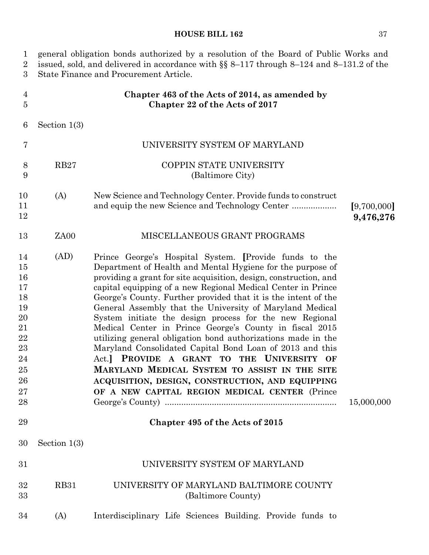|  |  | ŋ<br>×. | $\cdot$ |
|--|--|---------|---------|
|  |  |         |         |

1 general obligation bonds authorized by a resolution of the Board of Public Works and 2 issued, sold, and delivered in accordance with §§ 8–117 through 8–124 and 8–131.2 of the 3 State Finance and Procurement Article. 4 5 **Chapter 463 of the Acts of 2014, as amended by Chapter 22 of the Acts of 2017**

6 Section 1(3)

| $\overline{7}$                                                                         |                | UNIVERSITY SYSTEM OF MARYLAND                                                                                                                                                                                                                                                                                                                                                                                                                                                                                                                                                                                                                                                                                                                                                                                                                  |                          |
|----------------------------------------------------------------------------------------|----------------|------------------------------------------------------------------------------------------------------------------------------------------------------------------------------------------------------------------------------------------------------------------------------------------------------------------------------------------------------------------------------------------------------------------------------------------------------------------------------------------------------------------------------------------------------------------------------------------------------------------------------------------------------------------------------------------------------------------------------------------------------------------------------------------------------------------------------------------------|--------------------------|
| 8<br>9                                                                                 | RB27           | COPPIN STATE UNIVERSITY<br>(Baltimore City)                                                                                                                                                                                                                                                                                                                                                                                                                                                                                                                                                                                                                                                                                                                                                                                                    |                          |
| 10<br>11<br>12                                                                         | (A)            | New Science and Technology Center. Provide funds to construct                                                                                                                                                                                                                                                                                                                                                                                                                                                                                                                                                                                                                                                                                                                                                                                  | [9,700,000]<br>9,476,276 |
| 13                                                                                     | ZA00           | MISCELLANEOUS GRANT PROGRAMS                                                                                                                                                                                                                                                                                                                                                                                                                                                                                                                                                                                                                                                                                                                                                                                                                   |                          |
| 14<br>15<br>16<br>17<br>18<br>19<br>20<br>21<br>22<br>23<br>24<br>25<br>26<br>27<br>28 | (AD)           | Prince George's Hospital System. [Provide funds to the<br>Department of Health and Mental Hygiene for the purpose of<br>providing a grant for site acquisition, design, construction, and<br>capital equipping of a new Regional Medical Center in Prince<br>George's County. Further provided that it is the intent of the<br>General Assembly that the University of Maryland Medical<br>System initiate the design process for the new Regional<br>Medical Center in Prince George's County in fiscal 2015<br>utilizing general obligation bond authorizations made in the<br>Maryland Consolidated Capital Bond Loan of 2013 and this<br>Act.] PROVIDE A GRANT TO THE UNIVERSITY OF<br>MARYLAND MEDICAL SYSTEM TO ASSIST IN THE SITE<br>ACQUISITION, DESIGN, CONSTRUCTION, AND EQUIPPING<br>OF A NEW CAPITAL REGION MEDICAL CENTER (Prince | 15,000,000               |
| 29                                                                                     |                | Chapter 495 of the Acts of 2015                                                                                                                                                                                                                                                                                                                                                                                                                                                                                                                                                                                                                                                                                                                                                                                                                |                          |
| 30                                                                                     | Section $1(3)$ |                                                                                                                                                                                                                                                                                                                                                                                                                                                                                                                                                                                                                                                                                                                                                                                                                                                |                          |
| 31                                                                                     |                | UNIVERSITY SYSTEM OF MARYLAND                                                                                                                                                                                                                                                                                                                                                                                                                                                                                                                                                                                                                                                                                                                                                                                                                  |                          |
| 32                                                                                     | <b>RB31</b>    | UNIVERSITY OF MARYLAND BALTIMORE COUNTY                                                                                                                                                                                                                                                                                                                                                                                                                                                                                                                                                                                                                                                                                                                                                                                                        |                          |

- 33 RB31 UNIVERSITY OF MARYLAND BALTIMORE COUNTY (Baltimore County)
- 34 (A) Interdisciplinary Life Sciences Building. Provide funds to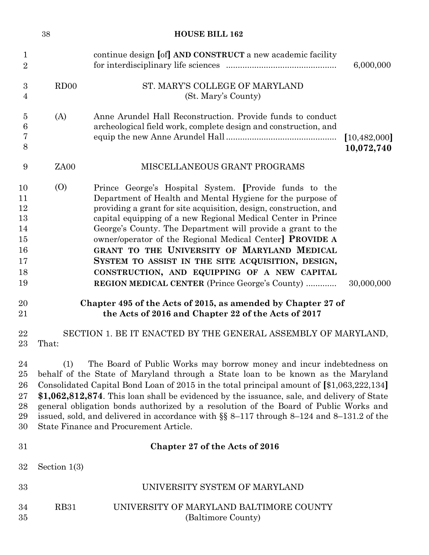|                                                          | 38             | <b>HOUSE BILL 162</b>                                                                                                                                                                                                                                                                                                                                                                                                                                                                                                                                                                                    |                              |
|----------------------------------------------------------|----------------|----------------------------------------------------------------------------------------------------------------------------------------------------------------------------------------------------------------------------------------------------------------------------------------------------------------------------------------------------------------------------------------------------------------------------------------------------------------------------------------------------------------------------------------------------------------------------------------------------------|------------------------------|
| $\mathbf 1$<br>$\overline{2}$                            |                | continue design [of] AND CONSTRUCT a new academic facility                                                                                                                                                                                                                                                                                                                                                                                                                                                                                                                                               | 6,000,000                    |
| 3<br>$\overline{4}$                                      | RDOO           | ST. MARY'S COLLEGE OF MARYLAND<br>(St. Mary's County)                                                                                                                                                                                                                                                                                                                                                                                                                                                                                                                                                    |                              |
| $\overline{5}$<br>6<br>7<br>8                            | (A)            | Anne Arundel Hall Reconstruction. Provide funds to conduct<br>archeological field work, complete design and construction, and                                                                                                                                                                                                                                                                                                                                                                                                                                                                            | [10, 482, 000]<br>10,072,740 |
| 9                                                        | ZA00           | MISCELLANEOUS GRANT PROGRAMS                                                                                                                                                                                                                                                                                                                                                                                                                                                                                                                                                                             |                              |
| 10<br>11<br>12<br>13<br>14<br>15<br>16<br>17<br>18<br>19 | (0)            | Prince George's Hospital System. [Provide funds to the<br>Department of Health and Mental Hygiene for the purpose of<br>providing a grant for site acquisition, design, construction, and<br>capital equipping of a new Regional Medical Center in Prince<br>George's County. The Department will provide a grant to the<br>owner/operator of the Regional Medical Center] <b>PROVIDE A</b><br>GRANT TO THE UNIVERSITY OF MARYLAND MEDICAL<br>SYSTEM TO ASSIST IN THE SITE ACQUISITION, DESIGN,<br>CONSTRUCTION, AND EQUIPPING OF A NEW CAPITAL<br><b>REGION MEDICAL CENTER</b> (Prince George's County) | 30,000,000                   |
| 20<br>21                                                 |                | Chapter 495 of the Acts of 2015, as amended by Chapter 27 of<br>the Acts of 2016 and Chapter 22 of the Acts of 2017                                                                                                                                                                                                                                                                                                                                                                                                                                                                                      |                              |
| 22<br>23                                                 | That:          | SECTION 1. BE IT ENACTED BY THE GENERAL ASSEMBLY OF MARYLAND,                                                                                                                                                                                                                                                                                                                                                                                                                                                                                                                                            |                              |
| 24<br>25<br>26<br>27<br>28<br>29<br>30                   | (1)            | The Board of Public Works may borrow money and incur indebtedness on<br>behalf of the State of Maryland through a State loan to be known as the Maryland<br>Consolidated Capital Bond Loan of 2015 in the total principal amount of [\$1,063,222,134]<br>\$1,062,812,874. This loan shall be evidenced by the issuance, sale, and delivery of State<br>general obligation bonds authorized by a resolution of the Board of Public Works and<br>issued, sold, and delivered in accordance with $\S$ 8-117 through 8-124 and 8-131.2 of the<br>State Finance and Procurement Article.                      |                              |
| 31                                                       |                | Chapter 27 of the Acts of 2016                                                                                                                                                                                                                                                                                                                                                                                                                                                                                                                                                                           |                              |
| 32                                                       | Section $1(3)$ |                                                                                                                                                                                                                                                                                                                                                                                                                                                                                                                                                                                                          |                              |
| 33                                                       |                | UNIVERSITY SYSTEM OF MARYLAND                                                                                                                                                                                                                                                                                                                                                                                                                                                                                                                                                                            |                              |
| 34<br>35                                                 | <b>RB31</b>    | UNIVERSITY OF MARYLAND BALTIMORE COUNTY<br>(Baltimore County)                                                                                                                                                                                                                                                                                                                                                                                                                                                                                                                                            |                              |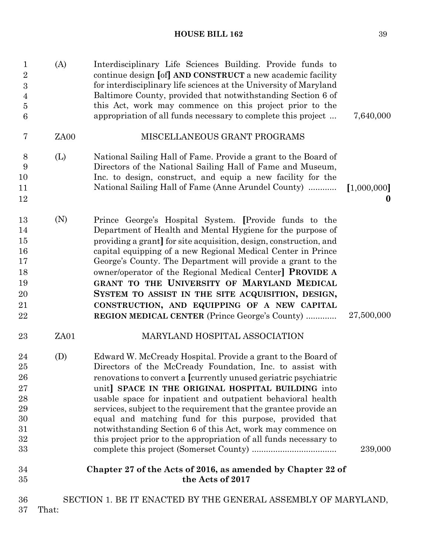| 7,640,000               | Interdisciplinary Life Sciences Building. Provide funds to<br>continue design [of] AND CONSTRUCT a new academic facility<br>for interdisciplinary life sciences at the University of Maryland<br>Baltimore County, provided that notwithstanding Section 6 of<br>this Act, work may commence on this project prior to the<br>appropriation of all funds necessary to complete this project                                                                                                                                                                                                         | (A)<br>$\mathbf{1}$<br>$\overline{2}$<br>$\boldsymbol{3}$<br>$\overline{4}$<br>$\bf 5$<br>6 |                                                              |
|-------------------------|----------------------------------------------------------------------------------------------------------------------------------------------------------------------------------------------------------------------------------------------------------------------------------------------------------------------------------------------------------------------------------------------------------------------------------------------------------------------------------------------------------------------------------------------------------------------------------------------------|---------------------------------------------------------------------------------------------|--------------------------------------------------------------|
|                         | MISCELLANEOUS GRANT PROGRAMS                                                                                                                                                                                                                                                                                                                                                                                                                                                                                                                                                                       | 7<br>ZA00                                                                                   |                                                              |
| [1,000,000]<br>$\bf{0}$ | National Sailing Hall of Fame. Provide a grant to the Board of<br>Directors of the National Sailing Hall of Fame and Museum,<br>Inc. to design, construct, and equip a new facility for the<br>National Sailing Hall of Fame (Anne Arundel County)                                                                                                                                                                                                                                                                                                                                                 | (L)<br>9                                                                                    | 8<br>10<br>11<br>12                                          |
| 27,500,000              | Prince George's Hospital System. [Provide funds to the<br>Department of Health and Mental Hygiene for the purpose of<br>providing a grant] for site acquisition, design, construction, and<br>capital equipping of a new Regional Medical Center in Prince<br>George's County. The Department will provide a grant to the<br>owner/operator of the Regional Medical Center] <b>PROVIDE A</b><br>GRANT TO THE UNIVERSITY OF MARYLAND MEDICAL<br>SYSTEM TO ASSIST IN THE SITE ACQUISITION, DESIGN,<br>CONSTRUCTION, AND EQUIPPING OF A NEW CAPITAL<br>REGION MEDICAL CENTER (Prince George's County) | (N)                                                                                         | 13<br>14<br>15<br>16<br>17<br>18<br>19<br>20<br>21<br>22     |
|                         | MARYLAND HOSPITAL ASSOCIATION                                                                                                                                                                                                                                                                                                                                                                                                                                                                                                                                                                      | ZA01                                                                                        | 23                                                           |
| 239,000                 | Edward W. McCready Hospital. Provide a grant to the Board of<br>Directors of the McCready Foundation, Inc. to assist with<br>renovations to convert a [currently unused geriatric psychiatric<br>unit] SPACE IN THE ORIGINAL HOSPITAL BUILDING into<br>usable space for inpatient and outpatient behavioral health<br>services, subject to the requirement that the grantee provide an<br>equal and matching fund for this purpose, provided that<br>notwithstanding Section 6 of this Act, work may commence on<br>this project prior to the appropriation of all funds necessary to              | (D)                                                                                         | 24<br>25<br>26<br>27<br>28<br>29<br>30<br>31<br>32<br>$33\,$ |
|                         | Chapter 27 of the Acts of 2016, as amended by Chapter 22 of<br>the Acts of 2017                                                                                                                                                                                                                                                                                                                                                                                                                                                                                                                    |                                                                                             | 34<br>35                                                     |
|                         | SECTION 1. BE IT ENACTED BY THE GENERAL ASSEMBLY OF MARYLAND,                                                                                                                                                                                                                                                                                                                                                                                                                                                                                                                                      |                                                                                             | 36                                                           |

37 That: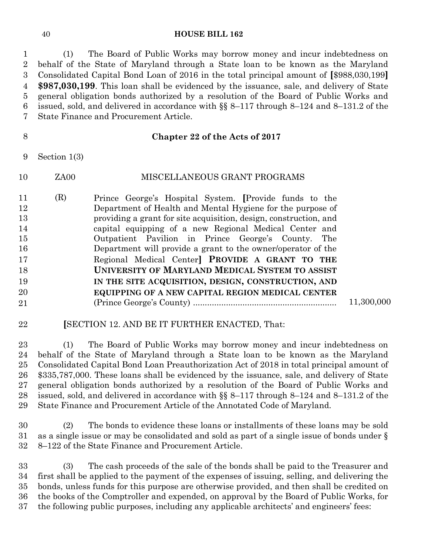(1) The Board of Public Works may borrow money and incur indebtedness on behalf of the State of Maryland through a State loan to be known as the Maryland Consolidated Capital Bond Loan of 2016 in the total principal amount of **[**\$988,030,199**] \$987,030,199**. This loan shall be evidenced by the issuance, sale, and delivery of State general obligation bonds authorized by a resolution of the Board of Public Works and issued, sold, and delivered in accordance with §§ 8–117 through 8–124 and 8–131.2 of the State Finance and Procurement Article.

### **Chapter 22 of the Acts of 2017**

Section 1(3)

- ZA00 MISCELLANEOUS GRANT PROGRAMS
- (R) Prince George's Hospital System. **[**Provide funds to the Department of Health and Mental Hygiene for the purpose of providing a grant for site acquisition, design, construction, and capital equipping of a new Regional Medical Center and Outpatient Pavilion in Prince George's County. The Department will provide a grant to the owner/operator of the Regional Medical Center**] PROVIDE A GRANT TO THE UNIVERSITY OF MARYLAND MEDICAL SYSTEM TO ASSIST IN THE SITE ACQUISITION, DESIGN, CONSTRUCTION, AND EQUIPPING OF A NEW CAPITAL REGION MEDICAL CENTER** (Prince George's County) ............................................................. 11,300,000

### **[**SECTION 12. AND BE IT FURTHER ENACTED, That:

 (1) The Board of Public Works may borrow money and incur indebtedness on behalf of the State of Maryland through a State loan to be known as the Maryland Consolidated Capital Bond Loan Preauthorization Act of 2018 in total principal amount of \$335,787,000. These loans shall be evidenced by the issuance, sale, and delivery of State general obligation bonds authorized by a resolution of the Board of Public Works and issued, sold, and delivered in accordance with §§ 8–117 through 8–124 and 8–131.2 of the State Finance and Procurement Article of the Annotated Code of Maryland.

 (2) The bonds to evidence these loans or installments of these loans may be sold as a single issue or may be consolidated and sold as part of a single issue of bonds under § 8–122 of the State Finance and Procurement Article.

 (3) The cash proceeds of the sale of the bonds shall be paid to the Treasurer and first shall be applied to the payment of the expenses of issuing, selling, and delivering the bonds, unless funds for this purpose are otherwise provided, and then shall be credited on the books of the Comptroller and expended, on approval by the Board of Public Works, for the following public purposes, including any applicable architects' and engineers' fees: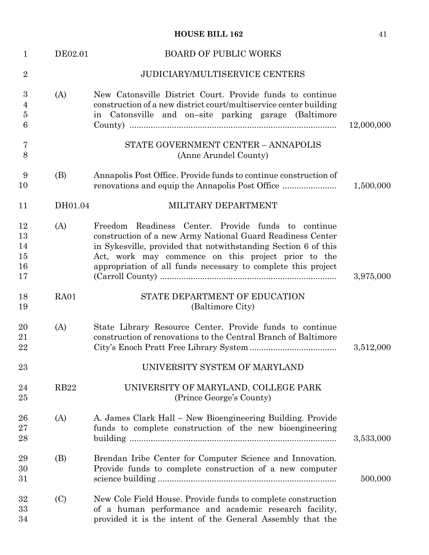| $\mathbf{1}$                               | DE02.01     | <b>BOARD OF PUBLIC WORKS</b>                                                                                                                                                                                                                                                                                |            |
|--------------------------------------------|-------------|-------------------------------------------------------------------------------------------------------------------------------------------------------------------------------------------------------------------------------------------------------------------------------------------------------------|------------|
| $\overline{2}$                             |             | <b>JUDICIARY/MULTISERVICE CENTERS</b>                                                                                                                                                                                                                                                                       |            |
| 3<br>$\overline{4}$<br>$\overline{5}$<br>6 | (A)         | New Catonsville District Court. Provide funds to continue<br>construction of a new district court/multiservice center building<br>in Catonsville and on-site parking garage (Baltimore                                                                                                                      | 12,000,000 |
| 7<br>8                                     |             | STATE GOVERNMENT CENTER - ANNAPOLIS<br>(Anne Arundel County)                                                                                                                                                                                                                                                |            |
| 9<br>10                                    | (B)         | Annapolis Post Office. Provide funds to continue construction of                                                                                                                                                                                                                                            | 1,500,000  |
| 11                                         | DH01.04     | MILITARY DEPARTMENT                                                                                                                                                                                                                                                                                         |            |
| 12<br>13<br>14<br>15<br>16<br>17           | (A)         | Freedom Readiness Center. Provide funds to continue<br>construction of a new Army National Guard Readiness Center<br>in Sykesville, provided that notwithstanding Section 6 of this<br>Act, work may commence on this project prior to the<br>appropriation of all funds necessary to complete this project | 3,975,000  |
| 18<br>19                                   | RA01        | STATE DEPARTMENT OF EDUCATION<br>(Baltimore City)                                                                                                                                                                                                                                                           |            |
| 20<br>21<br>22                             | (A)         | State Library Resource Center. Provide funds to continue<br>construction of renovations to the Central Branch of Baltimore                                                                                                                                                                                  | 3,512,000  |
| 23                                         |             | UNIVERSITY SYSTEM OF MARYLAND                                                                                                                                                                                                                                                                               |            |
| 24<br>25                                   | <b>RB22</b> | UNIVERSITY OF MARYLAND, COLLEGE PARK<br>(Prince George's County)                                                                                                                                                                                                                                            |            |
| 26<br>27<br>28                             | (A)         | A. James Clark Hall – New Bioengineering Building. Provide<br>funds to complete construction of the new bioengineering                                                                                                                                                                                      | 3,533,000  |
| 29<br>30<br>31                             | (B)         | Brendan Iribe Center for Computer Science and Innovation.<br>Provide funds to complete construction of a new computer                                                                                                                                                                                       | 500,000    |
| 32<br>33<br>34                             | (C)         | New Cole Field House. Provide funds to complete construction<br>of a human performance and academic research facility,<br>provided it is the intent of the General Assembly that the                                                                                                                        |            |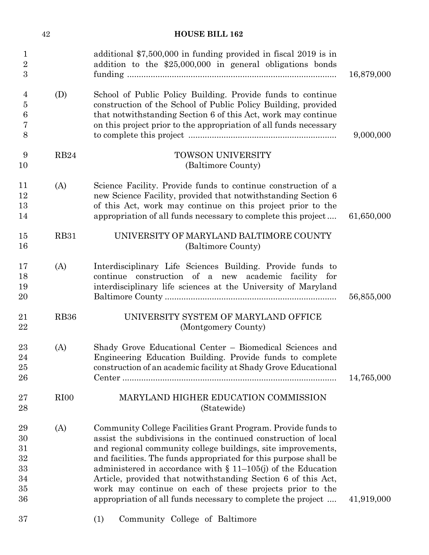|                                              | 42          | <b>HOUSE BILL 162</b>                                                                                                                                                                                                                                                                                                                                                                                                                                                                                                              |            |
|----------------------------------------------|-------------|------------------------------------------------------------------------------------------------------------------------------------------------------------------------------------------------------------------------------------------------------------------------------------------------------------------------------------------------------------------------------------------------------------------------------------------------------------------------------------------------------------------------------------|------------|
| 1<br>$\overline{2}$<br>3                     |             | additional $$7,500,000$ in funding provided in fiscal 2019 is in<br>addition to the \$25,000,000 in general obligations bonds                                                                                                                                                                                                                                                                                                                                                                                                      | 16,879,000 |
| 4<br>$\overline{5}$<br>6<br>7<br>8           | (D)         | School of Public Policy Building. Provide funds to continue<br>construction of the School of Public Policy Building, provided<br>that notwithstanding Section 6 of this Act, work may continue<br>on this project prior to the appropriation of all funds necessary                                                                                                                                                                                                                                                                | 9,000,000  |
| 9<br>10                                      | RB24        | <b>TOWSON UNIVERSITY</b><br>(Baltimore County)                                                                                                                                                                                                                                                                                                                                                                                                                                                                                     |            |
| 11<br>12<br>13<br>14                         | (A)         | Science Facility. Provide funds to continue construction of a<br>new Science Facility, provided that notwithstanding Section 6<br>of this Act, work may continue on this project prior to the<br>appropriation of all funds necessary to complete this project                                                                                                                                                                                                                                                                     | 61,650,000 |
| 15<br>16                                     | <b>RB31</b> | UNIVERSITY OF MARYLAND BALTIMORE COUNTY<br>(Baltimore County)                                                                                                                                                                                                                                                                                                                                                                                                                                                                      |            |
| 17<br>18<br>19<br>$20\,$                     | (A)         | Interdisciplinary Life Sciences Building. Provide funds to<br>continue construction of a new academic facility for<br>interdisciplinary life sciences at the University of Maryland                                                                                                                                                                                                                                                                                                                                                | 56,855,000 |
| 21<br>22                                     | <b>RB36</b> | UNIVERSITY SYSTEM OF MARYLAND OFFICE<br>(Montgomery County)                                                                                                                                                                                                                                                                                                                                                                                                                                                                        |            |
| 23<br>24<br>25<br>26                         | (A)         | Shady Grove Educational Center - Biomedical Sciences and<br>Engineering Education Building. Provide funds to complete<br>construction of an academic facility at Shady Grove Educational                                                                                                                                                                                                                                                                                                                                           | 14,765,000 |
| $27\,$<br>28                                 | RIOO        | MARYLAND HIGHER EDUCATION COMMISSION<br>(Statewide)                                                                                                                                                                                                                                                                                                                                                                                                                                                                                |            |
| 29<br>30<br>31<br>32<br>33<br>34<br>35<br>36 | (A)         | Community College Facilities Grant Program. Provide funds to<br>assist the subdivisions in the continued construction of local<br>and regional community college buildings, site improvements,<br>and facilities. The funds appropriated for this purpose shall be<br>administered in accordance with $\S$ 11–105(j) of the Education<br>Article, provided that notwithstanding Section 6 of this Act,<br>work may continue on each of these projects prior to the<br>appropriation of all funds necessary to complete the project | 41,919,000 |
| 37                                           |             | Community College of Baltimore<br>(1)                                                                                                                                                                                                                                                                                                                                                                                                                                                                                              |            |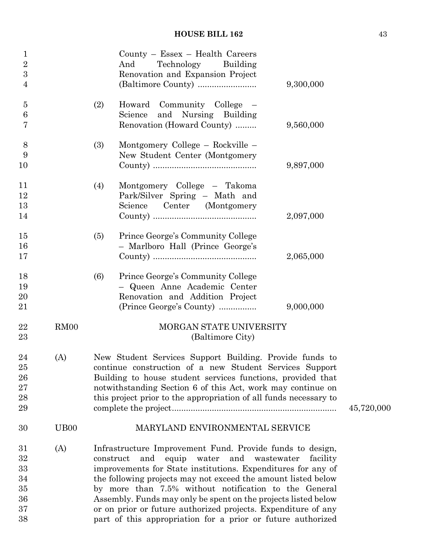| $\mathbf{1}$<br>$\overline{2}$<br>3<br>$\overline{4}$ |                   |     | $Country - Essex - Health Careers$<br>Technology Building<br>And<br>Renovation and Expansion Project                                                                                                                                                                                                                                                                                                                                     | 9,300,000 |
|-------------------------------------------------------|-------------------|-----|------------------------------------------------------------------------------------------------------------------------------------------------------------------------------------------------------------------------------------------------------------------------------------------------------------------------------------------------------------------------------------------------------------------------------------------|-----------|
|                                                       |                   |     |                                                                                                                                                                                                                                                                                                                                                                                                                                          |           |
| 5<br>6<br>7                                           |                   | (2) | Howard Community College –<br>Science and Nursing Building<br>Renovation (Howard County)                                                                                                                                                                                                                                                                                                                                                 | 9,560,000 |
| 8<br>9<br>10                                          |                   | (3) | Montgomery College – Rockville –<br>New Student Center (Montgomery                                                                                                                                                                                                                                                                                                                                                                       | 9,897,000 |
| 11<br>12<br>13<br>14                                  |                   | (4) | Montgomery College - Takoma<br>Park/Silver Spring - Math and<br>Science Center (Montgomery                                                                                                                                                                                                                                                                                                                                               | 2,097,000 |
| 15<br>16<br>17                                        |                   | (5) | Prince George's Community College<br>- Marlboro Hall (Prince George's                                                                                                                                                                                                                                                                                                                                                                    | 2,065,000 |
| 18<br>19<br>20<br>21                                  |                   | (6) | Prince George's Community College<br>- Queen Anne Academic Center<br>Renovation and Addition Project<br>(Prince George's County)                                                                                                                                                                                                                                                                                                         | 9,000,000 |
| 22<br>23                                              | RM00              |     | MORGAN STATE UNIVERSITY<br>(Baltimore City)                                                                                                                                                                                                                                                                                                                                                                                              |           |
| 24<br>25<br>26<br>27<br>28<br>29                      | (A)               |     | New Student Services Support Building. Provide funds to<br>continue construction of a new Student Services Support<br>Building to house student services functions, provided that<br>notwithstanding Section 6 of this Act, work may continue on<br>this project prior to the appropriation of all funds necessary to                                                                                                                    |           |
| 30                                                    | U <sub>B</sub> 00 |     | MARYLAND ENVIRONMENTAL SERVICE                                                                                                                                                                                                                                                                                                                                                                                                           |           |
| 31<br>32<br>33<br>34<br>35<br>36<br>37                | (A)               |     | Infrastructure Improvement Fund. Provide funds to design,<br>and<br>equip water and wastewater<br>construct<br>improvements for State institutions. Expenditures for any of<br>the following projects may not exceed the amount listed below<br>by more than 7.5% without notification to the General<br>Assembly. Funds may only be spent on the projects listed below<br>or on prior or future authorized projects. Expenditure of any | facility  |
| 38                                                    |                   |     | part of this appropriation for a prior or future authorized                                                                                                                                                                                                                                                                                                                                                                              |           |

 $45,720,000$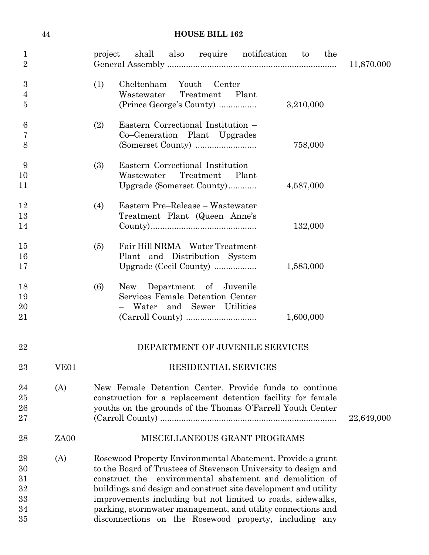|                                        | 44               | <b>HOUSE BILL 162</b>                                                                                                                                                                                                                                                                                                                                                                                                                              |            |
|----------------------------------------|------------------|----------------------------------------------------------------------------------------------------------------------------------------------------------------------------------------------------------------------------------------------------------------------------------------------------------------------------------------------------------------------------------------------------------------------------------------------------|------------|
| $\mathbf{1}$<br>$\overline{2}$         |                  | project shall also require notification to<br>the                                                                                                                                                                                                                                                                                                                                                                                                  | 11,870,000 |
| 3<br>$\overline{4}$<br>$\overline{5}$  |                  | (1)<br>Cheltenham<br>Youth Center<br>Wastewater<br>Treatment<br>Plant<br>(Prince George's County)<br>3,210,000                                                                                                                                                                                                                                                                                                                                     |            |
| $6\phantom{.}6$<br>7<br>8              |                  | Eastern Correctional Institution -<br>(2)<br>Co-Generation Plant Upgrades<br>758,000                                                                                                                                                                                                                                                                                                                                                               |            |
| 9<br>10<br>11                          |                  | Eastern Correctional Institution -<br>(3)<br>Wastewater Treatment<br>Plant<br>Upgrade (Somerset County)<br>4,587,000                                                                                                                                                                                                                                                                                                                               |            |
| 12<br>13<br>14                         |                  | Eastern Pre-Release - Wastewater<br>(4)<br>Treatment Plant (Queen Anne's<br>132,000                                                                                                                                                                                                                                                                                                                                                                |            |
| 15<br>16<br>17                         |                  | Fair Hill NRMA - Water Treatment<br>(5)<br>Plant and Distribution System<br>Upgrade (Cecil County)<br>1,583,000                                                                                                                                                                                                                                                                                                                                    |            |
| 18<br>19<br>20<br>21                   |                  | New Department of Juvenile<br>(6)<br>Services Female Detention Center<br>Water and Sewer Utilities<br>1,600,000                                                                                                                                                                                                                                                                                                                                    |            |
| 22                                     |                  | DEPARTMENT OF JUVENILE SERVICES                                                                                                                                                                                                                                                                                                                                                                                                                    |            |
| 23                                     | VE <sub>01</sub> | RESIDENTIAL SERVICES                                                                                                                                                                                                                                                                                                                                                                                                                               |            |
| 24<br>25<br>26<br>27                   | (A)              | New Female Detention Center. Provide funds to continue<br>construction for a replacement detention facility for female<br>youths on the grounds of the Thomas O'Farrell Youth Center                                                                                                                                                                                                                                                               | 22,649,000 |
| 28                                     | ZA00             | MISCELLANEOUS GRANT PROGRAMS                                                                                                                                                                                                                                                                                                                                                                                                                       |            |
| 29<br>30<br>31<br>32<br>33<br>34<br>35 | (A)              | Rosewood Property Environmental Abatement. Provide a grant<br>to the Board of Trustees of Stevenson University to design and<br>construct the environmental abatement and demolition of<br>buildings and design and construct site development and utility<br>improvements including but not limited to roads, sidewalks,<br>parking, stormwater management, and utility connections and<br>disconnections on the Rosewood property, including any |            |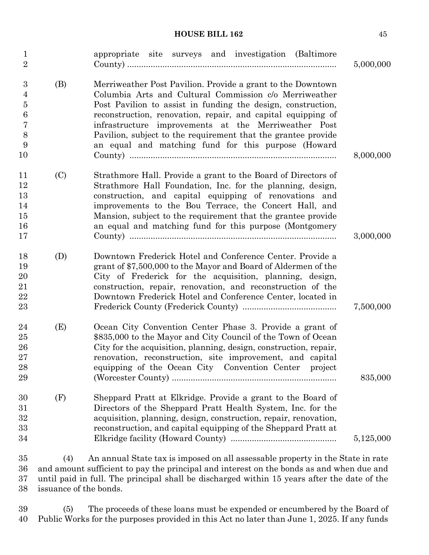| $\mathbf{1}$<br>$\overline{2}$                                  |     | appropriate site surveys and investigation (Baltimore                                                                                                                                                                                                                                                                                                                                                                                 | 5,000,000 |
|-----------------------------------------------------------------|-----|---------------------------------------------------------------------------------------------------------------------------------------------------------------------------------------------------------------------------------------------------------------------------------------------------------------------------------------------------------------------------------------------------------------------------------------|-----------|
| 3<br>4<br>$\overline{5}$<br>6<br>$\overline{7}$<br>8<br>9<br>10 | (B) | Merriweather Post Pavilion. Provide a grant to the Downtown<br>Columbia Arts and Cultural Commission c/o Merriweather<br>Post Pavilion to assist in funding the design, construction,<br>reconstruction, renovation, repair, and capital equipping of<br>infrastructure improvements at the Merriweather Post<br>Pavilion, subject to the requirement that the grantee provide<br>an equal and matching fund for this purpose (Howard | 8,000,000 |
| 11<br>12<br>13<br>14<br>15<br>16<br>17                          | (C) | Strathmore Hall. Provide a grant to the Board of Directors of<br>Strathmore Hall Foundation, Inc. for the planning, design,<br>construction, and capital equipping of renovations and<br>improvements to the Bou Terrace, the Concert Hall, and<br>Mansion, subject to the requirement that the grantee provide<br>an equal and matching fund for this purpose (Montgomery                                                            | 3,000,000 |
| 18<br>19<br>20<br>21<br>22<br>23                                | (D) | Downtown Frederick Hotel and Conference Center. Provide a<br>grant of \$7,500,000 to the Mayor and Board of Aldermen of the<br>City of Frederick for the acquisition, planning, design,<br>construction, repair, renovation, and reconstruction of the<br>Downtown Frederick Hotel and Conference Center, located in                                                                                                                  | 7,500,000 |
| 24<br>25<br>26<br>27<br>28<br>29                                | (E) | Ocean City Convention Center Phase 3. Provide a grant of<br>\$835,000 to the Mayor and City Council of the Town of Ocean<br>City for the acquisition, planning, design, construction, repair,<br>renovation, reconstruction, site improvement, and capital<br>equipping of the Ocean City Convention Center<br>project                                                                                                                | 835,000   |
| 30<br>31<br>32<br>33<br>34                                      | (F) | Sheppard Pratt at Elkridge. Provide a grant to the Board of<br>Directors of the Sheppard Pratt Health System, Inc. for the<br>acquisition, planning, design, construction, repair, renovation,<br>reconstruction, and capital equipping of the Sheppard Pratt at                                                                                                                                                                      | 5,125,000 |
| 35<br>36                                                        | (4) | An annual State tax is imposed on all assessable property in the State in rate<br>and amount sufficient to pay the principal and interest on the bonds as and when due and                                                                                                                                                                                                                                                            |           |

37 until paid in full. The principal shall be discharged within 15 years after the date of the 38 issuance of the bonds.

39 (5) The proceeds of these loans must be expended or encumbered by the Board of 40 Public Works for the purposes provided in this Act no later than June 1, 2025. If any funds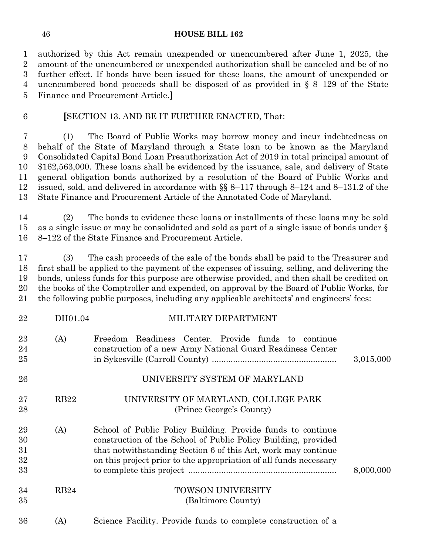authorized by this Act remain unexpended or unencumbered after June 1, 2025, the amount of the unencumbered or unexpended authorization shall be canceled and be of no further effect. If bonds have been issued for these loans, the amount of unexpended or unencumbered bond proceeds shall be disposed of as provided in § 8–129 of the State Finance and Procurement Article.**]**

## **[**SECTION 13. AND BE IT FURTHER ENACTED, That:

 (1) The Board of Public Works may borrow money and incur indebtedness on behalf of the State of Maryland through a State loan to be known as the Maryland Consolidated Capital Bond Loan Preauthorization Act of 2019 in total principal amount of \$162,563,000. These loans shall be evidenced by the issuance, sale, and delivery of State general obligation bonds authorized by a resolution of the Board of Public Works and issued, sold, and delivered in accordance with §§ 8–117 through 8–124 and 8–131.2 of the State Finance and Procurement Article of the Annotated Code of Maryland.

 (2) The bonds to evidence these loans or installments of these loans may be sold as a single issue or may be consolidated and sold as part of a single issue of bonds under § 8–122 of the State Finance and Procurement Article.

 (3) The cash proceeds of the sale of the bonds shall be paid to the Treasurer and first shall be applied to the payment of the expenses of issuing, selling, and delivering the bonds, unless funds for this purpose are otherwise provided, and then shall be credited on the books of the Comptroller and expended, on approval by the Board of Public Works, for the following public purposes, including any applicable architects' and engineers' fees:

| 22                         | DH01.04     | MILITARY DEPARTMENT                                                                                                                                                                                                                                                 |           |
|----------------------------|-------------|---------------------------------------------------------------------------------------------------------------------------------------------------------------------------------------------------------------------------------------------------------------------|-----------|
| 23<br>24<br>25             | (A)         | Freedom Readiness Center. Provide funds to continue<br>construction of a new Army National Guard Readiness Center                                                                                                                                                   | 3,015,000 |
| 26                         |             | UNIVERSITY SYSTEM OF MARYLAND                                                                                                                                                                                                                                       |           |
| 27<br>28                   | <b>RB22</b> | UNIVERSITY OF MARYLAND, COLLEGE PARK<br>(Prince George's County)                                                                                                                                                                                                    |           |
| 29<br>30<br>31<br>32<br>33 | (A)         | School of Public Policy Building. Provide funds to continue<br>construction of the School of Public Policy Building, provided<br>that notwithstanding Section 6 of this Act, work may continue<br>on this project prior to the appropriation of all funds necessary | 8,000,000 |
| 34<br>35                   | RB24        | TOWSON UNIVERSITY<br>(Baltimore County)                                                                                                                                                                                                                             |           |
| 36                         | (A)         | Science Facility. Provide funds to complete construction of a                                                                                                                                                                                                       |           |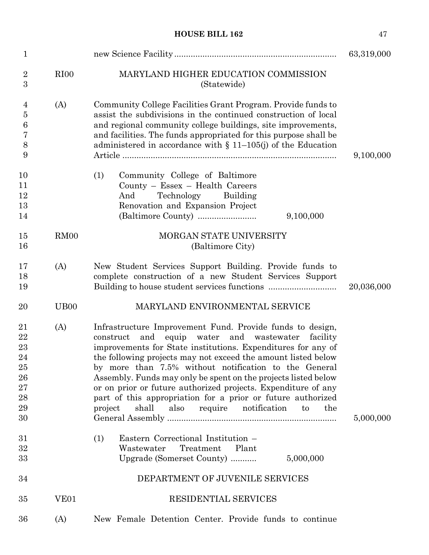| $\mathbf{1}$                                                 |                   |                                                                                                                                                                                                                                                                                                                                                                                                                                                                                                                                                                                             | 63,319,000 |
|--------------------------------------------------------------|-------------------|---------------------------------------------------------------------------------------------------------------------------------------------------------------------------------------------------------------------------------------------------------------------------------------------------------------------------------------------------------------------------------------------------------------------------------------------------------------------------------------------------------------------------------------------------------------------------------------------|------------|
| $\overline{2}$<br>3                                          | RI <sub>00</sub>  | MARYLAND HIGHER EDUCATION COMMISSION<br>(Statewide)                                                                                                                                                                                                                                                                                                                                                                                                                                                                                                                                         |            |
| 4<br>$\bf 5$<br>6<br>7<br>8<br>9                             | (A)               | Community College Facilities Grant Program. Provide funds to<br>assist the subdivisions in the continued construction of local<br>and regional community college buildings, site improvements,<br>and facilities. The funds appropriated for this purpose shall be<br>administered in accordance with $\S$ 11-105(j) of the Education                                                                                                                                                                                                                                                       | 9,100,000  |
| 10<br>11<br>12<br>13<br>14                                   |                   | (1)<br>Community College of Baltimore<br>County - Essex - Health Careers<br>Technology<br>Building<br>And<br>Renovation and Expansion Project<br>9,100,000                                                                                                                                                                                                                                                                                                                                                                                                                                  |            |
| 15<br>16                                                     | RM <sub>00</sub>  | MORGAN STATE UNIVERSITY<br>(Baltimore City)                                                                                                                                                                                                                                                                                                                                                                                                                                                                                                                                                 |            |
| 17<br>18<br>19                                               | (A)               | New Student Services Support Building. Provide funds to<br>complete construction of a new Student Services Support                                                                                                                                                                                                                                                                                                                                                                                                                                                                          | 20,036,000 |
| 20                                                           | U <sub>B</sub> 00 | MARYLAND ENVIRONMENTAL SERVICE                                                                                                                                                                                                                                                                                                                                                                                                                                                                                                                                                              |            |
| 21<br>22<br>23<br>24<br>25<br>26<br>$27\,$<br>28<br>29<br>30 | (A)               | Infrastructure Improvement Fund. Provide funds to design,<br>and equip water and wastewater<br>construct<br>facility<br>improvements for State institutions. Expenditures for any of<br>the following projects may not exceed the amount listed below<br>by more than 7.5% without notification to the General<br>Assembly. Funds may only be spent on the projects listed below<br>or on prior or future authorized projects. Expenditure of any<br>part of this appropriation for a prior or future authorized<br>shall<br>also<br>require notification<br>project<br>the<br>$\mathbf{t}$ | 5,000,000  |
| 31<br>32<br>33                                               |                   | Eastern Correctional Institution -<br>(1)<br>Wastewater<br>Treatment<br>Plant<br>5,000,000<br>Upgrade (Somerset County)                                                                                                                                                                                                                                                                                                                                                                                                                                                                     |            |
| 34                                                           |                   | DEPARTMENT OF JUVENILE SERVICES                                                                                                                                                                                                                                                                                                                                                                                                                                                                                                                                                             |            |
| 35                                                           | VE <sub>01</sub>  | <b>RESIDENTIAL SERVICES</b>                                                                                                                                                                                                                                                                                                                                                                                                                                                                                                                                                                 |            |
| 36                                                           | (A)               | New Female Detention Center. Provide funds to continue                                                                                                                                                                                                                                                                                                                                                                                                                                                                                                                                      |            |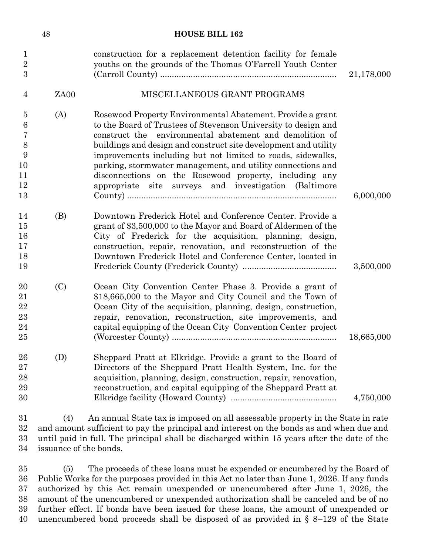|                                                          | 48                            | <b>HOUSE BILL 162</b>                                                                                                                                                                                                                                                                                                                                                                                                                                                                                       |            |
|----------------------------------------------------------|-------------------------------|-------------------------------------------------------------------------------------------------------------------------------------------------------------------------------------------------------------------------------------------------------------------------------------------------------------------------------------------------------------------------------------------------------------------------------------------------------------------------------------------------------------|------------|
| $\mathbf{1}$<br>$\overline{2}$<br>3                      |                               | construction for a replacement detention facility for female<br>youths on the grounds of the Thomas O'Farrell Youth Center                                                                                                                                                                                                                                                                                                                                                                                  | 21,178,000 |
| 4                                                        | ZA <sub>00</sub>              | MISCELLANEOUS GRANT PROGRAMS                                                                                                                                                                                                                                                                                                                                                                                                                                                                                |            |
| $\overline{5}$<br>6<br>7<br>$8\,$<br>9<br>10<br>11<br>12 | (A)                           | Rosewood Property Environmental Abatement. Provide a grant<br>to the Board of Trustees of Stevenson University to design and<br>construct the environmental abatement and demolition of<br>buildings and design and construct site development and utility<br>improvements including but not limited to roads, sidewalks,<br>parking, stormwater management, and utility connections and<br>disconnections on the Rosewood property, including any<br>appropriate site surveys and investigation (Baltimore |            |
| 13                                                       |                               |                                                                                                                                                                                                                                                                                                                                                                                                                                                                                                             | 6,000,000  |
| 14<br>15<br>16<br>17<br>18<br>19                         | (B)                           | Downtown Frederick Hotel and Conference Center. Provide a<br>grant of \$3,500,000 to the Mayor and Board of Aldermen of the<br>City of Frederick for the acquisition, planning, design,<br>construction, repair, renovation, and reconstruction of the<br>Downtown Frederick Hotel and Conference Center, located in                                                                                                                                                                                        | 3,500,000  |
| 20<br>21<br>22<br>23<br>24<br>25                         | (C)                           | Ocean City Convention Center Phase 3. Provide a grant of<br>\$18,665,000 to the Mayor and City Council and the Town of<br>Ocean City of the acquisition, planning, design, construction,<br>repair, renovation, reconstruction, site improvements, and<br>capital equipping of the Ocean City Convention Center project                                                                                                                                                                                     | 18,665,000 |
| 26<br>27<br>28<br>29<br>30                               | (D)                           | Sheppard Pratt at Elkridge. Provide a grant to the Board of<br>Directors of the Sheppard Pratt Health System, Inc. for the<br>acquisition, planning, design, construction, repair, renovation,<br>reconstruction, and capital equipping of the Sheppard Pratt at                                                                                                                                                                                                                                            | 4,750,000  |
| 31<br>32<br>33<br>34                                     | (4)<br>issuance of the bonds. | An annual State tax is imposed on all assessable property in the State in rate<br>and amount sufficient to pay the principal and interest on the bonds as and when due and<br>until paid in full. The principal shall be discharged within 15 years after the date of the                                                                                                                                                                                                                                   |            |

 (5) The proceeds of these loans must be expended or encumbered by the Board of Public Works for the purposes provided in this Act no later than June 1, 2026. If any funds authorized by this Act remain unexpended or unencumbered after June 1, 2026, the amount of the unencumbered or unexpended authorization shall be canceled and be of no further effect. If bonds have been issued for these loans, the amount of unexpended or unencumbered bond proceeds shall be disposed of as provided in § 8–129 of the State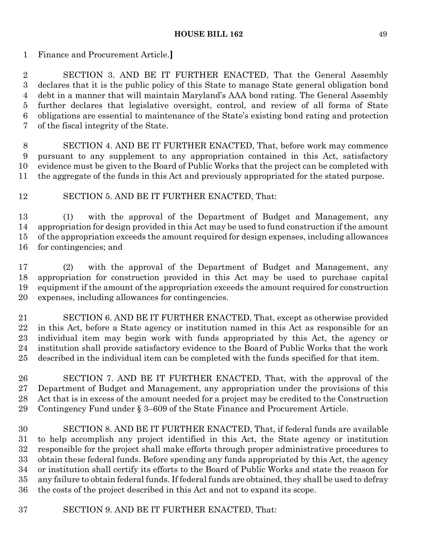Finance and Procurement Article.**]**

 SECTION 3. AND BE IT FURTHER ENACTED, That the General Assembly declares that it is the public policy of this State to manage State general obligation bond debt in a manner that will maintain Maryland's AAA bond rating. The General Assembly further declares that legislative oversight, control, and review of all forms of State obligations are essential to maintenance of the State's existing bond rating and protection of the fiscal integrity of the State.

 SECTION 4. AND BE IT FURTHER ENACTED, That, before work may commence pursuant to any supplement to any appropriation contained in this Act, satisfactory evidence must be given to the Board of Public Works that the project can be completed with the aggregate of the funds in this Act and previously appropriated for the stated purpose.

SECTION 5. AND BE IT FURTHER ENACTED, That:

 (1) with the approval of the Department of Budget and Management, any appropriation for design provided in this Act may be used to fund construction if the amount of the appropriation exceeds the amount required for design expenses, including allowances for contingencies; and

 (2) with the approval of the Department of Budget and Management, any appropriation for construction provided in this Act may be used to purchase capital equipment if the amount of the appropriation exceeds the amount required for construction expenses, including allowances for contingencies.

 SECTION 6. AND BE IT FURTHER ENACTED, That, except as otherwise provided in this Act, before a State agency or institution named in this Act as responsible for an individual item may begin work with funds appropriated by this Act, the agency or institution shall provide satisfactory evidence to the Board of Public Works that the work described in the individual item can be completed with the funds specified for that item.

 SECTION 7. AND BE IT FURTHER ENACTED, That, with the approval of the Department of Budget and Management, any appropriation under the provisions of this Act that is in excess of the amount needed for a project may be credited to the Construction Contingency Fund under § 3–609 of the State Finance and Procurement Article.

 SECTION 8. AND BE IT FURTHER ENACTED, That, if federal funds are available to help accomplish any project identified in this Act, the State agency or institution responsible for the project shall make efforts through proper administrative procedures to obtain these federal funds. Before spending any funds appropriated by this Act, the agency or institution shall certify its efforts to the Board of Public Works and state the reason for any failure to obtain federal funds. If federal funds are obtained, they shall be used to defray the costs of the project described in this Act and not to expand its scope.

SECTION 9. AND BE IT FURTHER ENACTED, That: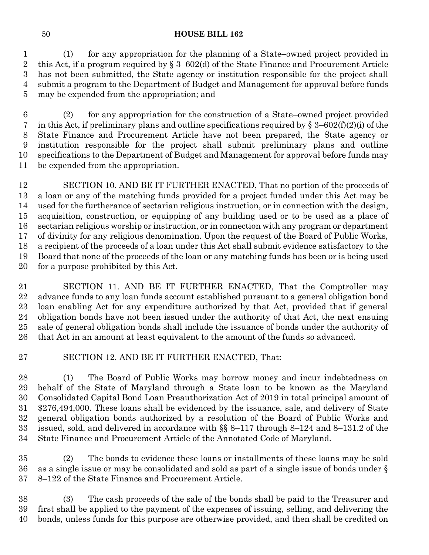(1) for any appropriation for the planning of a State–owned project provided in this Act, if a program required by § 3–602(d) of the State Finance and Procurement Article has not been submitted, the State agency or institution responsible for the project shall submit a program to the Department of Budget and Management for approval before funds may be expended from the appropriation; and

 (2) for any appropriation for the construction of a State–owned project provided 7 in this Act, if preliminary plans and outline specifications required by  $\S 3-602(f)(2)(i)$  of the State Finance and Procurement Article have not been prepared, the State agency or institution responsible for the project shall submit preliminary plans and outline specifications to the Department of Budget and Management for approval before funds may be expended from the appropriation.

 SECTION 10. AND BE IT FURTHER ENACTED, That no portion of the proceeds of a loan or any of the matching funds provided for a project funded under this Act may be used for the furtherance of sectarian religious instruction, or in connection with the design, acquisition, construction, or equipping of any building used or to be used as a place of sectarian religious worship or instruction, or in connection with any program or department of divinity for any religious denomination. Upon the request of the Board of Public Works, a recipient of the proceeds of a loan under this Act shall submit evidence satisfactory to the Board that none of the proceeds of the loan or any matching funds has been or is being used for a purpose prohibited by this Act.

 SECTION 11. AND BE IT FURTHER ENACTED, That the Comptroller may advance funds to any loan funds account established pursuant to a general obligation bond loan enabling Act for any expenditure authorized by that Act, provided that if general obligation bonds have not been issued under the authority of that Act, the next ensuing sale of general obligation bonds shall include the issuance of bonds under the authority of that Act in an amount at least equivalent to the amount of the funds so advanced.

SECTION 12. AND BE IT FURTHER ENACTED, That:

 (1) The Board of Public Works may borrow money and incur indebtedness on behalf of the State of Maryland through a State loan to be known as the Maryland Consolidated Capital Bond Loan Preauthorization Act of 2019 in total principal amount of \$276,494,000. These loans shall be evidenced by the issuance, sale, and delivery of State general obligation bonds authorized by a resolution of the Board of Public Works and issued, sold, and delivered in accordance with §§ 8–117 through 8–124 and 8–131.2 of the State Finance and Procurement Article of the Annotated Code of Maryland.

 (2) The bonds to evidence these loans or installments of these loans may be sold as a single issue or may be consolidated and sold as part of a single issue of bonds under § 8–122 of the State Finance and Procurement Article.

 (3) The cash proceeds of the sale of the bonds shall be paid to the Treasurer and first shall be applied to the payment of the expenses of issuing, selling, and delivering the bonds, unless funds for this purpose are otherwise provided, and then shall be credited on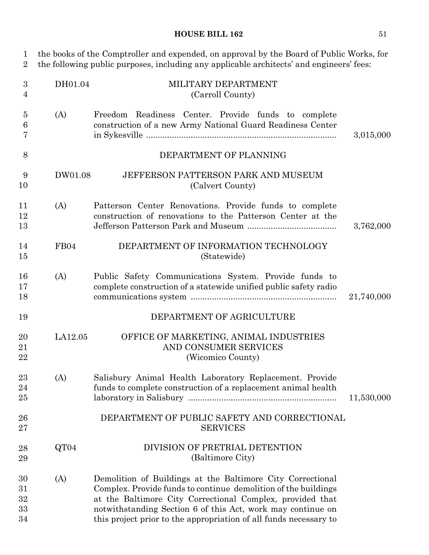| 1<br>$\overline{2}$            |         | the books of the Comptroller and expended, on approval by the Board of Public Works, for<br>the following public purposes, including any applicable architects' and engineers' fees:                                                                                                                                          |            |
|--------------------------------|---------|-------------------------------------------------------------------------------------------------------------------------------------------------------------------------------------------------------------------------------------------------------------------------------------------------------------------------------|------------|
| $\boldsymbol{3}$<br>4          | DH01.04 | MILITARY DEPARTMENT<br>(Carroll County)                                                                                                                                                                                                                                                                                       |            |
| $\overline{5}$<br>6<br>7       | (A)     | Freedom Readiness Center. Provide funds to complete<br>construction of a new Army National Guard Readiness Center                                                                                                                                                                                                             | 3,015,000  |
| 8                              |         | DEPARTMENT OF PLANNING                                                                                                                                                                                                                                                                                                        |            |
| 9<br>10                        | DW01.08 | JEFFERSON PATTERSON PARK AND MUSEUM<br>(Calvert County)                                                                                                                                                                                                                                                                       |            |
| 11<br>12<br>13                 | (A)     | Patterson Center Renovations. Provide funds to complete<br>construction of renovations to the Patterson Center at the                                                                                                                                                                                                         | 3,762,000  |
| 14<br>15                       | FB04    | DEPARTMENT OF INFORMATION TECHNOLOGY<br>(Statewide)                                                                                                                                                                                                                                                                           |            |
| 16<br>17<br>18                 | (A)     | Public Safety Communications System. Provide funds to<br>complete construction of a statewide unified public safety radio                                                                                                                                                                                                     | 21,740,000 |
| 19                             |         | DEPARTMENT OF AGRICULTURE                                                                                                                                                                                                                                                                                                     |            |
| 20<br>21<br>22                 | LA12.05 | OFFICE OF MARKETING, ANIMAL INDUSTRIES<br>AND CONSUMER SERVICES<br>(Wicomico County)                                                                                                                                                                                                                                          |            |
| 23<br>24<br>25                 | (A)     | Salisbury Animal Health Laboratory Replacement. Provide<br>funds to complete construction of a replacement animal health                                                                                                                                                                                                      | 11,530,000 |
| 26<br>$27\,$                   |         | DEPARTMENT OF PUBLIC SAFETY AND CORRECTIONAL<br><b>SERVICES</b>                                                                                                                                                                                                                                                               |            |
| 28<br>29                       | QT04    | DIVISION OF PRETRIAL DETENTION<br>(Baltimore City)                                                                                                                                                                                                                                                                            |            |
| 30<br>$31\,$<br>32<br>33<br>34 | (A)     | Demolition of Buildings at the Baltimore City Correctional<br>Complex. Provide funds to continue demolition of the buildings<br>at the Baltimore City Correctional Complex, provided that<br>notwithstanding Section 6 of this Act, work may continue on<br>this project prior to the appropriation of all funds necessary to |            |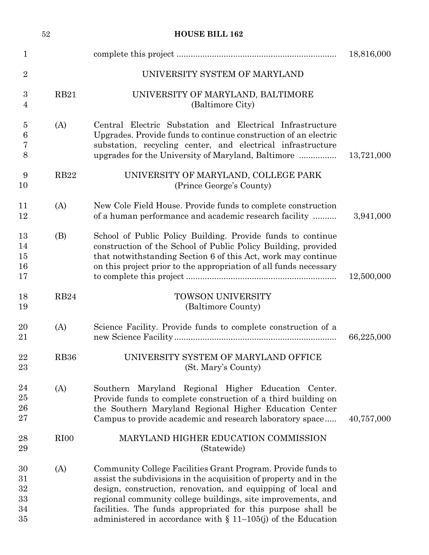|                                    | $52\,$      | <b>HOUSE BILL 162</b>                                                                                                                                                                                                                                                                                                                                                                                |            |
|------------------------------------|-------------|------------------------------------------------------------------------------------------------------------------------------------------------------------------------------------------------------------------------------------------------------------------------------------------------------------------------------------------------------------------------------------------------------|------------|
| $\mathbf{1}$                       |             |                                                                                                                                                                                                                                                                                                                                                                                                      | 18,816,000 |
| $\overline{2}$                     |             | UNIVERSITY SYSTEM OF MARYLAND                                                                                                                                                                                                                                                                                                                                                                        |            |
| $\boldsymbol{3}$<br>$\overline{4}$ | RB21        | UNIVERSITY OF MARYLAND, BALTIMORE<br>(Baltimore City)                                                                                                                                                                                                                                                                                                                                                |            |
| $\overline{5}$<br>6<br>7<br>8      | (A)         | Central Electric Substation and Electrical Infrastructure<br>Upgrades. Provide funds to continue construction of an electric<br>substation, recycling center, and electrical infrastructure<br>upgrades for the University of Maryland, Baltimore                                                                                                                                                    | 13,721,000 |
| 9<br>10                            | RB22        | UNIVERSITY OF MARYLAND, COLLEGE PARK<br>(Prince George's County)                                                                                                                                                                                                                                                                                                                                     |            |
| 11<br>12                           | (A)         | New Cole Field House. Provide funds to complete construction<br>of a human performance and academic research facility                                                                                                                                                                                                                                                                                | 3,941,000  |
| 13<br>14<br>15<br>16<br>17         | (B)         | School of Public Policy Building. Provide funds to continue<br>construction of the School of Public Policy Building, provided<br>that notwithstanding Section 6 of this Act, work may continue<br>on this project prior to the appropriation of all funds necessary                                                                                                                                  | 12,500,000 |
| 18<br>19                           | RB24        | <b>TOWSON UNIVERSITY</b><br>(Baltimore County)                                                                                                                                                                                                                                                                                                                                                       |            |
| 20<br>21                           | (A)         | Science Facility. Provide funds to complete construction of a                                                                                                                                                                                                                                                                                                                                        | 66,225,000 |
| 22<br>23                           | <b>RB36</b> | UNIVERSITY SYSTEM OF MARYLAND OFFICE<br>(St. Mary's County)                                                                                                                                                                                                                                                                                                                                          |            |
| 24<br>25<br>26<br>27               | (A)         | Southern Maryland Regional Higher Education Center.<br>Provide funds to complete construction of a third building on<br>the Southern Maryland Regional Higher Education Center<br>Campus to provide academic and research laboratory space                                                                                                                                                           | 40,757,000 |
| 28<br>29                           | RIO0        | MARYLAND HIGHER EDUCATION COMMISSION<br>(Statewide)                                                                                                                                                                                                                                                                                                                                                  |            |
| 30<br>31<br>32<br>33<br>34<br>35   | (A)         | Community College Facilities Grant Program. Provide funds to<br>assist the subdivisions in the acquisition of property and in the<br>design, construction, renovation, and equipping of local and<br>regional community college buildings, site improvements, and<br>facilities. The funds appropriated for this purpose shall be<br>administered in accordance with $\S$ 11-105(j) of the Education |            |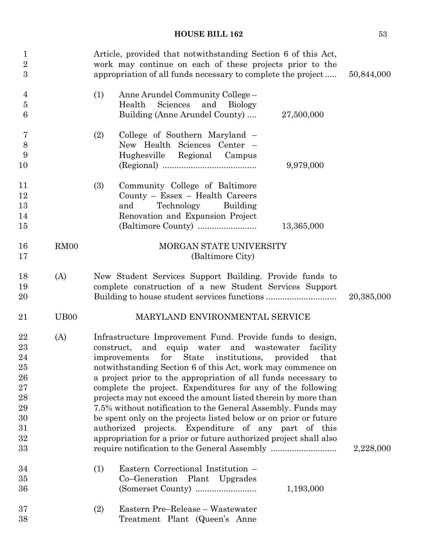| $\mathbf 1$<br>$\overline{2}$<br>3                                          |                   | Article, provided that notwithstanding Section 6 of this Act,<br>work may continue on each of these projects prior to the<br>appropriation of all funds necessary to complete the project                                                                                                                                                                                                                                                                                                                                                                                                                                                                                                                   | 50,844,000 |
|-----------------------------------------------------------------------------|-------------------|-------------------------------------------------------------------------------------------------------------------------------------------------------------------------------------------------------------------------------------------------------------------------------------------------------------------------------------------------------------------------------------------------------------------------------------------------------------------------------------------------------------------------------------------------------------------------------------------------------------------------------------------------------------------------------------------------------------|------------|
| 4<br>$\overline{5}$<br>6                                                    |                   | (1)<br>Anne Arundel Community College -<br>Health<br>Sciences<br>and<br><b>Biology</b><br>Building (Anne Arundel County)<br>27,500,000                                                                                                                                                                                                                                                                                                                                                                                                                                                                                                                                                                      |            |
| 7<br>8<br>9<br>10                                                           |                   | College of Southern Maryland –<br>(2)<br>New Health Sciences Center -<br>Hughesville Regional Campus<br>9,979,000                                                                                                                                                                                                                                                                                                                                                                                                                                                                                                                                                                                           |            |
| 11<br>12<br>13<br>14<br>15                                                  |                   | (3)<br>Community College of Baltimore<br>County - Essex - Health Careers<br>Technology<br>Building<br>and<br>Renovation and Expansion Project<br>13,365,000                                                                                                                                                                                                                                                                                                                                                                                                                                                                                                                                                 |            |
| 16<br>17                                                                    | RM <sub>00</sub>  | MORGAN STATE UNIVERSITY<br>(Baltimore City)                                                                                                                                                                                                                                                                                                                                                                                                                                                                                                                                                                                                                                                                 |            |
| 18<br>19<br>20                                                              | (A)               | New Student Services Support Building. Provide funds to<br>complete construction of a new Student Services Support                                                                                                                                                                                                                                                                                                                                                                                                                                                                                                                                                                                          | 20,385,000 |
| 21                                                                          | U <sub>B</sub> 00 | MARYLAND ENVIRONMENTAL SERVICE                                                                                                                                                                                                                                                                                                                                                                                                                                                                                                                                                                                                                                                                              |            |
| $\bf{22}$<br>23<br>24<br>25<br>26<br>27<br>28<br>29<br>30<br>31<br>32<br>33 | (A)               | Infrastructure Improvement Fund. Provide funds to design,<br>construct, and equip water and wastewater facility<br>improvements for State institutions, provided<br>that<br>notwithstanding Section 6 of this Act, work may commence on<br>a project prior to the appropriation of all funds necessary to<br>complete the project. Expenditures for any of the following<br>projects may not exceed the amount listed therein by more than<br>7.5% without notification to the General Assembly. Funds may<br>be spent only on the projects listed below or on prior or future<br>authorized projects. Expenditure of any part of this<br>appropriation for a prior or future authorized project shall also | 2,228,000  |
| 34<br>35<br>36                                                              |                   | Eastern Correctional Institution -<br>(1)<br>Co-Generation Plant Upgrades<br>1,193,000                                                                                                                                                                                                                                                                                                                                                                                                                                                                                                                                                                                                                      |            |
| 37<br>38                                                                    |                   | Eastern Pre-Release - Wastewater<br>(2)<br>Treatment Plant (Queen's Anne                                                                                                                                                                                                                                                                                                                                                                                                                                                                                                                                                                                                                                    |            |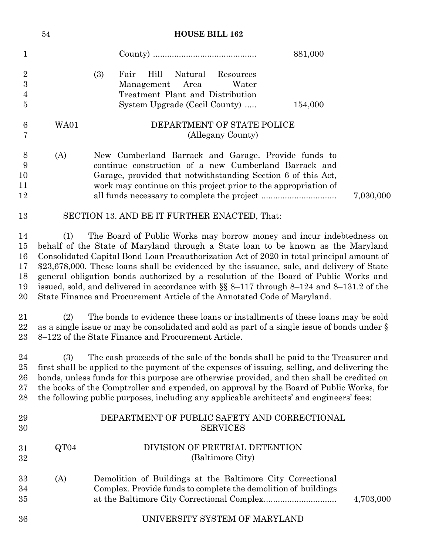|                                                                        | <b>HOUSE BILL 162</b><br>54                                                                                                                                                                                                                                                                                                                                                                                                                                                                                                                                                                                                |                                                                                                                                                                                                                                                                                                                                                                                                                                                                      |  |  |  |  |
|------------------------------------------------------------------------|----------------------------------------------------------------------------------------------------------------------------------------------------------------------------------------------------------------------------------------------------------------------------------------------------------------------------------------------------------------------------------------------------------------------------------------------------------------------------------------------------------------------------------------------------------------------------------------------------------------------------|----------------------------------------------------------------------------------------------------------------------------------------------------------------------------------------------------------------------------------------------------------------------------------------------------------------------------------------------------------------------------------------------------------------------------------------------------------------------|--|--|--|--|
| $\mathbf 1$                                                            |                                                                                                                                                                                                                                                                                                                                                                                                                                                                                                                                                                                                                            | 881,000                                                                                                                                                                                                                                                                                                                                                                                                                                                              |  |  |  |  |
| $\overline{2}$<br>$\boldsymbol{3}$<br>$\overline{4}$<br>$\overline{5}$ |                                                                                                                                                                                                                                                                                                                                                                                                                                                                                                                                                                                                                            | (3)<br>Hill<br>Fair<br>Natural<br>Resources<br>Area<br>Management<br>$\equiv$<br>Water<br>Treatment Plant and Distribution<br>System Upgrade (Cecil County)<br>154,000                                                                                                                                                                                                                                                                                               |  |  |  |  |
| $6\phantom{.}6$<br>7                                                   | WA01                                                                                                                                                                                                                                                                                                                                                                                                                                                                                                                                                                                                                       | DEPARTMENT OF STATE POLICE<br>(Allegany County)                                                                                                                                                                                                                                                                                                                                                                                                                      |  |  |  |  |
| 8<br>9<br>10<br>11<br>12                                               | (A)                                                                                                                                                                                                                                                                                                                                                                                                                                                                                                                                                                                                                        | New Cumberland Barrack and Garage. Provide funds to<br>continue construction of a new Cumberland Barrack and<br>Garage, provided that notwithstanding Section 6 of this Act,<br>work may continue on this project prior to the appropriation of<br>7,030,000                                                                                                                                                                                                         |  |  |  |  |
| 13                                                                     | SECTION 13. AND BE IT FURTHER ENACTED, That:                                                                                                                                                                                                                                                                                                                                                                                                                                                                                                                                                                               |                                                                                                                                                                                                                                                                                                                                                                                                                                                                      |  |  |  |  |
| 14<br>15<br>16<br>17<br>18<br>19<br>20                                 | The Board of Public Works may borrow money and incur indebtedness on<br>(1)<br>behalf of the State of Maryland through a State loan to be known as the Maryland<br>Consolidated Capital Bond Loan Preauthorization Act of 2020 in total principal amount of<br>\$23,678,000. These loans shall be evidenced by the issuance, sale, and delivery of State<br>general obligation bonds authorized by a resolution of the Board of Public Works and<br>issued, sold, and delivered in accordance with $\S$ 8-117 through 8-124 and 8-131.2 of the<br>State Finance and Procurement Article of the Annotated Code of Maryland. |                                                                                                                                                                                                                                                                                                                                                                                                                                                                      |  |  |  |  |
| 21<br>22<br>23                                                         | (2)                                                                                                                                                                                                                                                                                                                                                                                                                                                                                                                                                                                                                        | The bonds to evidence these loans or installments of these loans may be sold<br>as a single issue or may be consolidated and sold as part of a single issue of bonds under $\S$<br>8-122 of the State Finance and Procurement Article.                                                                                                                                                                                                                               |  |  |  |  |
| 24<br>25<br>26<br>27<br>28                                             | (3)                                                                                                                                                                                                                                                                                                                                                                                                                                                                                                                                                                                                                        | The cash proceeds of the sale of the bonds shall be paid to the Treasurer and<br>first shall be applied to the payment of the expenses of issuing, selling, and delivering the<br>bonds, unless funds for this purpose are otherwise provided, and then shall be credited on<br>the books of the Comptroller and expended, on approval by the Board of Public Works, for<br>the following public purposes, including any applicable architects' and engineers' fees: |  |  |  |  |
| 29<br>30                                                               |                                                                                                                                                                                                                                                                                                                                                                                                                                                                                                                                                                                                                            | DEPARTMENT OF PUBLIC SAFETY AND CORRECTIONAL<br><b>SERVICES</b>                                                                                                                                                                                                                                                                                                                                                                                                      |  |  |  |  |
| 31<br>32                                                               | QT04                                                                                                                                                                                                                                                                                                                                                                                                                                                                                                                                                                                                                       | DIVISION OF PRETRIAL DETENTION<br>(Baltimore City)                                                                                                                                                                                                                                                                                                                                                                                                                   |  |  |  |  |
| 33<br>34<br>35                                                         | (A)                                                                                                                                                                                                                                                                                                                                                                                                                                                                                                                                                                                                                        | Demolition of Buildings at the Baltimore City Correctional<br>Complex. Provide funds to complete the demolition of buildings<br>4,703,000                                                                                                                                                                                                                                                                                                                            |  |  |  |  |
| 36                                                                     |                                                                                                                                                                                                                                                                                                                                                                                                                                                                                                                                                                                                                            | UNIVERSITY SYSTEM OF MARYLAND                                                                                                                                                                                                                                                                                                                                                                                                                                        |  |  |  |  |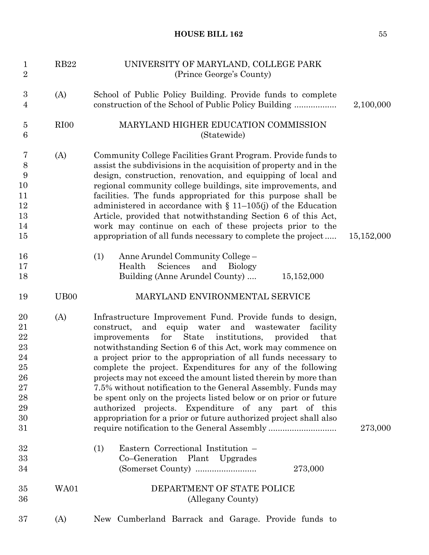| $\mathbf{1}$<br>$\overline{2}$                                                       | <b>RB22</b>      | UNIVERSITY OF MARYLAND, COLLEGE PARK<br>(Prince George's County)                                                                                                                                                                                                                                                                                                                                                                                                                                                                                                                                                                                                                                                                            |            |
|--------------------------------------------------------------------------------------|------------------|---------------------------------------------------------------------------------------------------------------------------------------------------------------------------------------------------------------------------------------------------------------------------------------------------------------------------------------------------------------------------------------------------------------------------------------------------------------------------------------------------------------------------------------------------------------------------------------------------------------------------------------------------------------------------------------------------------------------------------------------|------------|
| $\boldsymbol{3}$<br>4                                                                | (A)              | School of Public Policy Building. Provide funds to complete                                                                                                                                                                                                                                                                                                                                                                                                                                                                                                                                                                                                                                                                                 | 2,100,000  |
| $\bf 5$<br>6                                                                         | RI <sub>00</sub> | MARYLAND HIGHER EDUCATION COMMISSION<br>(Statewide)                                                                                                                                                                                                                                                                                                                                                                                                                                                                                                                                                                                                                                                                                         |            |
| 7<br>$8\,$<br>9<br>10<br>11<br>12<br>13<br>14<br>15<br>16<br>17<br>18                | (A)              | Community College Facilities Grant Program. Provide funds to<br>assist the subdivisions in the acquisition of property and in the<br>design, construction, renovation, and equipping of local and<br>regional community college buildings, site improvements, and<br>facilities. The funds appropriated for this purpose shall be<br>administered in accordance with $\S$ 11–105(j) of the Education<br>Article, provided that notwithstanding Section 6 of this Act,<br>work may continue on each of these projects prior to the<br>appropriation of all funds necessary to complete the project<br>Anne Arundel Community College -<br>(1)<br>Health<br>Sciences<br>and<br><b>Biology</b><br>Building (Anne Arundel County)<br>15,152,000 | 15,152,000 |
| 19                                                                                   | UB <sub>00</sub> | MARYLAND ENVIRONMENTAL SERVICE                                                                                                                                                                                                                                                                                                                                                                                                                                                                                                                                                                                                                                                                                                              |            |
| 20<br>21<br>$\bf{22}$<br>23<br>24<br>25<br>26<br>$\sqrt{27}$<br>28<br>29<br>30<br>31 | (A)              | Infrastructure Improvement Fund. Provide funds to design,<br>equip water<br>and<br>wastewater<br>construct,<br>and<br>facility<br>for<br>State institutions,<br>that<br>improvements<br>provided<br>notwithstanding Section 6 of this Act, work may commence on<br>a project prior to the appropriation of all funds necessary to<br>complete the project. Expenditures for any of the following<br>projects may not exceed the amount listed therein by more than<br>7.5% without notification to the General Assembly. Funds may<br>be spent only on the projects listed below or on prior or future<br>authorized projects. Expenditure of any part of this<br>appropriation for a prior or future authorized project shall also         | 273,000    |
| 32<br>33<br>34                                                                       |                  | Eastern Correctional Institution -<br>(1)<br>Co-Generation Plant Upgrades<br>273,000                                                                                                                                                                                                                                                                                                                                                                                                                                                                                                                                                                                                                                                        |            |
| 35<br>36                                                                             | WA01             | DEPARTMENT OF STATE POLICE<br>(Allegany County)                                                                                                                                                                                                                                                                                                                                                                                                                                                                                                                                                                                                                                                                                             |            |
| 37                                                                                   | (A)              | New Cumberland Barrack and Garage. Provide funds to                                                                                                                                                                                                                                                                                                                                                                                                                                                                                                                                                                                                                                                                                         |            |